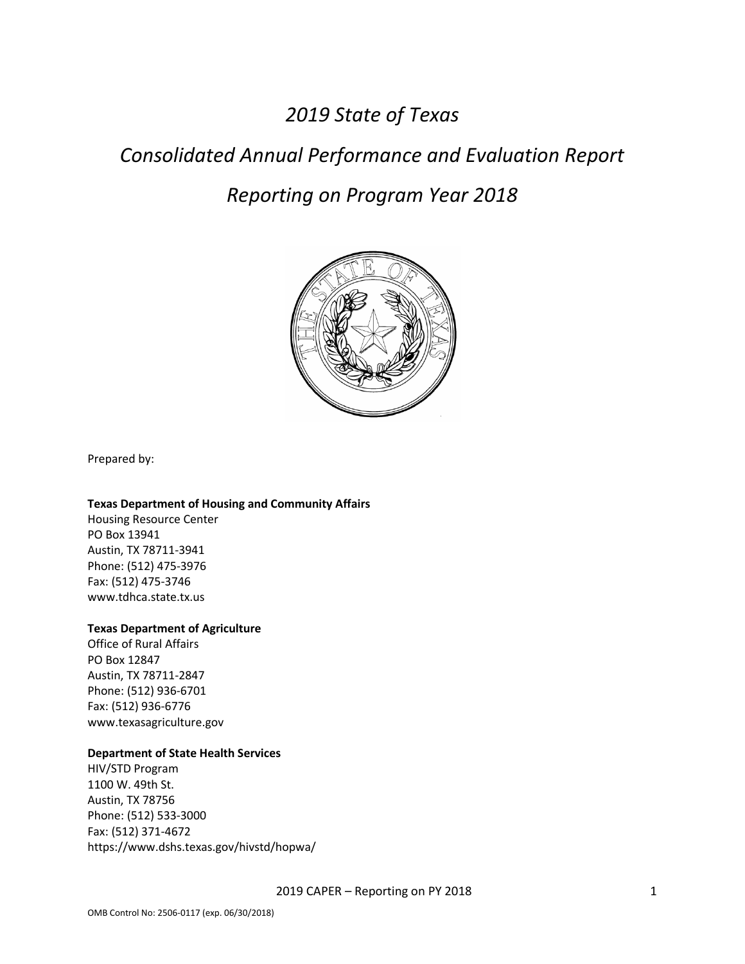*2019 State of Texas*

# *Consolidated Annual Performance and Evaluation Report Reporting on Program Year 2018*



Prepared by:

#### **Texas Department of Housing and Community Affairs**

Housing Resource Center PO Box 13941 Austin, TX 78711-3941 Phone: (512) 475-3976 Fax: (512) 475-3746 www.tdhca.state.tx.us

#### **Texas Department of Agriculture**

Office of Rural Affairs PO Box 12847 Austin, TX 78711-2847 Phone: (512) 936-6701 Fax: (512) 936-6776 www.texasagriculture.gov

#### **Department of State Health Services**

HIV/STD Program 1100 W. 49th St. Austin, TX 78756 Phone: (512) 533-3000 Fax: (512) 371-4672 https://www.dshs.texas.gov/hivstd/hopwa/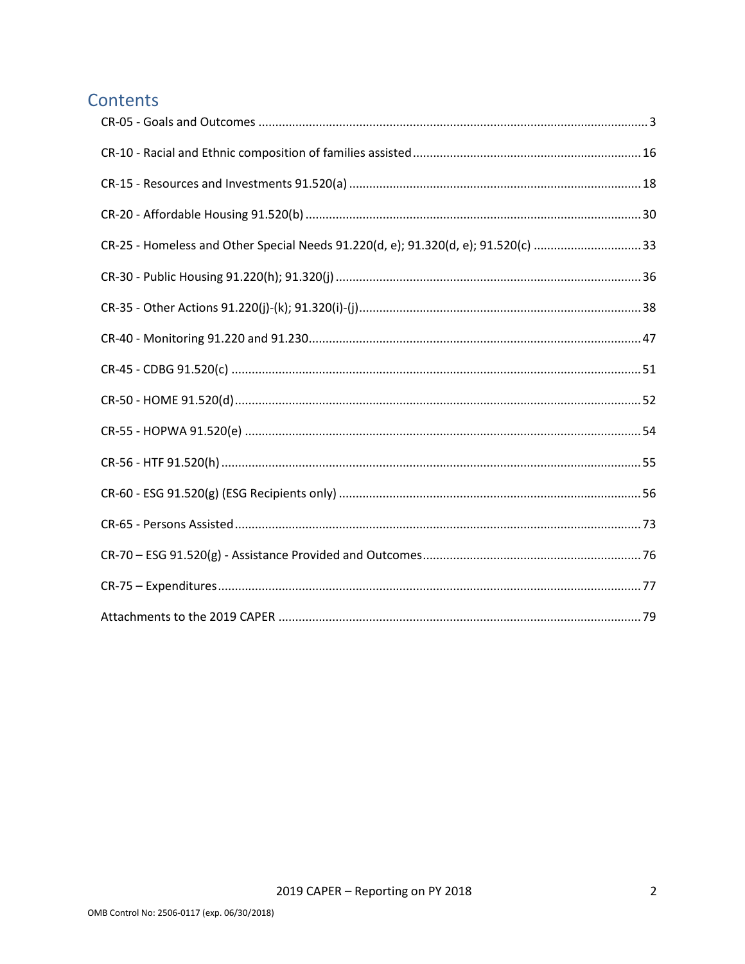# **Contents**

| CR-25 - Homeless and Other Special Needs 91.220(d, e); 91.320(d, e); 91.520(c) 33 |
|-----------------------------------------------------------------------------------|
|                                                                                   |
|                                                                                   |
|                                                                                   |
|                                                                                   |
|                                                                                   |
|                                                                                   |
|                                                                                   |
|                                                                                   |
|                                                                                   |
|                                                                                   |
|                                                                                   |
|                                                                                   |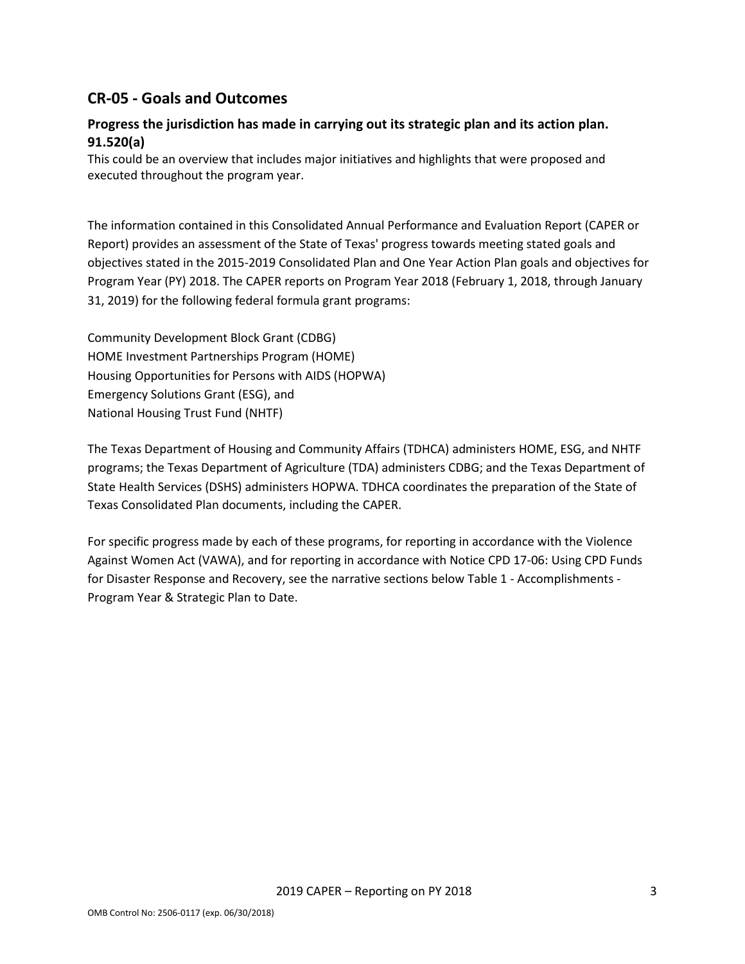## <span id="page-2-0"></span>**CR-05 - Goals and Outcomes**

## **Progress the jurisdiction has made in carrying out its strategic plan and its action plan. 91.520(a)**

This could be an overview that includes major initiatives and highlights that were proposed and executed throughout the program year.

The information contained in this Consolidated Annual Performance and Evaluation Report (CAPER or Report) provides an assessment of the State of Texas' progress towards meeting stated goals and objectives stated in the 2015-2019 Consolidated Plan and One Year Action Plan goals and objectives for Program Year (PY) 2018. The CAPER reports on Program Year 2018 (February 1, 2018, through January 31, 2019) for the following federal formula grant programs:

Community Development Block Grant (CDBG) HOME Investment Partnerships Program (HOME) Housing Opportunities for Persons with AIDS (HOPWA) Emergency Solutions Grant (ESG), and National Housing Trust Fund (NHTF)

The Texas Department of Housing and Community Affairs (TDHCA) administers HOME, ESG, and NHTF programs; the Texas Department of Agriculture (TDA) administers CDBG; and the Texas Department of State Health Services (DSHS) administers HOPWA. TDHCA coordinates the preparation of the State of Texas Consolidated Plan documents, including the CAPER.

For specific progress made by each of these programs, for reporting in accordance with the Violence Against Women Act (VAWA), and for reporting in accordance with Notice CPD 17-06: Using CPD Funds for Disaster Response and Recovery, see the narrative sections below Table 1 - Accomplishments - Program Year & Strategic Plan to Date.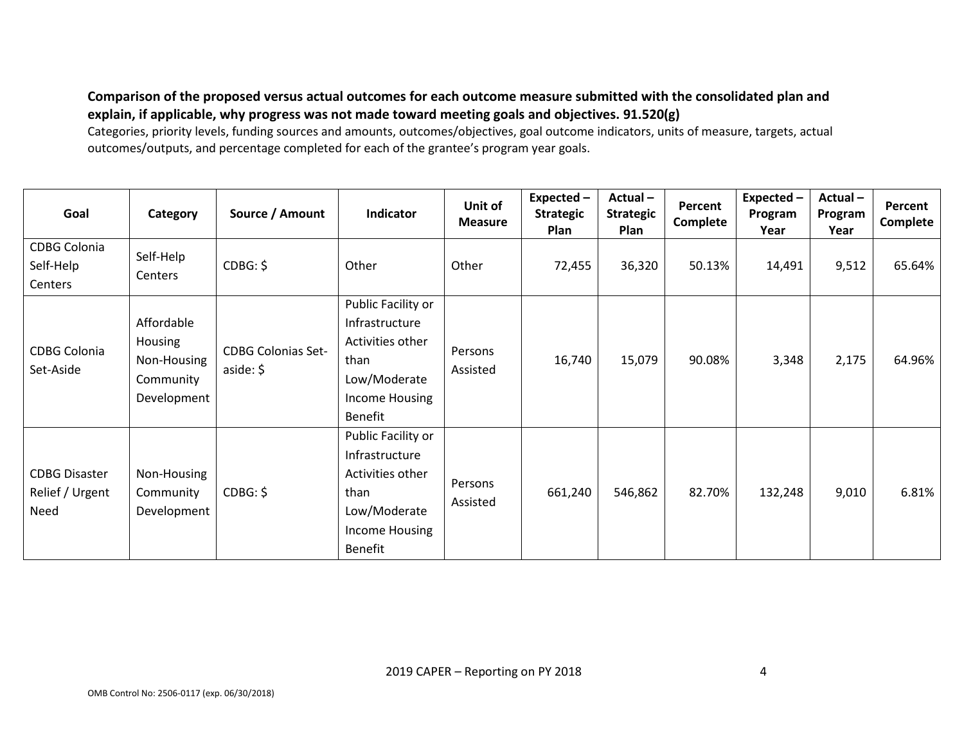## **Comparison of the proposed versus actual outcomes for each outcome measure submitted with the consolidated plan and explain, if applicable, why progress was not made toward meeting goals and objectives. 91.520(g)**

Categories, priority levels, funding sources and amounts, outcomes/objectives, goal outcome indicators, units of measure, targets, actual outcomes/outputs, and percentage completed for each of the grantee's program year goals.

| Goal                                            | Category                                                         | Source / Amount                        | Indicator                                                                                                     | Unit of<br><b>Measure</b> | Expected-<br><b>Strategic</b><br>Plan | Actual-<br><b>Strategic</b><br>Plan | Percent<br>Complete | Expected -<br>Program<br>Year | Actual-<br>Program<br>Year | Percent<br>Complete |
|-------------------------------------------------|------------------------------------------------------------------|----------------------------------------|---------------------------------------------------------------------------------------------------------------|---------------------------|---------------------------------------|-------------------------------------|---------------------|-------------------------------|----------------------------|---------------------|
| <b>CDBG Colonia</b><br>Self-Help<br>Centers     | Self-Help<br>Centers                                             | CDBG: \$                               | Other                                                                                                         | Other                     | 72,455                                | 36,320                              | 50.13%              | 14,491                        | 9,512                      | 65.64%              |
| <b>CDBG Colonia</b><br>Set-Aside                | Affordable<br>Housing<br>Non-Housing<br>Community<br>Development | <b>CDBG Colonias Set-</b><br>aside: \$ | Public Facility or<br>Infrastructure<br>Activities other<br>than<br>Low/Moderate<br>Income Housing<br>Benefit | Persons<br>Assisted       | 16,740                                | 15,079                              | 90.08%              | 3,348                         | 2,175                      | 64.96%              |
| <b>CDBG Disaster</b><br>Relief / Urgent<br>Need | Non-Housing<br>Community<br>Development                          | CDBG: \$                               | Public Facility or<br>Infrastructure<br>Activities other<br>than<br>Low/Moderate<br>Income Housing<br>Benefit | Persons<br>Assisted       | 661,240                               | 546,862                             | 82.70%              | 132,248                       | 9,010                      | 6.81%               |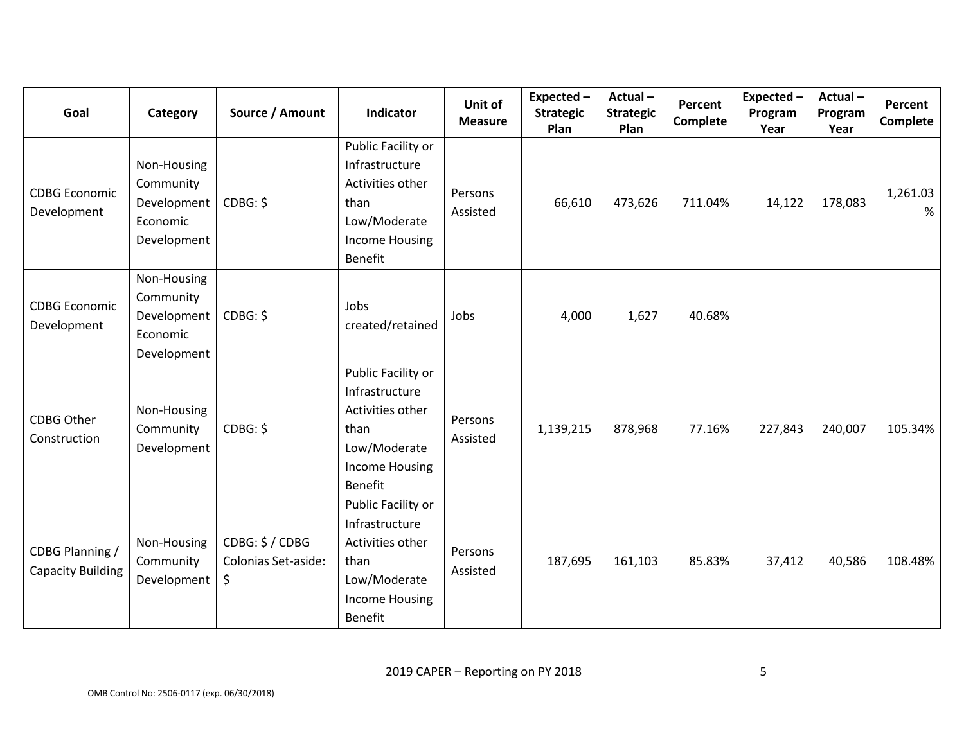| Goal                                        | Category                                                           | Source / Amount                            | Indicator                                                                                                            | Unit of<br><b>Measure</b> | Expected-<br><b>Strategic</b><br>Plan | Actual-<br><b>Strategic</b><br>Plan | Percent<br>Complete | Expected-<br>Program<br>Year | Actual-<br>Program<br>Year | Percent<br>Complete |
|---------------------------------------------|--------------------------------------------------------------------|--------------------------------------------|----------------------------------------------------------------------------------------------------------------------|---------------------------|---------------------------------------|-------------------------------------|---------------------|------------------------------|----------------------------|---------------------|
| <b>CDBG</b> Economic<br>Development         | Non-Housing<br>Community<br>Development<br>Economic<br>Development | CDBG: \$                                   | Public Facility or<br>Infrastructure<br>Activities other<br>than<br>Low/Moderate<br>Income Housing<br><b>Benefit</b> | Persons<br>Assisted       | 66,610                                | 473,626                             | 711.04%             | 14,122                       | 178,083                    | 1,261.03<br>$\%$    |
| <b>CDBG</b> Economic<br>Development         | Non-Housing<br>Community<br>Development<br>Economic<br>Development | CDBG: \$                                   | Jobs<br>created/retained                                                                                             | Jobs                      | 4,000                                 | 1,627                               | 40.68%              |                              |                            |                     |
| CDBG Other<br>Construction                  | Non-Housing<br>Community<br>Development                            | CDBG: \$                                   | Public Facility or<br>Infrastructure<br>Activities other<br>than<br>Low/Moderate<br><b>Income Housing</b><br>Benefit | Persons<br>Assisted       | 1,139,215                             | 878,968                             | 77.16%              | 227,843                      | 240,007                    | 105.34%             |
| CDBG Planning /<br><b>Capacity Building</b> | Non-Housing<br>Community<br>Development                            | CDBG: \$/CDBG<br>Colonias Set-aside:<br>\$ | Public Facility or<br>Infrastructure<br>Activities other<br>than<br>Low/Moderate<br><b>Income Housing</b><br>Benefit | Persons<br>Assisted       | 187,695                               | 161,103                             | 85.83%              | 37,412                       | 40,586                     | 108.48%             |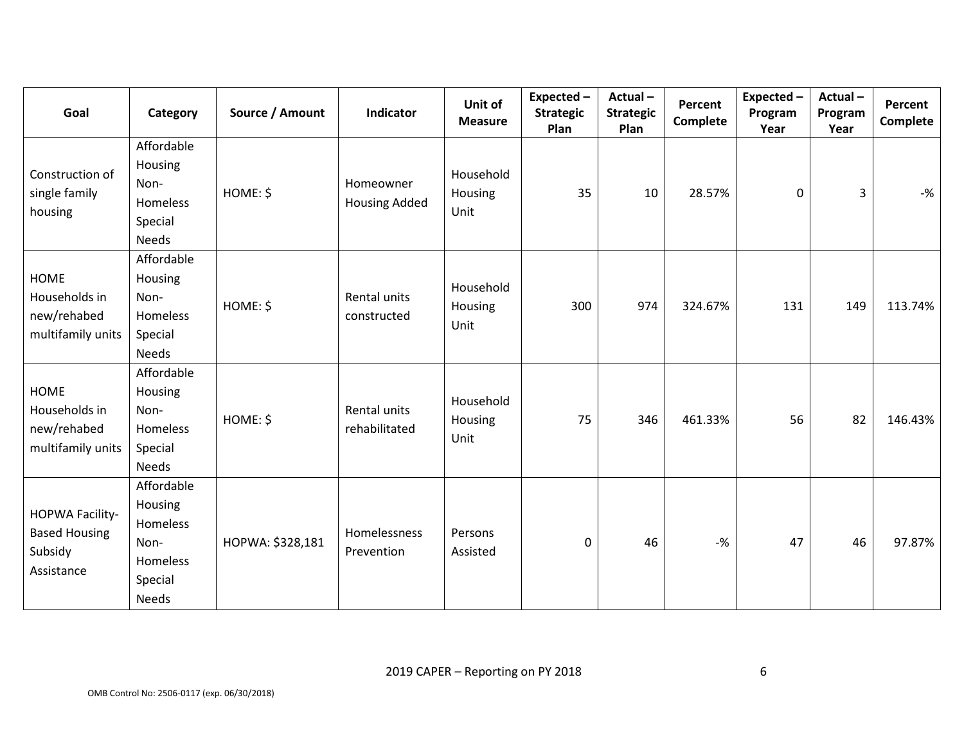| Goal                                                             | Category                                                                         | Source / Amount  | Indicator                         | Unit of<br><b>Measure</b>    | Expected-<br><b>Strategic</b><br>Plan | Actual-<br><b>Strategic</b><br>Plan | Percent<br>Complete | Expected-<br>Program<br>Year | Actual-<br>Program<br>Year | Percent<br>Complete |
|------------------------------------------------------------------|----------------------------------------------------------------------------------|------------------|-----------------------------------|------------------------------|---------------------------------------|-------------------------------------|---------------------|------------------------------|----------------------------|---------------------|
| Construction of<br>single family<br>housing                      | Affordable<br>Housing<br>Non-<br>Homeless<br>Special<br>Needs                    | HOME: \$         | Homeowner<br><b>Housing Added</b> | Household<br>Housing<br>Unit | 35                                    | 10                                  | 28.57%              | 0                            | 3                          | $-$ %               |
| <b>HOME</b><br>Households in<br>new/rehabed<br>multifamily units | Affordable<br>Housing<br>Non-<br>Homeless<br>Special<br><b>Needs</b>             | HOME: \$         | Rental units<br>constructed       | Household<br>Housing<br>Unit | 300                                   | 974                                 | 324.67%             | 131                          | 149                        | 113.74%             |
| <b>HOME</b><br>Households in<br>new/rehabed<br>multifamily units | Affordable<br>Housing<br>Non-<br>Homeless<br>Special<br><b>Needs</b>             | HOME: \$         | Rental units<br>rehabilitated     | Household<br>Housing<br>Unit | 75                                    | 346                                 | 461.33%             | 56                           | 82                         | 146.43%             |
| HOPWA Facility-<br><b>Based Housing</b><br>Subsidy<br>Assistance | Affordable<br>Housing<br>Homeless<br>Non-<br>Homeless<br>Special<br><b>Needs</b> | HOPWA: \$328,181 | Homelessness<br>Prevention        | Persons<br>Assisted          | 0                                     | 46                                  | $-$ %               | 47                           | 46                         | 97.87%              |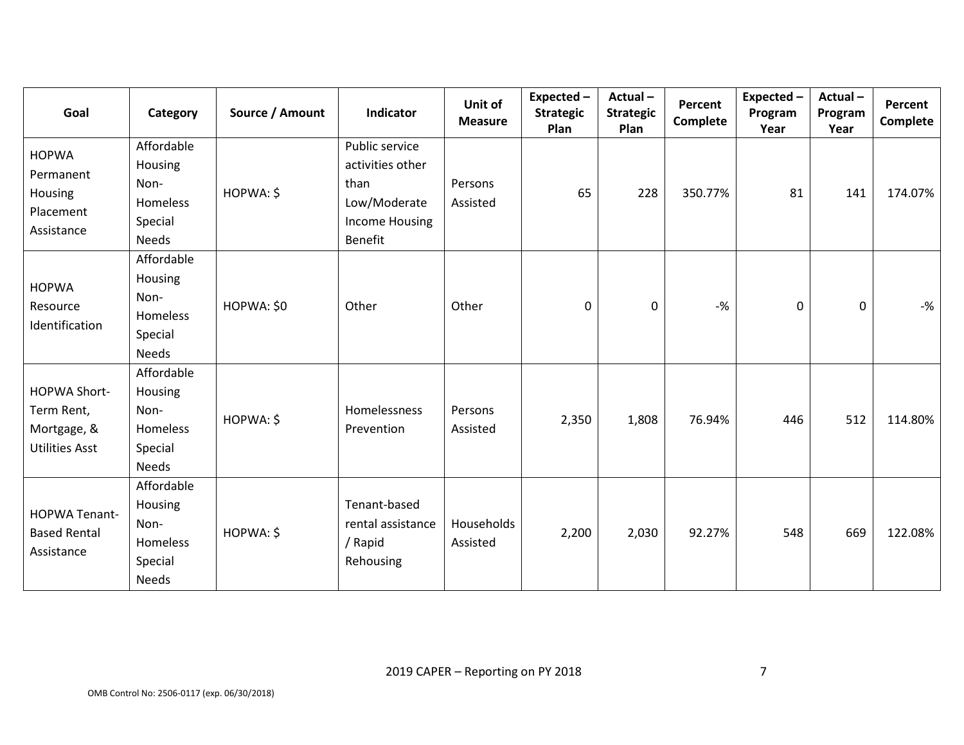| Goal                                                                      | Category                                                                    | Source / Amount | Indicator                                                                               | Unit of<br><b>Measure</b> | Expected-<br><b>Strategic</b><br>Plan | Actual-<br><b>Strategic</b><br>Plan | Percent<br>Complete | Expected-<br>Program<br>Year | Actual-<br>Program<br>Year | Percent<br><b>Complete</b> |
|---------------------------------------------------------------------------|-----------------------------------------------------------------------------|-----------------|-----------------------------------------------------------------------------------------|---------------------------|---------------------------------------|-------------------------------------|---------------------|------------------------------|----------------------------|----------------------------|
| <b>HOPWA</b><br>Permanent<br>Housing<br>Placement<br>Assistance           | Affordable<br>Housing<br>Non-<br><b>Homeless</b><br>Special<br><b>Needs</b> | HOPWA: \$       | Public service<br>activities other<br>than<br>Low/Moderate<br>Income Housing<br>Benefit | Persons<br>Assisted       | 65                                    | 228                                 | 350.77%             | 81                           | 141                        | 174.07%                    |
| <b>HOPWA</b><br>Resource<br>Identification                                | Affordable<br>Housing<br>Non-<br>Homeless<br>Special<br><b>Needs</b>        | HOPWA: \$0      | Other                                                                                   | Other                     | 0                                     | $\mathbf 0$                         | $-$ %               | $\mathbf 0$                  | 0                          | $-$ %                      |
| <b>HOPWA Short-</b><br>Term Rent,<br>Mortgage, &<br><b>Utilities Asst</b> | Affordable<br>Housing<br>Non-<br><b>Homeless</b><br>Special<br><b>Needs</b> | HOPWA: \$       | Homelessness<br>Prevention                                                              | Persons<br>Assisted       | 2,350                                 | 1,808                               | 76.94%              | 446                          | 512                        | 114.80%                    |
| <b>HOPWA Tenant-</b><br><b>Based Rental</b><br>Assistance                 | Affordable<br>Housing<br>Non-<br>Homeless<br>Special<br><b>Needs</b>        | HOPWA: \$       | Tenant-based<br>rental assistance<br>/ Rapid<br>Rehousing                               | Households<br>Assisted    | 2,200                                 | 2,030                               | 92.27%              | 548                          | 669                        | 122.08%                    |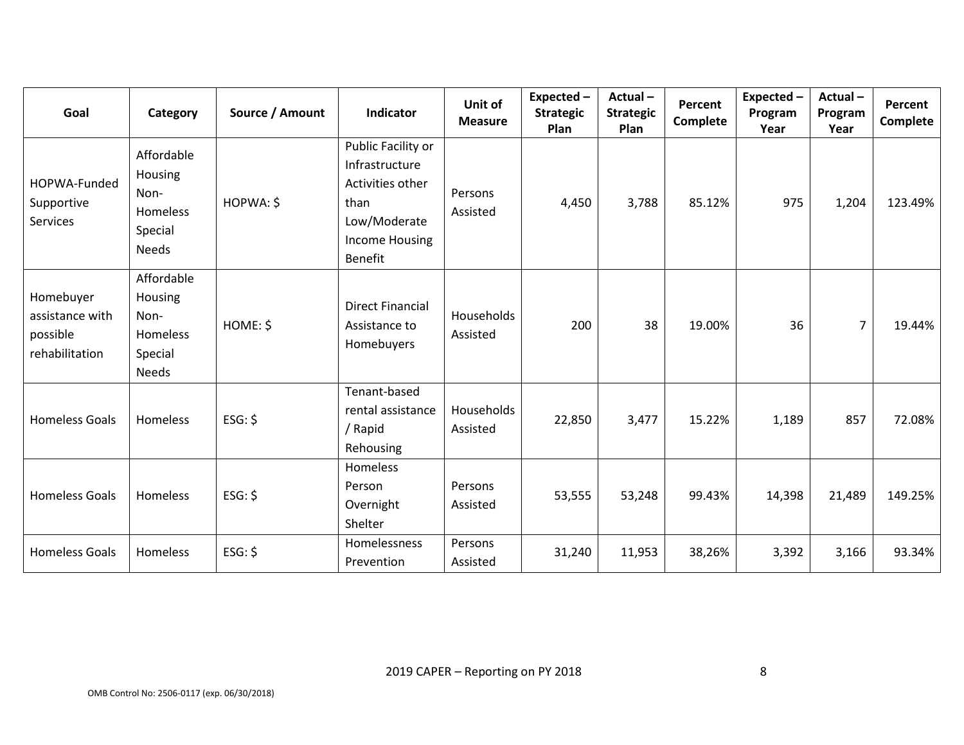| Goal                                                       | Category                                                             | Source / Amount | Indicator                                                                                                                   | Unit of<br><b>Measure</b> | Expected-<br><b>Strategic</b><br>Plan | Actual-<br><b>Strategic</b><br>Plan | Percent<br>Complete | Expected-<br>Program<br>Year | Actual-<br>Program<br>Year | Percent<br>Complete |
|------------------------------------------------------------|----------------------------------------------------------------------|-----------------|-----------------------------------------------------------------------------------------------------------------------------|---------------------------|---------------------------------------|-------------------------------------|---------------------|------------------------------|----------------------------|---------------------|
| HOPWA-Funded<br>Supportive<br>Services                     | Affordable<br>Housing<br>Non-<br>Homeless<br>Special<br><b>Needs</b> | HOPWA: \$       | Public Facility or<br>Infrastructure<br>Activities other<br>than<br>Low/Moderate<br><b>Income Housing</b><br><b>Benefit</b> | Persons<br>Assisted       | 4,450                                 | 3,788                               | 85.12%              | 975                          | 1,204                      | 123.49%             |
| Homebuyer<br>assistance with<br>possible<br>rehabilitation | Affordable<br>Housing<br>Non-<br>Homeless<br>Special<br><b>Needs</b> | HOME: \$        | <b>Direct Financial</b><br>Assistance to<br>Homebuyers                                                                      | Households<br>Assisted    | 200                                   | 38                                  | 19.00%              | 36                           | $\overline{7}$             | 19.44%              |
| <b>Homeless Goals</b>                                      | <b>Homeless</b>                                                      | $ESG:$ \$       | Tenant-based<br>rental assistance<br>/ Rapid<br>Rehousing                                                                   | Households<br>Assisted    | 22,850                                | 3,477                               | 15.22%              | 1,189                        | 857                        | 72.08%              |
| <b>Homeless Goals</b>                                      | <b>Homeless</b>                                                      | $ESG:$ \$       | Homeless<br>Person<br>Overnight<br>Shelter                                                                                  | Persons<br>Assisted       | 53,555                                | 53,248                              | 99.43%              | 14,398                       | 21,489                     | 149.25%             |
| <b>Homeless Goals</b>                                      | Homeless                                                             | ESG: \$         | Homelessness<br>Prevention                                                                                                  | Persons<br>Assisted       | 31,240                                | 11,953                              | 38,26%              | 3,392                        | 3,166                      | 93.34%              |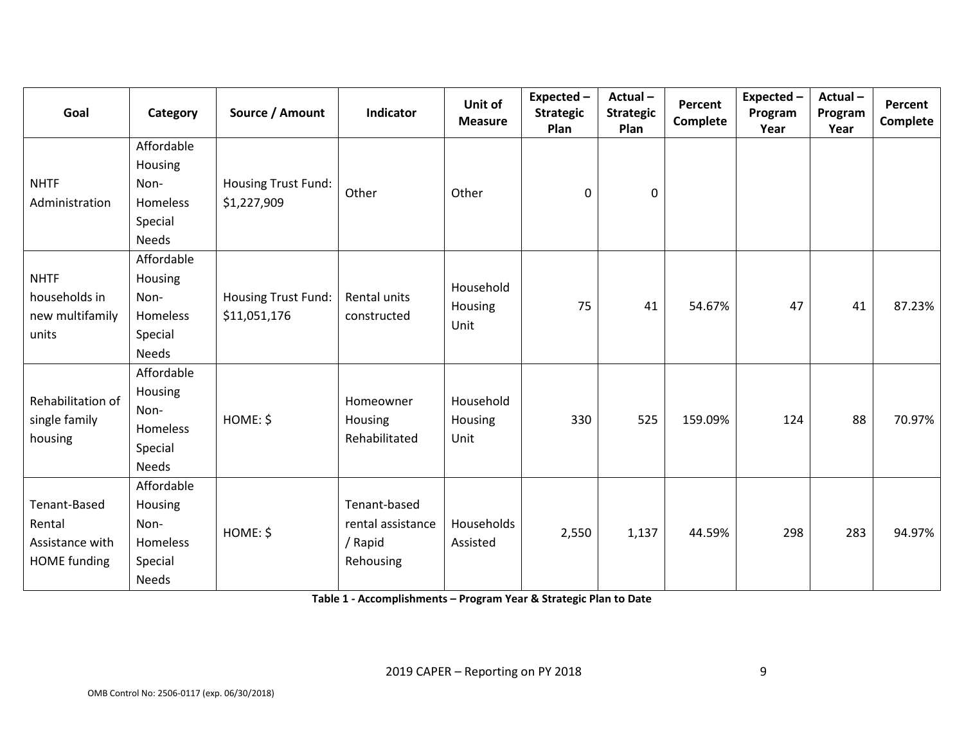| Goal                                                             | Category                                                             | Source / Amount                            | Indicator                                                 | Unit of<br><b>Measure</b>    | Expected-<br><b>Strategic</b><br>Plan | Actual-<br><b>Strategic</b><br>Plan | Percent<br><b>Complete</b> | Expected-<br>Program<br>Year | Actual-<br>Program<br>Year | Percent<br>Complete |
|------------------------------------------------------------------|----------------------------------------------------------------------|--------------------------------------------|-----------------------------------------------------------|------------------------------|---------------------------------------|-------------------------------------|----------------------------|------------------------------|----------------------------|---------------------|
| <b>NHTF</b><br>Administration                                    | Affordable<br>Housing<br>Non-<br>Homeless<br>Special<br><b>Needs</b> | <b>Housing Trust Fund:</b><br>\$1,227,909  | Other                                                     | Other                        | 0                                     | $\pmb{0}$                           |                            |                              |                            |                     |
| <b>NHTF</b><br>households in<br>new multifamily<br>units         | Affordable<br>Housing<br>Non-<br>Homeless<br>Special<br><b>Needs</b> | <b>Housing Trust Fund:</b><br>\$11,051,176 | Rental units<br>constructed                               | Household<br>Housing<br>Unit | 75                                    | 41                                  | 54.67%                     | 47                           | 41                         | 87.23%              |
| Rehabilitation of<br>single family<br>housing                    | Affordable<br>Housing<br>Non-<br>Homeless<br>Special<br><b>Needs</b> | HOME: \$                                   | Homeowner<br>Housing<br>Rehabilitated                     | Household<br>Housing<br>Unit | 330                                   | 525                                 | 159.09%                    | 124                          | 88                         | 70.97%              |
| Tenant-Based<br>Rental<br>Assistance with<br><b>HOME</b> funding | Affordable<br>Housing<br>Non-<br>Homeless<br>Special<br>Needs        | HOME: \$                                   | Tenant-based<br>rental assistance<br>/ Rapid<br>Rehousing | Households<br>Assisted       | 2,550                                 | 1,137                               | 44.59%                     | 298                          | 283                        | 94.97%              |

**Table 1 - Accomplishments – Program Year & Strategic Plan to Date**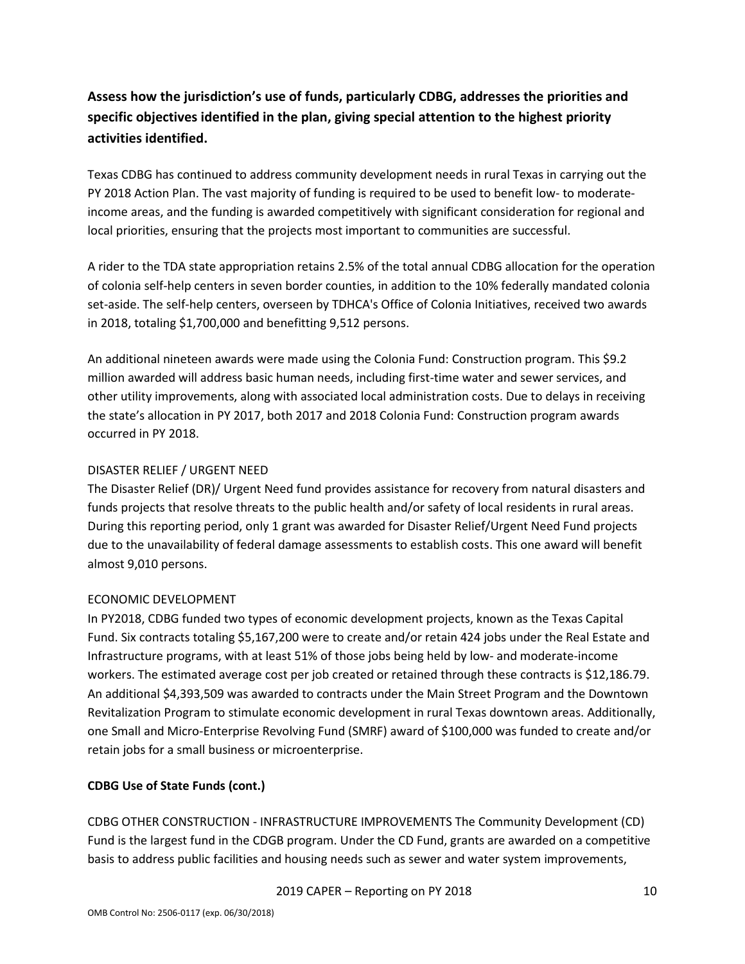# **Assess how the jurisdiction's use of funds, particularly CDBG, addresses the priorities and specific objectives identified in the plan, giving special attention to the highest priority activities identified.**

Texas CDBG has continued to address community development needs in rural Texas in carrying out the PY 2018 Action Plan. The vast majority of funding is required to be used to benefit low- to moderateincome areas, and the funding is awarded competitively with significant consideration for regional and local priorities, ensuring that the projects most important to communities are successful.

A rider to the TDA state appropriation retains 2.5% of the total annual CDBG allocation for the operation of colonia self-help centers in seven border counties, in addition to the 10% federally mandated colonia set-aside. The self-help centers, overseen by TDHCA's Office of Colonia Initiatives, received two awards in 2018, totaling \$1,700,000 and benefitting 9,512 persons.

An additional nineteen awards were made using the Colonia Fund: Construction program. This \$9.2 million awarded will address basic human needs, including first-time water and sewer services, and other utility improvements, along with associated local administration costs. Due to delays in receiving the state's allocation in PY 2017, both 2017 and 2018 Colonia Fund: Construction program awards occurred in PY 2018.

#### DISASTER RELIEF / URGENT NEED

The Disaster Relief (DR)/ Urgent Need fund provides assistance for recovery from natural disasters and funds projects that resolve threats to the public health and/or safety of local residents in rural areas. During this reporting period, only 1 grant was awarded for Disaster Relief/Urgent Need Fund projects due to the unavailability of federal damage assessments to establish costs. This one award will benefit almost 9,010 persons.

## ECONOMIC DEVELOPMENT

In PY2018, CDBG funded two types of economic development projects, known as the Texas Capital Fund. Six contracts totaling \$5,167,200 were to create and/or retain 424 jobs under the Real Estate and Infrastructure programs, with at least 51% of those jobs being held by low- and moderate-income workers. The estimated average cost per job created or retained through these contracts is \$12,186.79. An additional \$4,393,509 was awarded to contracts under the Main Street Program and the Downtown Revitalization Program to stimulate economic development in rural Texas downtown areas. Additionally, one Small and Micro-Enterprise Revolving Fund (SMRF) award of \$100,000 was funded to create and/or retain jobs for a small business or microenterprise.

## **CDBG Use of State Funds (cont.)**

CDBG OTHER CONSTRUCTION - INFRASTRUCTURE IMPROVEMENTS The Community Development (CD) Fund is the largest fund in the CDGB program. Under the CD Fund, grants are awarded on a competitive basis to address public facilities and housing needs such as sewer and water system improvements,

2019 CAPER – Reporting on PY 2018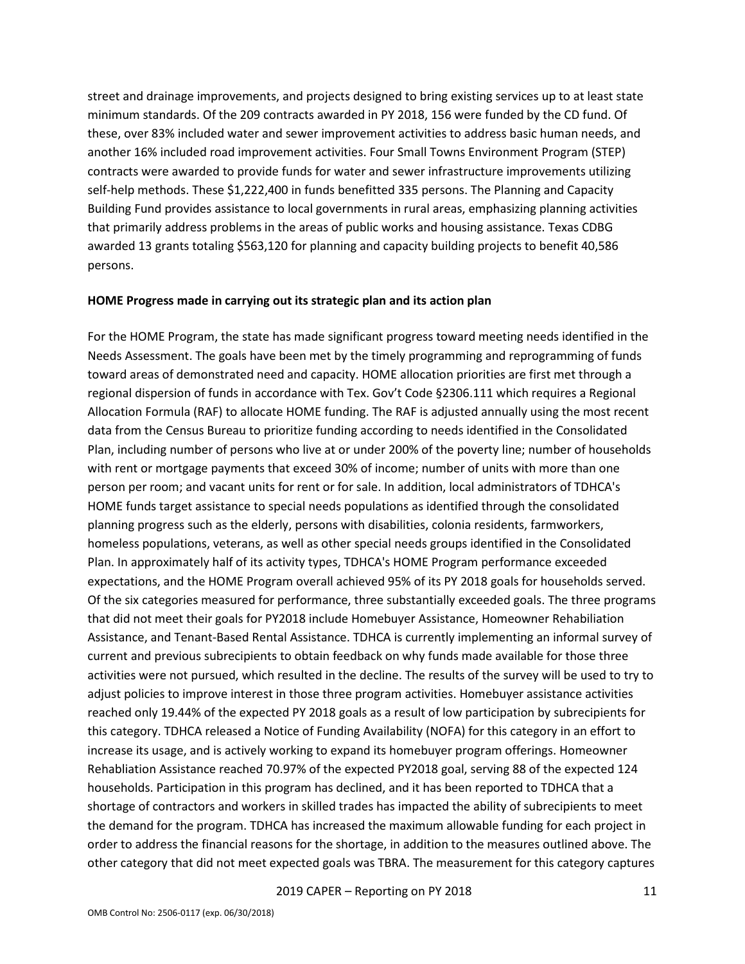street and drainage improvements, and projects designed to bring existing services up to at least state minimum standards. Of the 209 contracts awarded in PY 2018, 156 were funded by the CD fund. Of these, over 83% included water and sewer improvement activities to address basic human needs, and another 16% included road improvement activities. Four Small Towns Environment Program (STEP) contracts were awarded to provide funds for water and sewer infrastructure improvements utilizing self-help methods. These \$1,222,400 in funds benefitted 335 persons. The Planning and Capacity Building Fund provides assistance to local governments in rural areas, emphasizing planning activities that primarily address problems in the areas of public works and housing assistance. Texas CDBG awarded 13 grants totaling \$563,120 for planning and capacity building projects to benefit 40,586 persons.

#### **HOME Progress made in carrying out its strategic plan and its action plan**

For the HOME Program, the state has made significant progress toward meeting needs identified in the Needs Assessment. The goals have been met by the timely programming and reprogramming of funds toward areas of demonstrated need and capacity. HOME allocation priorities are first met through a regional dispersion of funds in accordance with Tex. Gov't Code §2306.111 which requires a Regional Allocation Formula (RAF) to allocate HOME funding. The RAF is adjusted annually using the most recent data from the Census Bureau to prioritize funding according to needs identified in the Consolidated Plan, including number of persons who live at or under 200% of the poverty line; number of households with rent or mortgage payments that exceed 30% of income; number of units with more than one person per room; and vacant units for rent or for sale. In addition, local administrators of TDHCA's HOME funds target assistance to special needs populations as identified through the consolidated planning progress such as the elderly, persons with disabilities, colonia residents, farmworkers, homeless populations, veterans, as well as other special needs groups identified in the Consolidated Plan. In approximately half of its activity types, TDHCA's HOME Program performance exceeded expectations, and the HOME Program overall achieved 95% of its PY 2018 goals for households served. Of the six categories measured for performance, three substantially exceeded goals. The three programs that did not meet their goals for PY2018 include Homebuyer Assistance, Homeowner Rehabiliation Assistance, and Tenant-Based Rental Assistance. TDHCA is currently implementing an informal survey of current and previous subrecipients to obtain feedback on why funds made available for those three activities were not pursued, which resulted in the decline. The results of the survey will be used to try to adjust policies to improve interest in those three program activities. Homebuyer assistance activities reached only 19.44% of the expected PY 2018 goals as a result of low participation by subrecipients for this category. TDHCA released a Notice of Funding Availability (NOFA) for this category in an effort to increase its usage, and is actively working to expand its homebuyer program offerings. Homeowner Rehabliation Assistance reached 70.97% of the expected PY2018 goal, serving 88 of the expected 124 households. Participation in this program has declined, and it has been reported to TDHCA that a shortage of contractors and workers in skilled trades has impacted the ability of subrecipients to meet the demand for the program. TDHCA has increased the maximum allowable funding for each project in order to address the financial reasons for the shortage, in addition to the measures outlined above. The other category that did not meet expected goals was TBRA. The measurement for this category captures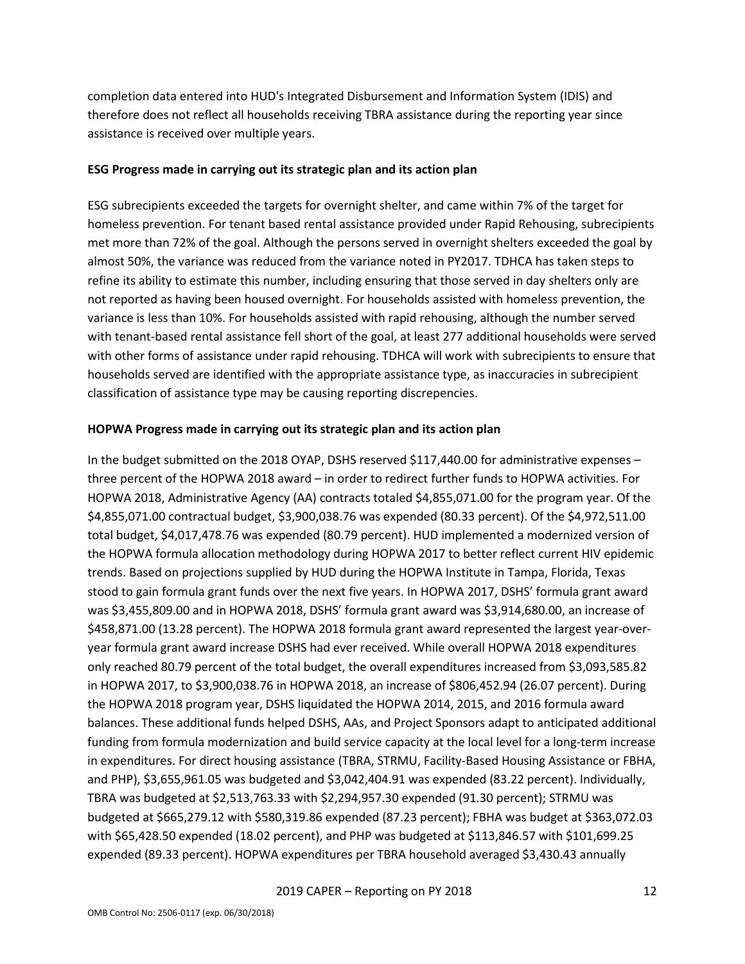completion data entered into HUD's Integrated Disbursement and Information System (IDIS) and therefore does not reflect all households receiving TBRA assistance during the reporting year since assistance is received over multiple years.

#### **ESG Progress made in carrying out its strategic plan and its action plan**

ESG subrecipients exceeded the targets for overnight shelter, and came within 7% of the target for homeless prevention. For tenant based rental assistance provided under Rapid Rehousing, subrecipients met more than 72% of the goal. Although the persons served in overnight shelters exceeded the goal by almost 50%, the variance was reduced from the variance noted in PY2017. TDHCA has taken steps to refine its ability to estimate this number, including ensuring that those served in day shelters only are not reported as having been housed overnight. For households assisted with homeless prevention, the variance is less than 10%. For households assisted with rapid rehousing, although the number served with tenant-based rental assistance fell short of the goal, at least 277 additional households were served with other forms of assistance under rapid rehousing. TDHCA will work with subrecipients to ensure that households served are identified with the appropriate assistance type, as inaccuracies in subrecipient classification of assistance type may be causing reporting discrepencies.

#### **HOPWA Progress made in carrying out its strategic plan and its action plan**

In the budget submitted on the 2018 OYAP, DSHS reserved \$117,440.00 for administrative expenses – three percent of the HOPWA 2018 award – in order to redirect further funds to HOPWA activities. For HOPWA 2018, Administrative Agency (AA) contracts totaled \$4,855,071.00 for the program year. Of the \$4,855,071.00 contractual budget, \$3,900,038.76 was expended (80.33 percent). Of the \$4,972,511.00 total budget, \$4,017,478.76 was expended (80.79 percent). HUD implemented a modernized version of the HOPWA formula allocation methodology during HOPWA 2017 to better reflect current HIV epidemic trends. Based on projections supplied by HUD during the HOPWA Institute in Tampa, Florida, Texas stood to gain formula grant funds over the next five years. In HOPWA 2017, DSHS' formula grant award was \$3,455,809.00 and in HOPWA 2018, DSHS' formula grant award was \$3,914,680.00, an increase of \$458,871.00 (13.28 percent). The HOPWA 2018 formula grant award represented the largest year-overyear formula grant award increase DSHS had ever received. While overall HOPWA 2018 expenditures only reached 80.79 percent of the total budget, the overall expenditures increased from \$3,093,585.82 in HOPWA 2017, to \$3,900,038.76 in HOPWA 2018, an increase of \$806,452.94 (26.07 percent). During the HOPWA 2018 program year, DSHS liquidated the HOPWA 2014, 2015, and 2016 formula award balances. These additional funds helped DSHS, AAs, and Project Sponsors adapt to anticipated additional funding from formula modernization and build service capacity at the local level for a long-term increase in expenditures. For direct housing assistance (TBRA, STRMU, Facility-Based Housing Assistance or FBHA, and PHP), \$3,655,961.05 was budgeted and \$3,042,404.91 was expended (83.22 percent). Individually, TBRA was budgeted at \$2,513,763.33 with \$2,294,957.30 expended (91.30 percent); STRMU was budgeted at \$665,279.12 with \$580,319.86 expended (87.23 percent); FBHA was budget at \$363,072.03 with \$65,428.50 expended (18.02 percent), and PHP was budgeted at \$113,846.57 with \$101,699.25 expended (89.33 percent). HOPWA expenditures per TBRA household averaged \$3,430.43 annually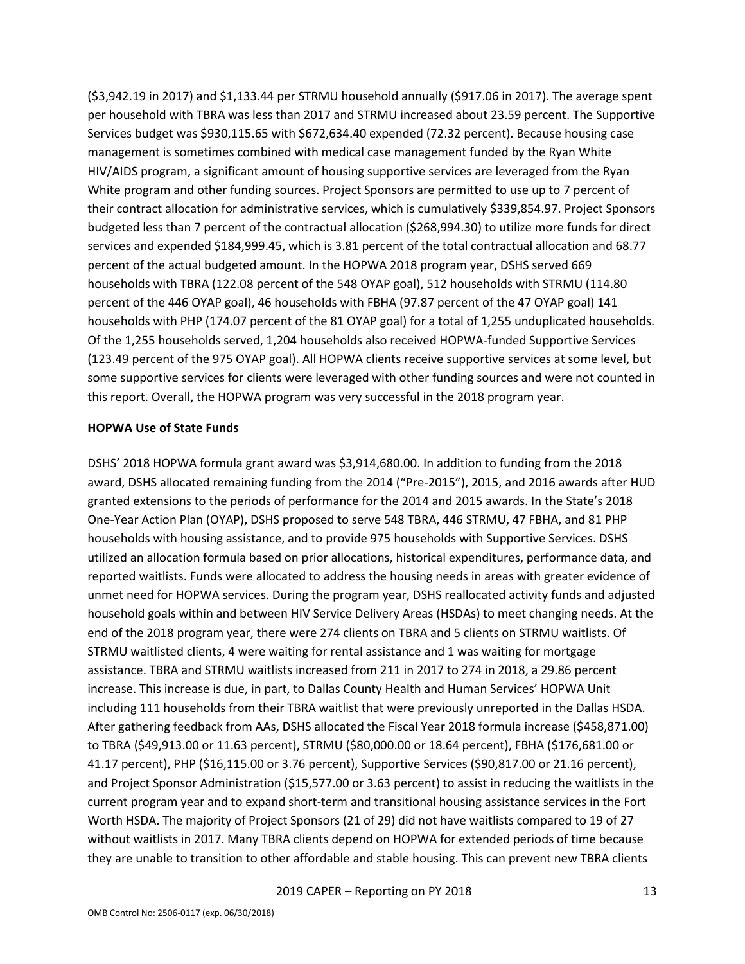(\$3,942.19 in 2017) and \$1,133.44 per STRMU household annually (\$917.06 in 2017). The average spent per household with TBRA was less than 2017 and STRMU increased about 23.59 percent. The Supportive Services budget was \$930,115.65 with \$672,634.40 expended (72.32 percent). Because housing case management is sometimes combined with medical case management funded by the Ryan White HIV/AIDS program, a significant amount of housing supportive services are leveraged from the Ryan White program and other funding sources. Project Sponsors are permitted to use up to 7 percent of their contract allocation for administrative services, which is cumulatively \$339,854.97. Project Sponsors budgeted less than 7 percent of the contractual allocation (\$268,994.30) to utilize more funds for direct services and expended \$184,999.45, which is 3.81 percent of the total contractual allocation and 68.77 percent of the actual budgeted amount. In the HOPWA 2018 program year, DSHS served 669 households with TBRA (122.08 percent of the 548 OYAP goal), 512 households with STRMU (114.80 percent of the 446 OYAP goal), 46 households with FBHA (97.87 percent of the 47 OYAP goal) 141 households with PHP (174.07 percent of the 81 OYAP goal) for a total of 1,255 unduplicated households. Of the 1,255 households served, 1,204 households also received HOPWA-funded Supportive Services (123.49 percent of the 975 OYAP goal). All HOPWA clients receive supportive services at some level, but some supportive services for clients were leveraged with other funding sources and were not counted in this report. Overall, the HOPWA program was very successful in the 2018 program year.

#### **HOPWA Use of State Funds**

DSHS' 2018 HOPWA formula grant award was \$3,914,680.00. In addition to funding from the 2018 award, DSHS allocated remaining funding from the 2014 ("Pre-2015"), 2015, and 2016 awards after HUD granted extensions to the periods of performance for the 2014 and 2015 awards. In the State's 2018 One-Year Action Plan (OYAP), DSHS proposed to serve 548 TBRA, 446 STRMU, 47 FBHA, and 81 PHP households with housing assistance, and to provide 975 households with Supportive Services. DSHS utilized an allocation formula based on prior allocations, historical expenditures, performance data, and reported waitlists. Funds were allocated to address the housing needs in areas with greater evidence of unmet need for HOPWA services. During the program year, DSHS reallocated activity funds and adjusted household goals within and between HIV Service Delivery Areas (HSDAs) to meet changing needs. At the end of the 2018 program year, there were 274 clients on TBRA and 5 clients on STRMU waitlists. Of STRMU waitlisted clients, 4 were waiting for rental assistance and 1 was waiting for mortgage assistance. TBRA and STRMU waitlists increased from 211 in 2017 to 274 in 2018, a 29.86 percent increase. This increase is due, in part, to Dallas County Health and Human Services' HOPWA Unit including 111 households from their TBRA waitlist that were previously unreported in the Dallas HSDA. After gathering feedback from AAs, DSHS allocated the Fiscal Year 2018 formula increase (\$458,871.00) to TBRA (\$49,913.00 or 11.63 percent), STRMU (\$80,000.00 or 18.64 percent), FBHA (\$176,681.00 or 41.17 percent), PHP (\$16,115.00 or 3.76 percent), Supportive Services (\$90,817.00 or 21.16 percent), and Project Sponsor Administration (\$15,577.00 or 3.63 percent) to assist in reducing the waitlists in the current program year and to expand short-term and transitional housing assistance services in the Fort Worth HSDA. The majority of Project Sponsors (21 of 29) did not have waitlists compared to 19 of 27 without waitlists in 2017. Many TBRA clients depend on HOPWA for extended periods of time because they are unable to transition to other affordable and stable housing. This can prevent new TBRA clients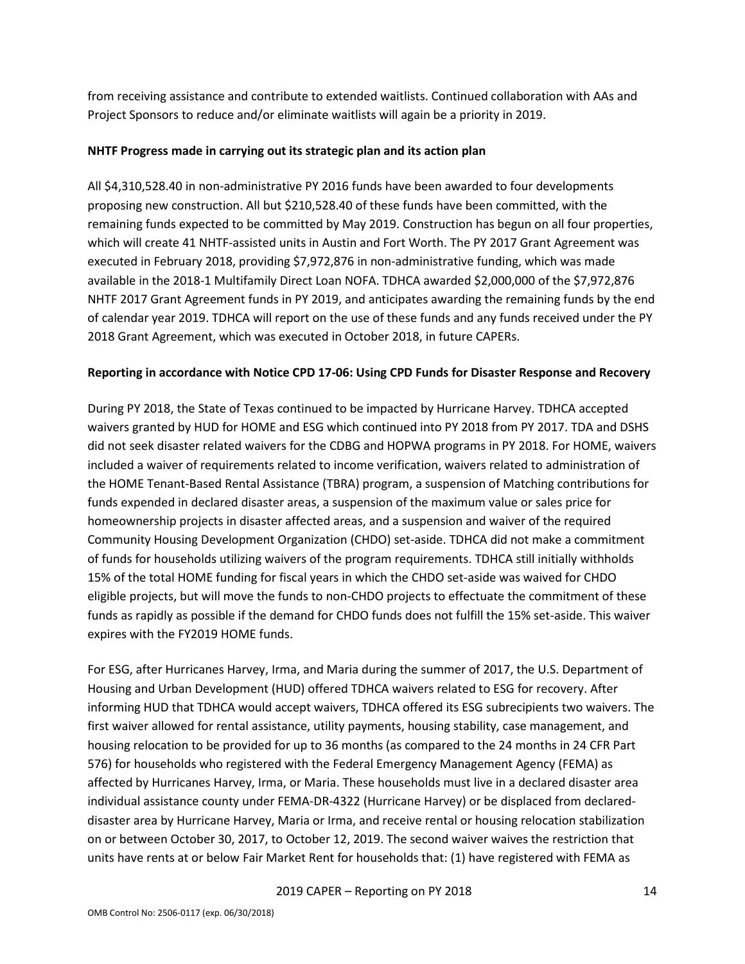from receiving assistance and contribute to extended waitlists. Continued collaboration with AAs and Project Sponsors to reduce and/or eliminate waitlists will again be a priority in 2019.

#### **NHTF Progress made in carrying out its strategic plan and its action plan**

All \$4,310,528.40 in non-administrative PY 2016 funds have been awarded to four developments proposing new construction. All but \$210,528.40 of these funds have been committed, with the remaining funds expected to be committed by May 2019. Construction has begun on all four properties, which will create 41 NHTF-assisted units in Austin and Fort Worth. The PY 2017 Grant Agreement was executed in February 2018, providing \$7,972,876 in non-administrative funding, which was made available in the 2018-1 Multifamily Direct Loan NOFA. TDHCA awarded \$2,000,000 of the \$7,972,876 NHTF 2017 Grant Agreement funds in PY 2019, and anticipates awarding the remaining funds by the end of calendar year 2019. TDHCA will report on the use of these funds and any funds received under the PY 2018 Grant Agreement, which was executed in October 2018, in future CAPERs.

#### **Reporting in accordance with Notice CPD 17-06: Using CPD Funds for Disaster Response and Recovery**

During PY 2018, the State of Texas continued to be impacted by Hurricane Harvey. TDHCA accepted waivers granted by HUD for HOME and ESG which continued into PY 2018 from PY 2017. TDA and DSHS did not seek disaster related waivers for the CDBG and HOPWA programs in PY 2018. For HOME, waivers included a waiver of requirements related to income verification, waivers related to administration of the HOME Tenant-Based Rental Assistance (TBRA) program, a suspension of Matching contributions for funds expended in declared disaster areas, a suspension of the maximum value or sales price for homeownership projects in disaster affected areas, and a suspension and waiver of the required Community Housing Development Organization (CHDO) set-aside. TDHCA did not make a commitment of funds for households utilizing waivers of the program requirements. TDHCA still initially withholds 15% of the total HOME funding for fiscal years in which the CHDO set-aside was waived for CHDO eligible projects, but will move the funds to non-CHDO projects to effectuate the commitment of these funds as rapidly as possible if the demand for CHDO funds does not fulfill the 15% set-aside. This waiver expires with the FY2019 HOME funds.

For ESG, after Hurricanes Harvey, Irma, and Maria during the summer of 2017, the U.S. Department of Housing and Urban Development (HUD) offered TDHCA waivers related to ESG for recovery. After informing HUD that TDHCA would accept waivers, TDHCA offered its ESG subrecipients two waivers. The first waiver allowed for rental assistance, utility payments, housing stability, case management, and housing relocation to be provided for up to 36 months (as compared to the 24 months in 24 CFR Part 576) for households who registered with the Federal Emergency Management Agency (FEMA) as affected by Hurricanes Harvey, Irma, or Maria. These households must live in a declared disaster area individual assistance county under FEMA-DR-4322 (Hurricane Harvey) or be displaced from declareddisaster area by Hurricane Harvey, Maria or Irma, and receive rental or housing relocation stabilization on or between October 30, 2017, to October 12, 2019. The second waiver waives the restriction that units have rents at or below Fair Market Rent for households that: (1) have registered with FEMA as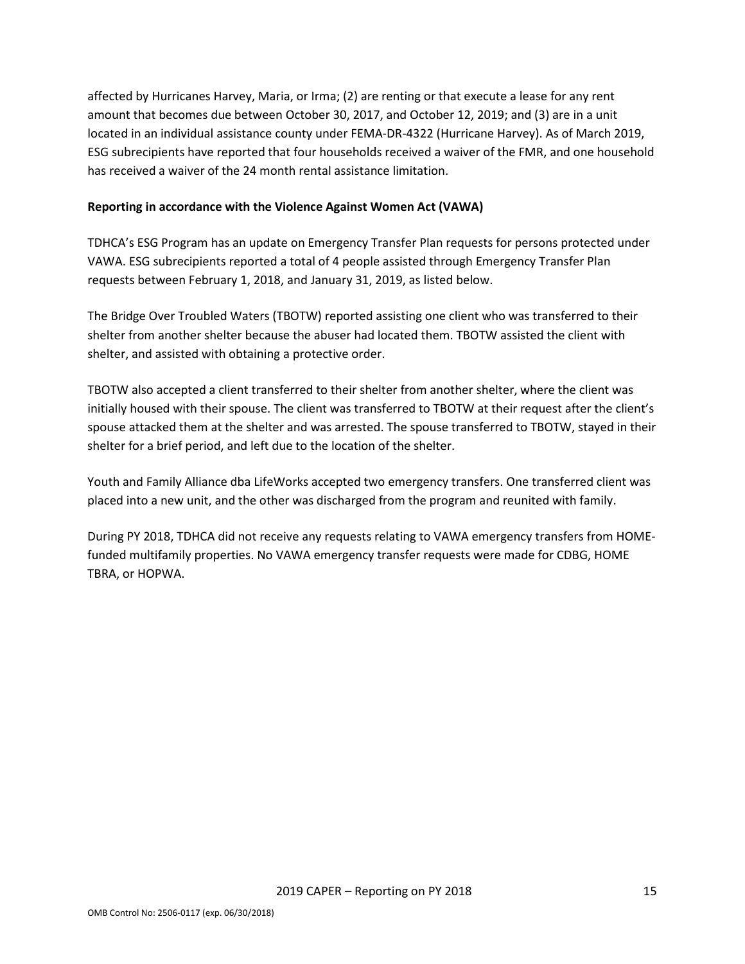affected by Hurricanes Harvey, Maria, or Irma; (2) are renting or that execute a lease for any rent amount that becomes due between October 30, 2017, and October 12, 2019; and (3) are in a unit located in an individual assistance county under FEMA-DR-4322 (Hurricane Harvey). As of March 2019, ESG subrecipients have reported that four households received a waiver of the FMR, and one household has received a waiver of the 24 month rental assistance limitation.

#### **Reporting in accordance with the Violence Against Women Act (VAWA)**

TDHCA's ESG Program has an update on Emergency Transfer Plan requests for persons protected under VAWA. ESG subrecipients reported a total of 4 people assisted through Emergency Transfer Plan requests between February 1, 2018, and January 31, 2019, as listed below.

The Bridge Over Troubled Waters (TBOTW) reported assisting one client who was transferred to their shelter from another shelter because the abuser had located them. TBOTW assisted the client with shelter, and assisted with obtaining a protective order.

TBOTW also accepted a client transferred to their shelter from another shelter, where the client was initially housed with their spouse. The client was transferred to TBOTW at their request after the client's spouse attacked them at the shelter and was arrested. The spouse transferred to TBOTW, stayed in their shelter for a brief period, and left due to the location of the shelter.

Youth and Family Alliance dba LifeWorks accepted two emergency transfers. One transferred client was placed into a new unit, and the other was discharged from the program and reunited with family.

During PY 2018, TDHCA did not receive any requests relating to VAWA emergency transfers from HOMEfunded multifamily properties. No VAWA emergency transfer requests were made for CDBG, HOME TBRA, or HOPWA.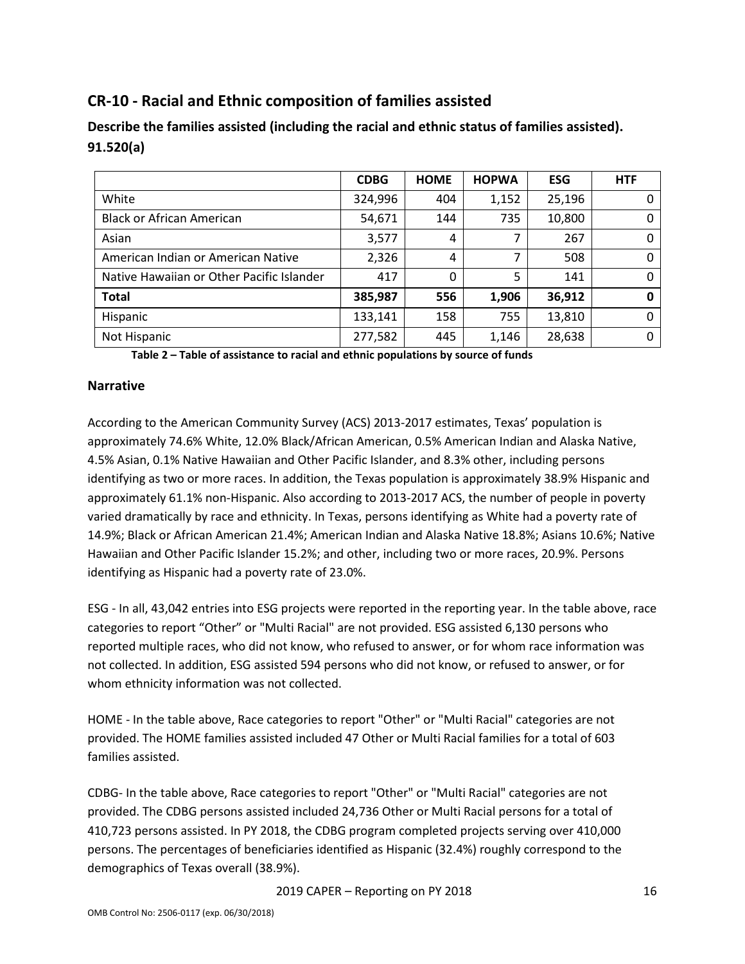# <span id="page-15-0"></span>**CR-10 - Racial and Ethnic composition of families assisted**

|                                           | <b>CDBG</b> | <b>HOME</b> | <b>HOPWA</b> | <b>ESG</b> | <b>HTF</b> |
|-------------------------------------------|-------------|-------------|--------------|------------|------------|
| White                                     | 324,996     | 404         | 1,152        | 25,196     | 0          |
| <b>Black or African American</b>          | 54,671      | 144         | 735          | 10,800     | 0          |
| Asian                                     | 3,577       | 4           | 7            | 267        | 0          |
| American Indian or American Native        | 2,326       | 4           | 7            | 508        | 0          |
| Native Hawaiian or Other Pacific Islander | 417         | 0           | 5            | 141        | $\Omega$   |
| <b>Total</b>                              | 385,987     | 556         | 1,906        | 36,912     | 0          |
| Hispanic                                  | 133,141     | 158         | 755          | 13,810     | $\Omega$   |
| Not Hispanic                              | 277,582     | 445         | 1,146        | 28,638     | $\Omega$   |

**Describe the families assisted (including the racial and ethnic status of families assisted). 91.520(a)** 

**Table 2 – Table of assistance to racial and ethnic populations by source of funds**

#### **Narrative**

According to the American Community Survey (ACS) 2013-2017 estimates, Texas' population is approximately 74.6% White, 12.0% Black/African American, 0.5% American Indian and Alaska Native, 4.5% Asian, 0.1% Native Hawaiian and Other Pacific Islander, and 8.3% other, including persons identifying as two or more races. In addition, the Texas population is approximately 38.9% Hispanic and approximately 61.1% non-Hispanic. Also according to 2013-2017 ACS, the number of people in poverty varied dramatically by race and ethnicity. In Texas, persons identifying as White had a poverty rate of 14.9%; Black or African American 21.4%; American Indian and Alaska Native 18.8%; Asians 10.6%; Native Hawaiian and Other Pacific Islander 15.2%; and other, including two or more races, 20.9%. Persons identifying as Hispanic had a poverty rate of 23.0%.

ESG - In all, 43,042 entries into ESG projects were reported in the reporting year. In the table above, race categories to report "Other" or "Multi Racial" are not provided. ESG assisted 6,130 persons who reported multiple races, who did not know, who refused to answer, or for whom race information was not collected. In addition, ESG assisted 594 persons who did not know, or refused to answer, or for whom ethnicity information was not collected.

HOME - In the table above, Race categories to report "Other" or "Multi Racial" categories are not provided. The HOME families assisted included 47 Other or Multi Racial families for a total of 603 families assisted.

CDBG- In the table above, Race categories to report "Other" or "Multi Racial" categories are not provided. The CDBG persons assisted included 24,736 Other or Multi Racial persons for a total of 410,723 persons assisted. In PY 2018, the CDBG program completed projects serving over 410,000 persons. The percentages of beneficiaries identified as Hispanic (32.4%) roughly correspond to the demographics of Texas overall (38.9%).

2019 CAPER – Reporting on PY 2018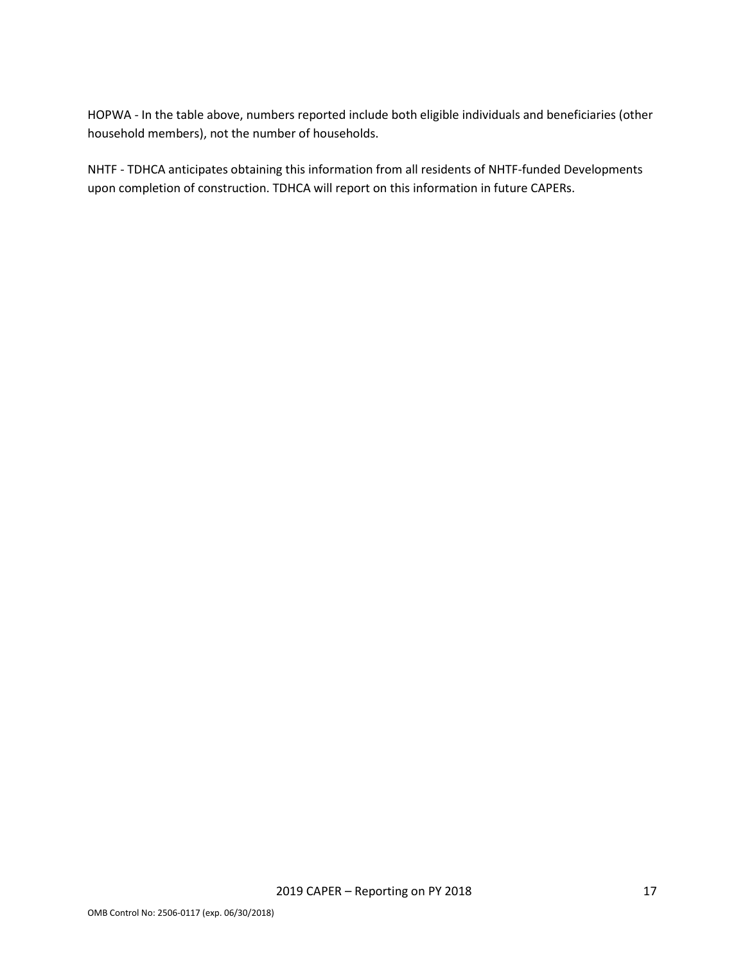HOPWA - In the table above, numbers reported include both eligible individuals and beneficiaries (other household members), not the number of households.

NHTF - TDHCA anticipates obtaining this information from all residents of NHTF-funded Developments upon completion of construction. TDHCA will report on this information in future CAPERs.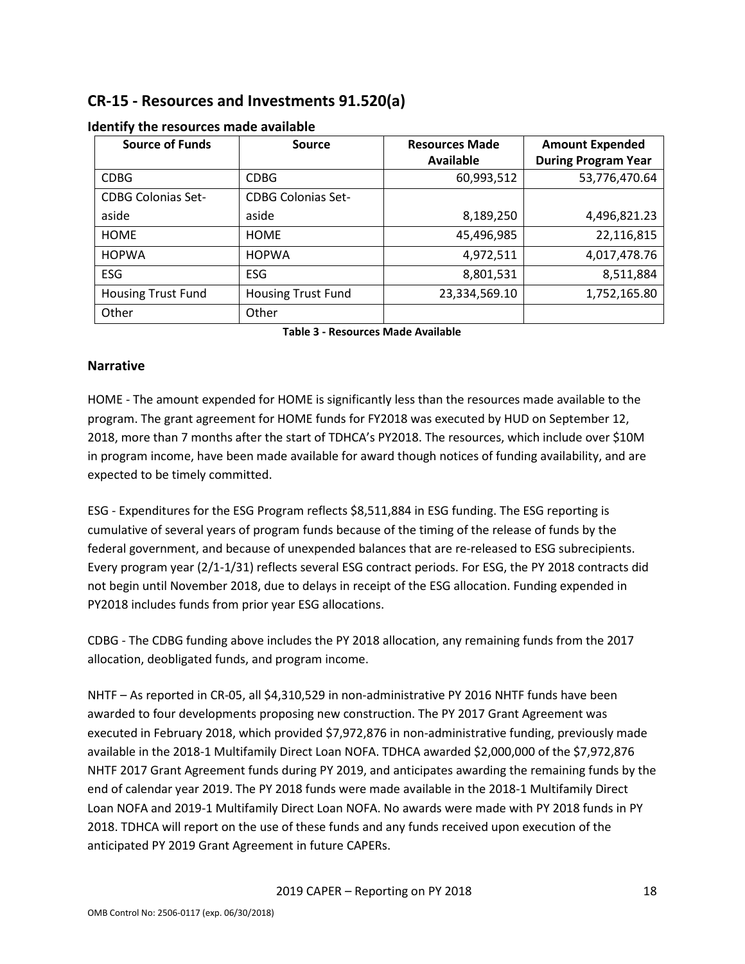# <span id="page-17-0"></span>**CR-15 - Resources and Investments 91.520(a)**

| <b>Source of Funds</b>    | <b>Source</b>             | <b>Resources Made</b> | <b>Amount Expended</b>     |
|---------------------------|---------------------------|-----------------------|----------------------------|
|                           |                           | <b>Available</b>      | <b>During Program Year</b> |
| <b>CDBG</b>               | <b>CDBG</b>               | 60,993,512            | 53,776,470.64              |
| <b>CDBG Colonias Set-</b> | <b>CDBG Colonias Set-</b> |                       |                            |
| aside                     | aside                     | 8,189,250             | 4,496,821.23               |
| <b>HOME</b>               | <b>HOME</b>               | 45,496,985            | 22,116,815                 |
| <b>HOPWA</b>              | <b>HOPWA</b>              | 4,972,511             | 4,017,478.76               |
| ESG                       | ESG                       | 8,801,531             | 8,511,884                  |
| <b>Housing Trust Fund</b> | <b>Housing Trust Fund</b> | 23,334,569.10         | 1,752,165.80               |
| Other                     | Other                     |                       |                            |

#### **Identify the resources made available**

**Table 3 - Resources Made Available**

## **Narrative**

HOME - The amount expended for HOME is significantly less than the resources made available to the program. The grant agreement for HOME funds for FY2018 was executed by HUD on September 12, 2018, more than 7 months after the start of TDHCA's PY2018. The resources, which include over \$10M in program income, have been made available for award though notices of funding availability, and are expected to be timely committed.

ESG - Expenditures for the ESG Program reflects \$8,511,884 in ESG funding. The ESG reporting is cumulative of several years of program funds because of the timing of the release of funds by the federal government, and because of unexpended balances that are re-released to ESG subrecipients. Every program year (2/1-1/31) reflects several ESG contract periods. For ESG, the PY 2018 contracts did not begin until November 2018, due to delays in receipt of the ESG allocation. Funding expended in PY2018 includes funds from prior year ESG allocations.

CDBG - The CDBG funding above includes the PY 2018 allocation, any remaining funds from the 2017 allocation, deobligated funds, and program income.

NHTF – As reported in CR-05, all \$4,310,529 in non-administrative PY 2016 NHTF funds have been awarded to four developments proposing new construction. The PY 2017 Grant Agreement was executed in February 2018, which provided \$7,972,876 in non-administrative funding, previously made available in the 2018-1 Multifamily Direct Loan NOFA. TDHCA awarded \$2,000,000 of the \$7,972,876 NHTF 2017 Grant Agreement funds during PY 2019, and anticipates awarding the remaining funds by the end of calendar year 2019. The PY 2018 funds were made available in the 2018-1 Multifamily Direct Loan NOFA and 2019-1 Multifamily Direct Loan NOFA. No awards were made with PY 2018 funds in PY 2018. TDHCA will report on the use of these funds and any funds received upon execution of the anticipated PY 2019 Grant Agreement in future CAPERs.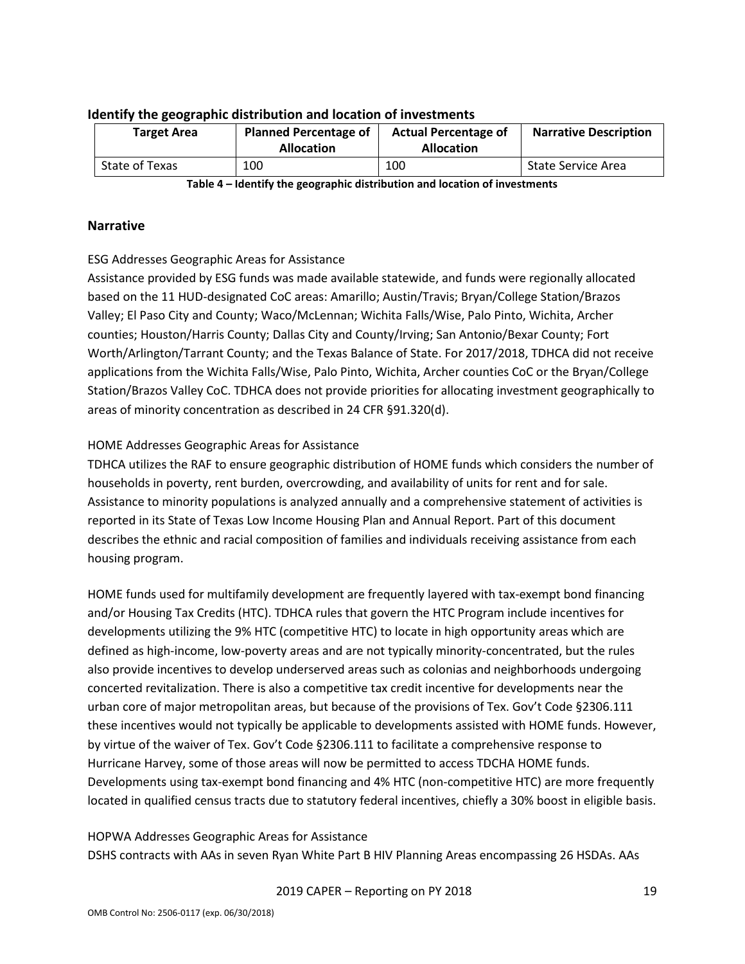| <b>Target Area</b> | <b>Planned Percentage of</b><br><b>Allocation</b> | <b>Actual Percentage of</b><br><b>Allocation</b> | <b>Narrative Description</b> |
|--------------------|---------------------------------------------------|--------------------------------------------------|------------------------------|
| State of Texas     | 100                                               | 100                                              | State Service Area           |

#### **Identify the geographic distribution and location of investments**

**Table 4 – Identify the geographic distribution and location of investments**

#### **Narrative**

#### ESG Addresses Geographic Areas for Assistance

Assistance provided by ESG funds was made available statewide, and funds were regionally allocated based on the 11 HUD-designated CoC areas: Amarillo; Austin/Travis; Bryan/College Station/Brazos Valley; El Paso City and County; Waco/McLennan; Wichita Falls/Wise, Palo Pinto, Wichita, Archer counties; Houston/Harris County; Dallas City and County/Irving; San Antonio/Bexar County; Fort Worth/Arlington/Tarrant County; and the Texas Balance of State. For 2017/2018, TDHCA did not receive applications from the Wichita Falls/Wise, Palo Pinto, Wichita, Archer counties CoC or the Bryan/College Station/Brazos Valley CoC. TDHCA does not provide priorities for allocating investment geographically to areas of minority concentration as described in 24 CFR §91.320(d).

#### HOME Addresses Geographic Areas for Assistance

TDHCA utilizes the RAF to ensure geographic distribution of HOME funds which considers the number of households in poverty, rent burden, overcrowding, and availability of units for rent and for sale. Assistance to minority populations is analyzed annually and a comprehensive statement of activities is reported in its State of Texas Low Income Housing Plan and Annual Report. Part of this document describes the ethnic and racial composition of families and individuals receiving assistance from each housing program.

HOME funds used for multifamily development are frequently layered with tax-exempt bond financing and/or Housing Tax Credits (HTC). TDHCA rules that govern the HTC Program include incentives for developments utilizing the 9% HTC (competitive HTC) to locate in high opportunity areas which are defined as high-income, low-poverty areas and are not typically minority-concentrated, but the rules also provide incentives to develop underserved areas such as colonias and neighborhoods undergoing concerted revitalization. There is also a competitive tax credit incentive for developments near the urban core of major metropolitan areas, but because of the provisions of Tex. Gov't Code §2306.111 these incentives would not typically be applicable to developments assisted with HOME funds. However, by virtue of the waiver of Tex. Gov't Code §2306.111 to facilitate a comprehensive response to Hurricane Harvey, some of those areas will now be permitted to access TDCHA HOME funds. Developments using tax-exempt bond financing and 4% HTC (non-competitive HTC) are more frequently located in qualified census tracts due to statutory federal incentives, chiefly a 30% boost in eligible basis.

HOPWA Addresses Geographic Areas for Assistance

DSHS contracts with AAs in seven Ryan White Part B HIV Planning Areas encompassing 26 HSDAs. AAs

2019 CAPER – Reporting on PY 2018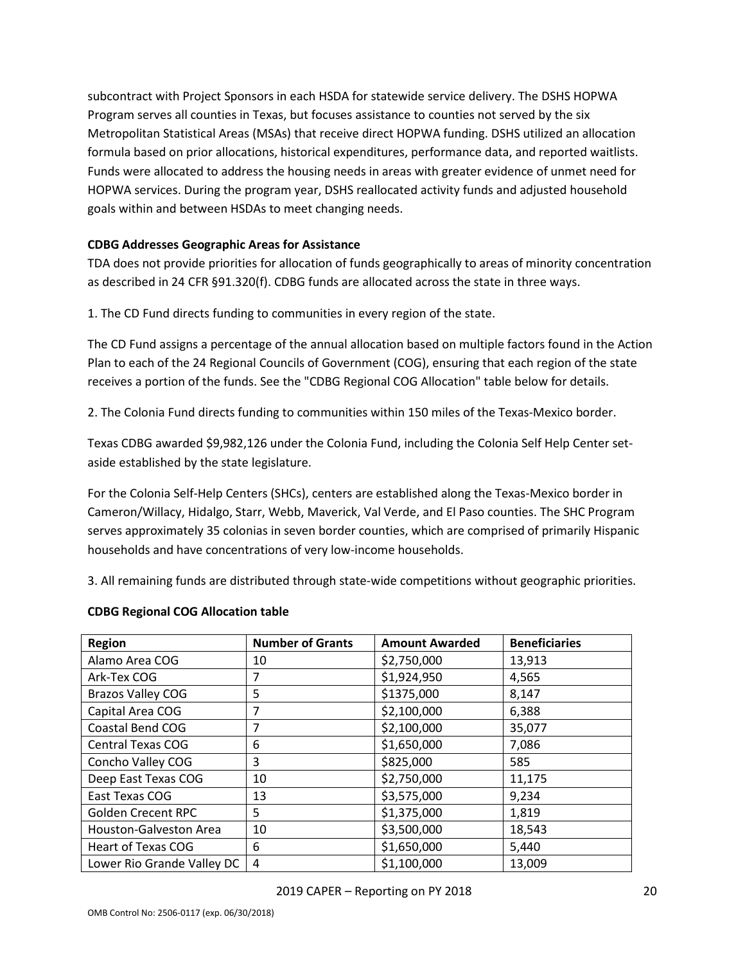subcontract with Project Sponsors in each HSDA for statewide service delivery. The DSHS HOPWA Program serves all counties in Texas, but focuses assistance to counties not served by the six Metropolitan Statistical Areas (MSAs) that receive direct HOPWA funding. DSHS utilized an allocation formula based on prior allocations, historical expenditures, performance data, and reported waitlists. Funds were allocated to address the housing needs in areas with greater evidence of unmet need for HOPWA services. During the program year, DSHS reallocated activity funds and adjusted household goals within and between HSDAs to meet changing needs.

#### **CDBG Addresses Geographic Areas for Assistance**

TDA does not provide priorities for allocation of funds geographically to areas of minority concentration as described in 24 CFR §91.320(f). CDBG funds are allocated across the state in three ways.

1. The CD Fund directs funding to communities in every region of the state.

The CD Fund assigns a percentage of the annual allocation based on multiple factors found in the Action Plan to each of the 24 Regional Councils of Government (COG), ensuring that each region of the state receives a portion of the funds. See the "CDBG Regional COG Allocation" table below for details.

2. The Colonia Fund directs funding to communities within 150 miles of the Texas-Mexico border.

Texas CDBG awarded \$9,982,126 under the Colonia Fund, including the Colonia Self Help Center setaside established by the state legislature.

For the Colonia Self-Help Centers (SHCs), centers are established along the Texas-Mexico border in Cameron/Willacy, Hidalgo, Starr, Webb, Maverick, Val Verde, and El Paso counties. The SHC Program serves approximately 35 colonias in seven border counties, which are comprised of primarily Hispanic households and have concentrations of very low-income households.

3. All remaining funds are distributed through state-wide competitions without geographic priorities.

| <b>Region</b>                 | <b>Number of Grants</b> | <b>Amount Awarded</b> | <b>Beneficiaries</b> |
|-------------------------------|-------------------------|-----------------------|----------------------|
| Alamo Area COG                | 10                      | \$2,750,000           | 13,913               |
| Ark-Tex COG                   | 7                       | \$1,924,950           | 4,565                |
| <b>Brazos Valley COG</b>      | 5                       | \$1375,000            | 8,147                |
| Capital Area COG              | 7                       | \$2,100,000           | 6,388                |
| Coastal Bend COG              | 7                       | \$2,100,000           | 35,077               |
| <b>Central Texas COG</b>      | 6                       | \$1,650,000           | 7,086                |
| Concho Valley COG             | 3                       | \$825,000             | 585                  |
| Deep East Texas COG           | 10                      | \$2,750,000           | 11,175               |
| East Texas COG                | 13                      | \$3,575,000           | 9,234                |
| <b>Golden Crecent RPC</b>     | 5                       | \$1,375,000           | 1,819                |
| <b>Houston-Galveston Area</b> | 10                      | \$3,500,000           | 18,543               |
| <b>Heart of Texas COG</b>     | 6                       | \$1,650,000           | 5,440                |
| Lower Rio Grande Valley DC    | 4                       | \$1,100,000           | 13,009               |

#### **CDBG Regional COG Allocation table**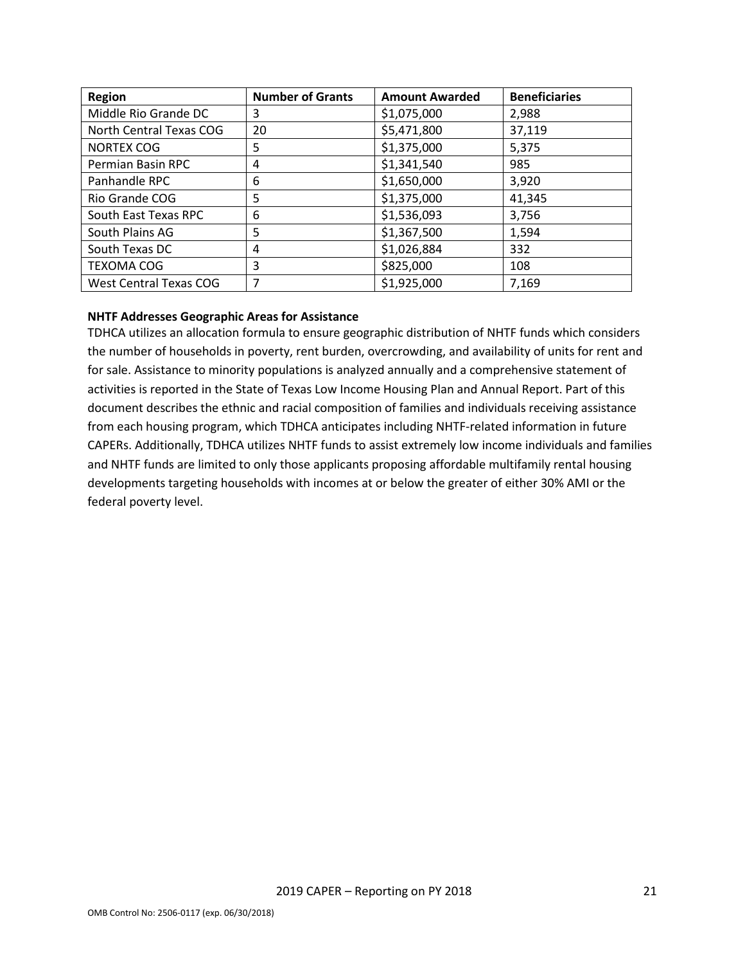| Region                        | <b>Number of Grants</b> | <b>Amount Awarded</b> | <b>Beneficiaries</b> |
|-------------------------------|-------------------------|-----------------------|----------------------|
| Middle Rio Grande DC          | 3                       | \$1,075,000           | 2,988                |
| North Central Texas COG       | 20                      | \$5,471,800           | 37,119               |
| <b>NORTEX COG</b>             | 5                       | \$1,375,000           | 5,375                |
| Permian Basin RPC             | 4                       | \$1,341,540           | 985                  |
| Panhandle RPC                 | 6                       | \$1,650,000           | 3,920                |
| Rio Grande COG                | 5                       | \$1,375,000           | 41,345               |
| South East Texas RPC          | 6                       | \$1,536,093           | 3,756                |
| South Plains AG               | 5                       | \$1,367,500           | 1,594                |
| South Texas DC                | 4                       | \$1,026,884           | 332                  |
| <b>TEXOMA COG</b>             | 3                       | \$825,000             | 108                  |
| <b>West Central Texas COG</b> |                         | \$1,925,000           | 7,169                |

#### **NHTF Addresses Geographic Areas for Assistance**

TDHCA utilizes an allocation formula to ensure geographic distribution of NHTF funds which considers the number of households in poverty, rent burden, overcrowding, and availability of units for rent and for sale. Assistance to minority populations is analyzed annually and a comprehensive statement of activities is reported in the State of Texas Low Income Housing Plan and Annual Report. Part of this document describes the ethnic and racial composition of families and individuals receiving assistance from each housing program, which TDHCA anticipates including NHTF-related information in future CAPERs. Additionally, TDHCA utilizes NHTF funds to assist extremely low income individuals and families and NHTF funds are limited to only those applicants proposing affordable multifamily rental housing developments targeting households with incomes at or below the greater of either 30% AMI or the federal poverty level.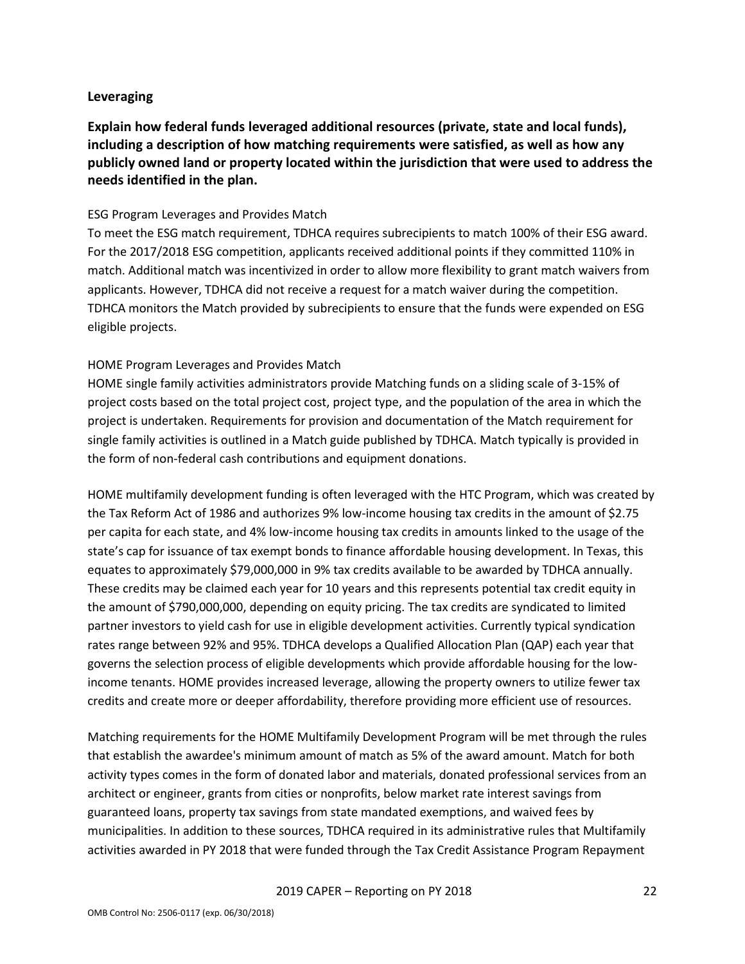#### **Leveraging**

**Explain how federal funds leveraged additional resources (private, state and local funds), including a description of how matching requirements were satisfied, as well as how any publicly owned land or property located within the jurisdiction that were used to address the needs identified in the plan.**

#### ESG Program Leverages and Provides Match

To meet the ESG match requirement, TDHCA requires subrecipients to match 100% of their ESG award. For the 2017/2018 ESG competition, applicants received additional points if they committed 110% in match. Additional match was incentivized in order to allow more flexibility to grant match waivers from applicants. However, TDHCA did not receive a request for a match waiver during the competition. TDHCA monitors the Match provided by subrecipients to ensure that the funds were expended on ESG eligible projects.

#### HOME Program Leverages and Provides Match

HOME single family activities administrators provide Matching funds on a sliding scale of 3-15% of project costs based on the total project cost, project type, and the population of the area in which the project is undertaken. Requirements for provision and documentation of the Match requirement for single family activities is outlined in a Match guide published by TDHCA. Match typically is provided in the form of non-federal cash contributions and equipment donations.

HOME multifamily development funding is often leveraged with the HTC Program, which was created by the Tax Reform Act of 1986 and authorizes 9% low-income housing tax credits in the amount of \$2.75 per capita for each state, and 4% low-income housing tax credits in amounts linked to the usage of the state's cap for issuance of tax exempt bonds to finance affordable housing development. In Texas, this equates to approximately \$79,000,000 in 9% tax credits available to be awarded by TDHCA annually. These credits may be claimed each year for 10 years and this represents potential tax credit equity in the amount of \$790,000,000, depending on equity pricing. The tax credits are syndicated to limited partner investors to yield cash for use in eligible development activities. Currently typical syndication rates range between 92% and 95%. TDHCA develops a Qualified Allocation Plan (QAP) each year that governs the selection process of eligible developments which provide affordable housing for the lowincome tenants. HOME provides increased leverage, allowing the property owners to utilize fewer tax credits and create more or deeper affordability, therefore providing more efficient use of resources.

Matching requirements for the HOME Multifamily Development Program will be met through the rules that establish the awardee's minimum amount of match as 5% of the award amount. Match for both activity types comes in the form of donated labor and materials, donated professional services from an architect or engineer, grants from cities or nonprofits, below market rate interest savings from guaranteed loans, property tax savings from state mandated exemptions, and waived fees by municipalities. In addition to these sources, TDHCA required in its administrative rules that Multifamily activities awarded in PY 2018 that were funded through the Tax Credit Assistance Program Repayment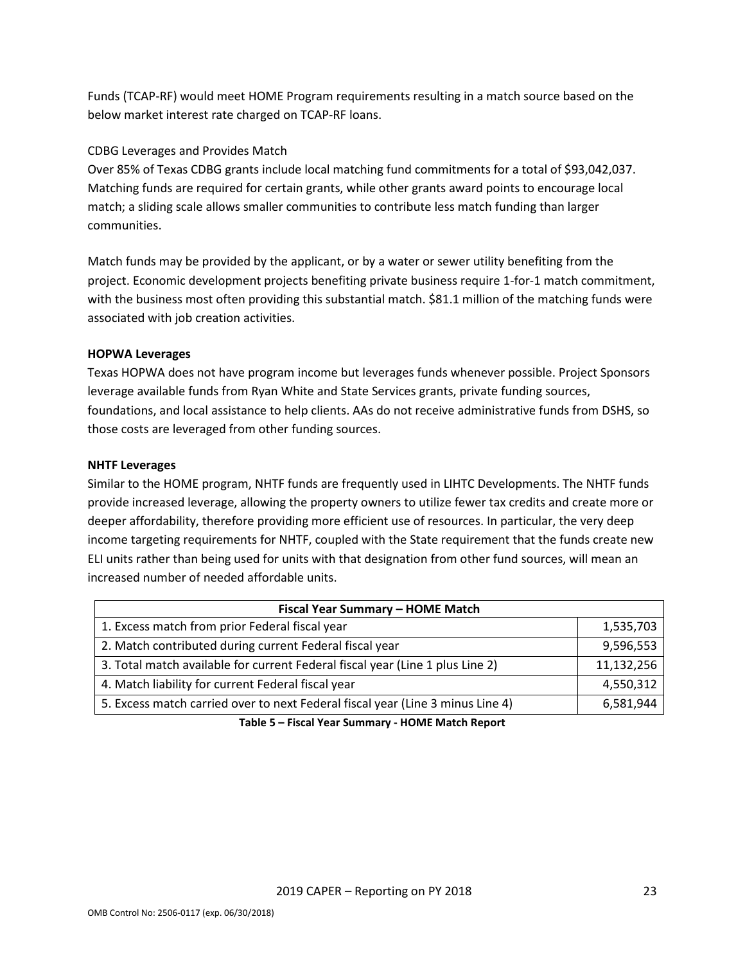Funds (TCAP-RF) would meet HOME Program requirements resulting in a match source based on the below market interest rate charged on TCAP-RF loans.

#### CDBG Leverages and Provides Match

Over 85% of Texas CDBG grants include local matching fund commitments for a total of \$93,042,037. Matching funds are required for certain grants, while other grants award points to encourage local match; a sliding scale allows smaller communities to contribute less match funding than larger communities.

Match funds may be provided by the applicant, or by a water or sewer utility benefiting from the project. Economic development projects benefiting private business require 1-for-1 match commitment, with the business most often providing this substantial match. \$81.1 million of the matching funds were associated with job creation activities.

#### **HOPWA Leverages**

Texas HOPWA does not have program income but leverages funds whenever possible. Project Sponsors leverage available funds from Ryan White and State Services grants, private funding sources, foundations, and local assistance to help clients. AAs do not receive administrative funds from DSHS, so those costs are leveraged from other funding sources.

#### **NHTF Leverages**

Similar to the HOME program, NHTF funds are frequently used in LIHTC Developments. The NHTF funds provide increased leverage, allowing the property owners to utilize fewer tax credits and create more or deeper affordability, therefore providing more efficient use of resources. In particular, the very deep income targeting requirements for NHTF, coupled with the State requirement that the funds create new ELI units rather than being used for units with that designation from other fund sources, will mean an increased number of needed affordable units.

| Fiscal Year Summary - HOME Match                                               |            |  |  |  |  |
|--------------------------------------------------------------------------------|------------|--|--|--|--|
| 1. Excess match from prior Federal fiscal year                                 | 1,535,703  |  |  |  |  |
| 2. Match contributed during current Federal fiscal year                        | 9,596,553  |  |  |  |  |
| 3. Total match available for current Federal fiscal year (Line 1 plus Line 2)  | 11,132,256 |  |  |  |  |
| 4. Match liability for current Federal fiscal year                             | 4,550,312  |  |  |  |  |
| 5. Excess match carried over to next Federal fiscal year (Line 3 minus Line 4) | 6,581,944  |  |  |  |  |

**Table 5 – Fiscal Year Summary - HOME Match Report**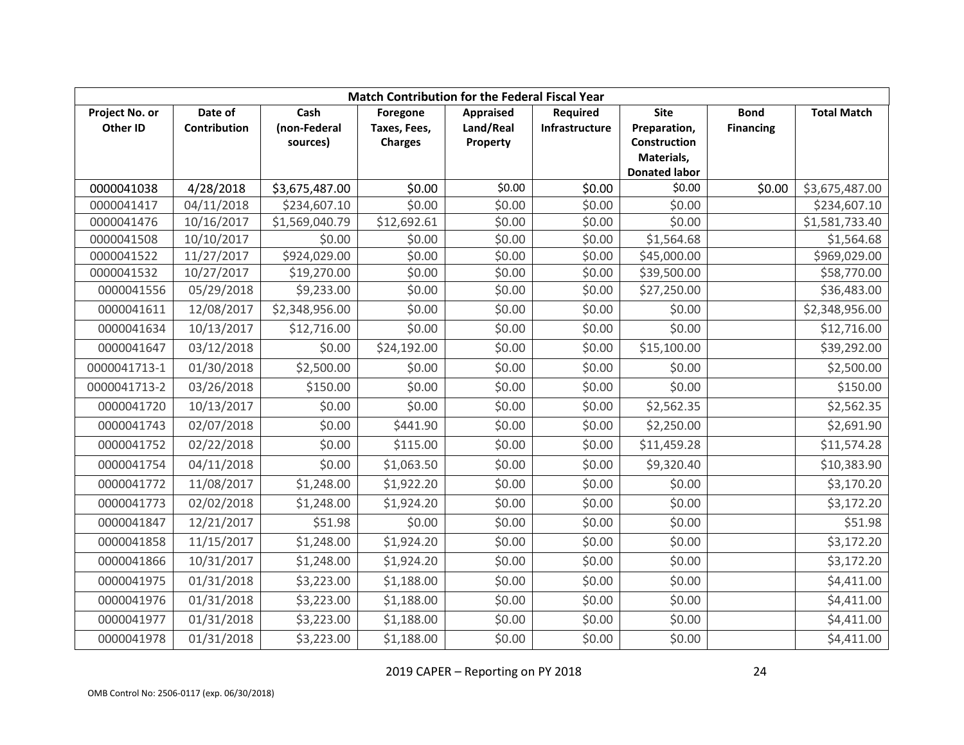| <b>Match Contribution for the Federal Fiscal Year</b> |                         |                                  |                                            |                                           |                                   |                                                           |                                 |                    |  |
|-------------------------------------------------------|-------------------------|----------------------------------|--------------------------------------------|-------------------------------------------|-----------------------------------|-----------------------------------------------------------|---------------------------------|--------------------|--|
| Project No. or<br>Other ID                            | Date of<br>Contribution | Cash<br>(non-Federal<br>sources) | Foregone<br>Taxes, Fees,<br><b>Charges</b> | <b>Appraised</b><br>Land/Real<br>Property | <b>Required</b><br>Infrastructure | <b>Site</b><br>Preparation,<br>Construction<br>Materials, | <b>Bond</b><br><b>Financing</b> | <b>Total Match</b> |  |
|                                                       |                         |                                  |                                            |                                           |                                   | <b>Donated labor</b>                                      |                                 |                    |  |
| 0000041038                                            | 4/28/2018               | \$3,675,487.00                   | \$0.00                                     | \$0.00                                    | \$0.00                            | \$0.00                                                    | \$0.00                          | \$3,675,487.00     |  |
| 0000041417                                            | 04/11/2018              | \$234,607.10                     | \$0.00                                     | \$0.00                                    | \$0.00                            | \$0.00                                                    |                                 | \$234,607.10       |  |
| 0000041476                                            | 10/16/2017              | \$1,569,040.79                   | \$12,692.61                                | \$0.00                                    | \$0.00                            | \$0.00                                                    |                                 | \$1,581,733.40     |  |
| 0000041508                                            | 10/10/2017              | \$0.00                           | \$0.00                                     | \$0.00                                    | \$0.00                            | \$1,564.68                                                |                                 | \$1,564.68         |  |
| 0000041522                                            | 11/27/2017              | \$924,029.00                     | \$0.00                                     | \$0.00                                    | \$0.00                            | \$45,000.00                                               |                                 | \$969,029.00       |  |
| 0000041532                                            | 10/27/2017              | \$19,270.00                      | \$0.00                                     | \$0.00                                    | \$0.00                            | \$39,500.00                                               |                                 | \$58,770.00        |  |
| 0000041556                                            | 05/29/2018              | \$9,233.00                       | \$0.00                                     | \$0.00                                    | \$0.00                            | \$27,250.00                                               |                                 | \$36,483.00        |  |
| 0000041611                                            | 12/08/2017              | \$2,348,956.00                   | \$0.00                                     | \$0.00                                    | \$0.00                            | \$0.00                                                    |                                 | \$2,348,956.00     |  |
| 0000041634                                            | 10/13/2017              | \$12,716.00                      | \$0.00                                     | \$0.00                                    | \$0.00                            | \$0.00                                                    |                                 | \$12,716.00        |  |
| 0000041647                                            | 03/12/2018              | \$0.00                           | \$24,192.00                                | \$0.00                                    | \$0.00                            | \$15,100.00                                               |                                 | \$39,292.00        |  |
| 0000041713-1                                          | 01/30/2018              | \$2,500.00                       | \$0.00                                     | \$0.00                                    | \$0.00                            | \$0.00                                                    |                                 | \$2,500.00         |  |
| 0000041713-2                                          | 03/26/2018              | \$150.00                         | \$0.00                                     | \$0.00                                    | \$0.00                            | \$0.00                                                    |                                 | \$150.00           |  |
| 0000041720                                            | 10/13/2017              | \$0.00                           | \$0.00                                     | \$0.00                                    | \$0.00                            | \$2,562.35                                                |                                 | \$2,562.35         |  |
| 0000041743                                            | 02/07/2018              | \$0.00                           | \$441.90                                   | \$0.00                                    | \$0.00                            | \$2,250.00                                                |                                 | \$2,691.90         |  |
| 0000041752                                            | 02/22/2018              | \$0.00                           | \$115.00                                   | \$0.00                                    | \$0.00                            | \$11,459.28                                               |                                 | \$11,574.28        |  |
| 0000041754                                            | 04/11/2018              | \$0.00                           | \$1,063.50                                 | \$0.00                                    | \$0.00                            | \$9,320.40                                                |                                 | \$10,383.90        |  |
| 0000041772                                            | 11/08/2017              | \$1,248.00                       | \$1,922.20                                 | \$0.00                                    | \$0.00                            | \$0.00                                                    |                                 | \$3,170.20         |  |
| 0000041773                                            | 02/02/2018              | \$1,248.00                       | \$1,924.20                                 | \$0.00                                    | \$0.00                            | \$0.00                                                    |                                 | \$3,172.20         |  |
| 0000041847                                            | 12/21/2017              | \$51.98                          | \$0.00                                     | \$0.00                                    | \$0.00                            | \$0.00                                                    |                                 | \$51.98            |  |
| 0000041858                                            | 11/15/2017              | \$1,248.00                       | \$1,924.20                                 | \$0.00                                    | \$0.00                            | \$0.00                                                    |                                 | \$3,172.20         |  |
| 0000041866                                            | 10/31/2017              | \$1,248.00                       | \$1,924.20                                 | \$0.00                                    | \$0.00                            | \$0.00                                                    |                                 | \$3,172.20         |  |
| 0000041975                                            | 01/31/2018              | \$3,223.00                       | \$1,188.00                                 | \$0.00                                    | \$0.00                            | \$0.00                                                    |                                 | \$4,411.00         |  |
| 0000041976                                            | 01/31/2018              | \$3,223.00                       | \$1,188.00                                 | \$0.00                                    | \$0.00                            | \$0.00                                                    |                                 | \$4,411.00         |  |
| 0000041977                                            | 01/31/2018              | \$3,223.00                       | \$1,188.00                                 | \$0.00                                    | \$0.00                            | \$0.00                                                    |                                 | \$4,411.00         |  |
| 0000041978                                            | 01/31/2018              | \$3,223.00                       | \$1,188.00                                 | \$0.00                                    | \$0.00                            | \$0.00                                                    |                                 | \$4,411.00         |  |

2019 CAPER – Reporting on PY 2018 24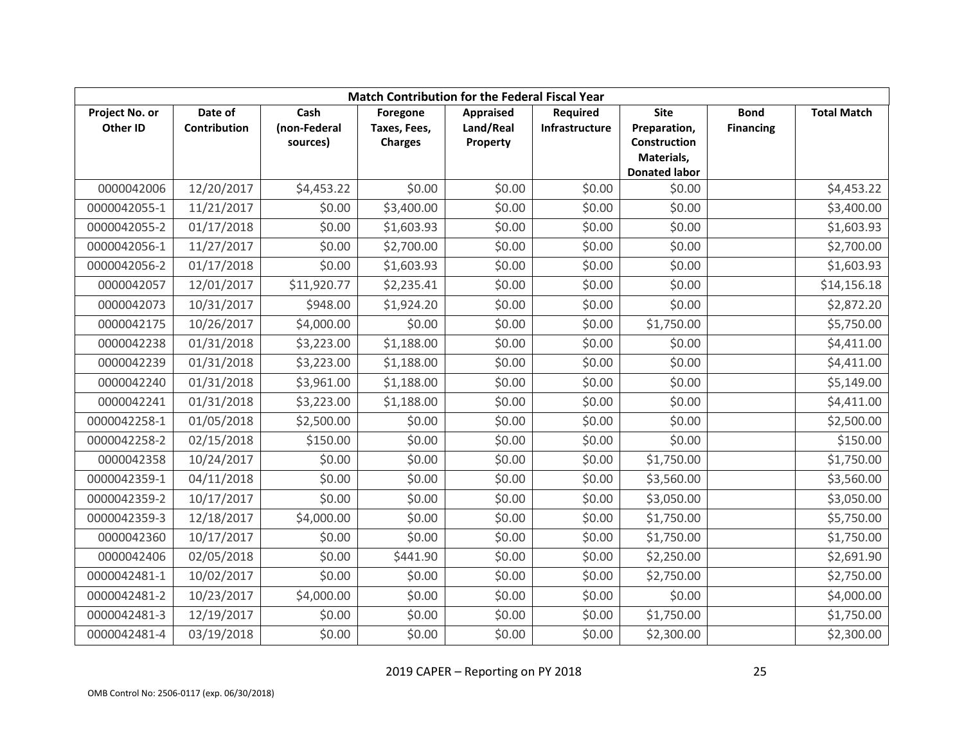| <b>Match Contribution for the Federal Fiscal Year</b> |                         |                                  |                                            |                                           |                                   |                                                           |                                 |                    |  |
|-------------------------------------------------------|-------------------------|----------------------------------|--------------------------------------------|-------------------------------------------|-----------------------------------|-----------------------------------------------------------|---------------------------------|--------------------|--|
| Project No. or<br>Other ID                            | Date of<br>Contribution | Cash<br>(non-Federal<br>sources) | Foregone<br>Taxes, Fees,<br><b>Charges</b> | <b>Appraised</b><br>Land/Real<br>Property | <b>Required</b><br>Infrastructure | <b>Site</b><br>Preparation,<br>Construction<br>Materials, | <b>Bond</b><br><b>Financing</b> | <b>Total Match</b> |  |
|                                                       |                         |                                  |                                            |                                           |                                   | <b>Donated labor</b>                                      |                                 |                    |  |
| 0000042006                                            | 12/20/2017              | \$4,453.22                       | \$0.00                                     | \$0.00                                    | \$0.00                            | \$0.00                                                    |                                 | \$4,453.22         |  |
| 0000042055-1                                          | 11/21/2017              | \$0.00                           | \$3,400.00                                 | \$0.00                                    | \$0.00                            | \$0.00                                                    |                                 | \$3,400.00         |  |
| 0000042055-2                                          | 01/17/2018              | \$0.00                           | \$1,603.93                                 | \$0.00                                    | \$0.00                            | \$0.00                                                    |                                 | \$1,603.93         |  |
| 0000042056-1                                          | 11/27/2017              | \$0.00                           | \$2,700.00                                 | \$0.00                                    | \$0.00                            | \$0.00                                                    |                                 | \$2,700.00         |  |
| 0000042056-2                                          | 01/17/2018              | \$0.00                           | \$1,603.93                                 | \$0.00                                    | \$0.00                            | \$0.00                                                    |                                 | \$1,603.93         |  |
| 0000042057                                            | 12/01/2017              | \$11,920.77                      | \$2,235.41                                 | \$0.00                                    | \$0.00                            | \$0.00                                                    |                                 | \$14,156.18        |  |
| 0000042073                                            | 10/31/2017              | \$948.00                         | \$1,924.20                                 | \$0.00                                    | \$0.00                            | \$0.00                                                    |                                 | \$2,872.20         |  |
| 0000042175                                            | 10/26/2017              | \$4,000.00                       | \$0.00                                     | \$0.00                                    | \$0.00                            | \$1,750.00                                                |                                 | \$5,750.00         |  |
| 0000042238                                            | 01/31/2018              | \$3,223.00                       | \$1,188.00                                 | \$0.00                                    | \$0.00                            | \$0.00                                                    |                                 | \$4,411.00         |  |
| 0000042239                                            | 01/31/2018              | \$3,223.00                       | \$1,188.00                                 | \$0.00                                    | \$0.00                            | \$0.00                                                    |                                 | \$4,411.00         |  |
| 0000042240                                            | 01/31/2018              | \$3,961.00                       | \$1,188.00                                 | \$0.00                                    | \$0.00                            | \$0.00                                                    |                                 | \$5,149.00         |  |
| 0000042241                                            | 01/31/2018              | \$3,223.00                       | \$1,188.00                                 | \$0.00                                    | \$0.00                            | \$0.00                                                    |                                 | \$4,411.00         |  |
| 0000042258-1                                          | 01/05/2018              | \$2,500.00                       | \$0.00                                     | \$0.00                                    | \$0.00                            | \$0.00                                                    |                                 | \$2,500.00         |  |
| 0000042258-2                                          | 02/15/2018              | \$150.00                         | \$0.00                                     | \$0.00                                    | \$0.00                            | \$0.00                                                    |                                 | \$150.00           |  |
| 0000042358                                            | 10/24/2017              | \$0.00                           | \$0.00                                     | \$0.00                                    | \$0.00                            | \$1,750.00                                                |                                 | \$1,750.00         |  |
| 0000042359-1                                          | 04/11/2018              | \$0.00                           | \$0.00                                     | \$0.00                                    | \$0.00                            | \$3,560.00                                                |                                 | \$3,560.00         |  |
| 0000042359-2                                          | 10/17/2017              | \$0.00                           | \$0.00                                     | \$0.00                                    | \$0.00                            | \$3,050.00                                                |                                 | \$3,050.00         |  |
| 0000042359-3                                          | 12/18/2017              | \$4,000.00                       | \$0.00                                     | \$0.00                                    | \$0.00                            | \$1,750.00                                                |                                 | \$5,750.00         |  |
| 0000042360                                            | 10/17/2017              | \$0.00                           | \$0.00                                     | \$0.00                                    | \$0.00                            | \$1,750.00                                                |                                 | \$1,750.00         |  |
| 0000042406                                            | 02/05/2018              | \$0.00                           | \$441.90                                   | \$0.00                                    | \$0.00                            | \$2,250.00                                                |                                 | \$2,691.90         |  |
| 0000042481-1                                          | 10/02/2017              | \$0.00                           | \$0.00                                     | \$0.00                                    | \$0.00                            | \$2,750.00                                                |                                 | \$2,750.00         |  |
| 0000042481-2                                          | 10/23/2017              | \$4,000.00                       | \$0.00                                     | \$0.00                                    | \$0.00                            | \$0.00                                                    |                                 | \$4,000.00         |  |
| 0000042481-3                                          | 12/19/2017              | \$0.00                           | \$0.00                                     | \$0.00                                    | \$0.00                            | \$1,750.00                                                |                                 | \$1,750.00         |  |
| 0000042481-4                                          | 03/19/2018              | \$0.00                           | \$0.00                                     | \$0.00                                    | \$0.00                            | \$2,300.00                                                |                                 | \$2,300.00         |  |

2019 CAPER – Reporting on PY 2018 25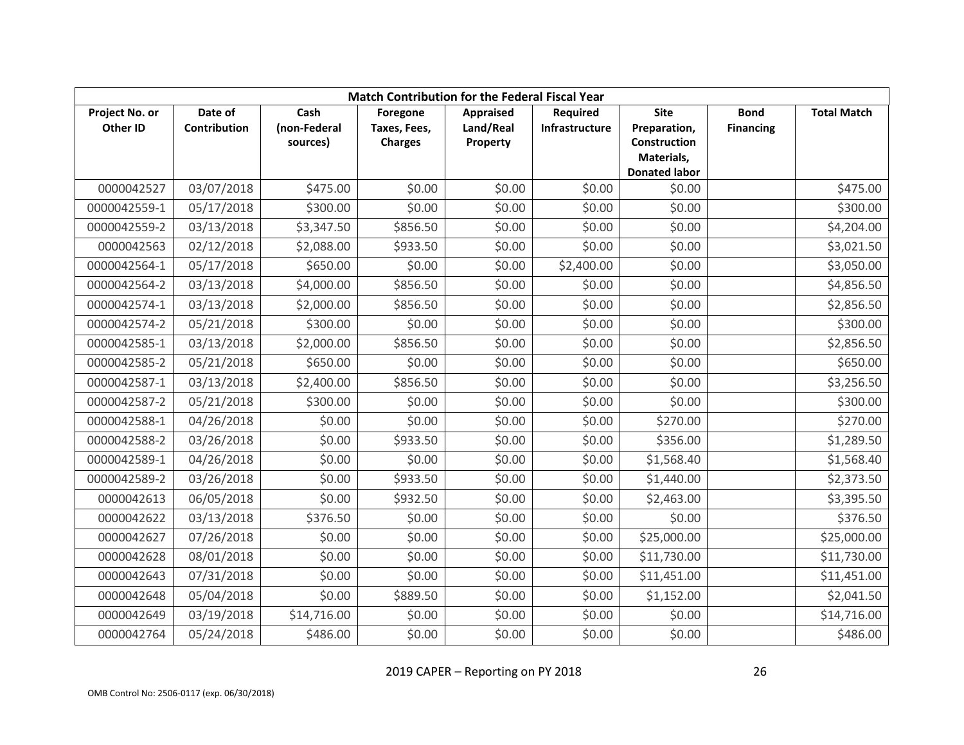| <b>Match Contribution for the Federal Fiscal Year</b> |                         |                                  |                                            |                                           |                                   |                                                           |                                 |                    |  |
|-------------------------------------------------------|-------------------------|----------------------------------|--------------------------------------------|-------------------------------------------|-----------------------------------|-----------------------------------------------------------|---------------------------------|--------------------|--|
| Project No. or<br>Other ID                            | Date of<br>Contribution | Cash<br>(non-Federal<br>sources) | Foregone<br>Taxes, Fees,<br><b>Charges</b> | <b>Appraised</b><br>Land/Real<br>Property | <b>Required</b><br>Infrastructure | <b>Site</b><br>Preparation,<br>Construction<br>Materials, | <b>Bond</b><br><b>Financing</b> | <b>Total Match</b> |  |
|                                                       |                         |                                  |                                            |                                           |                                   | <b>Donated labor</b>                                      |                                 |                    |  |
| 0000042527                                            | 03/07/2018              | \$475.00                         | \$0.00                                     | \$0.00                                    | \$0.00                            | \$0.00                                                    |                                 | \$475.00           |  |
| 0000042559-1                                          | 05/17/2018              | \$300.00                         | \$0.00                                     | \$0.00                                    | \$0.00                            | \$0.00                                                    |                                 | \$300.00           |  |
| 0000042559-2                                          | 03/13/2018              | \$3,347.50                       | \$856.50                                   | \$0.00                                    | \$0.00                            | \$0.00                                                    |                                 | \$4,204.00         |  |
| 0000042563                                            | 02/12/2018              | \$2,088.00                       | \$933.50                                   | \$0.00                                    | \$0.00                            | \$0.00                                                    |                                 | \$3,021.50         |  |
| 0000042564-1                                          | 05/17/2018              | \$650.00                         | \$0.00                                     | \$0.00                                    | \$2,400.00                        | \$0.00                                                    |                                 | \$3,050.00         |  |
| 0000042564-2                                          | 03/13/2018              | \$4,000.00                       | \$856.50                                   | \$0.00                                    | \$0.00                            | \$0.00                                                    |                                 | \$4,856.50         |  |
| 0000042574-1                                          | 03/13/2018              | \$2,000.00                       | \$856.50                                   | \$0.00                                    | \$0.00                            | \$0.00                                                    |                                 | \$2,856.50         |  |
| 0000042574-2                                          | 05/21/2018              | \$300.00                         | \$0.00                                     | \$0.00                                    | \$0.00                            | \$0.00                                                    |                                 | \$300.00           |  |
| 0000042585-1                                          | 03/13/2018              | \$2,000.00                       | \$856.50                                   | \$0.00                                    | \$0.00                            | \$0.00                                                    |                                 | \$2,856.50         |  |
| 0000042585-2                                          | 05/21/2018              | \$650.00                         | \$0.00                                     | \$0.00                                    | \$0.00                            | \$0.00                                                    |                                 | \$650.00           |  |
| 0000042587-1                                          | 03/13/2018              | \$2,400.00                       | \$856.50                                   | \$0.00                                    | \$0.00                            | \$0.00                                                    |                                 | \$3,256.50         |  |
| 0000042587-2                                          | 05/21/2018              | \$300.00                         | \$0.00                                     | \$0.00                                    | \$0.00                            | \$0.00                                                    |                                 | \$300.00           |  |
| 0000042588-1                                          | 04/26/2018              | \$0.00                           | \$0.00                                     | \$0.00                                    | \$0.00                            | \$270.00                                                  |                                 | \$270.00           |  |
| 0000042588-2                                          | 03/26/2018              | \$0.00                           | \$933.50                                   | \$0.00                                    | \$0.00                            | \$356.00                                                  |                                 | \$1,289.50         |  |
| 0000042589-1                                          | 04/26/2018              | \$0.00                           | \$0.00                                     | \$0.00                                    | \$0.00                            | \$1,568.40                                                |                                 | \$1,568.40         |  |
| 0000042589-2                                          | 03/26/2018              | \$0.00                           | \$933.50                                   | \$0.00                                    | \$0.00                            | \$1,440.00                                                |                                 | \$2,373.50         |  |
| 0000042613                                            | 06/05/2018              | \$0.00                           | \$932.50                                   | \$0.00                                    | \$0.00                            | \$2,463.00                                                |                                 | \$3,395.50         |  |
| 0000042622                                            | 03/13/2018              | \$376.50                         | \$0.00                                     | \$0.00                                    | \$0.00                            | \$0.00                                                    |                                 | \$376.50           |  |
| 0000042627                                            | 07/26/2018              | \$0.00                           | \$0.00                                     | \$0.00                                    | \$0.00                            | \$25,000.00                                               |                                 | \$25,000.00        |  |
| 0000042628                                            | 08/01/2018              | \$0.00                           | \$0.00                                     | \$0.00                                    | \$0.00                            | \$11,730.00                                               |                                 | \$11,730.00        |  |
| 0000042643                                            | 07/31/2018              | \$0.00                           | \$0.00                                     | \$0.00                                    | \$0.00                            | \$11,451.00                                               |                                 | \$11,451.00        |  |
| 0000042648                                            | 05/04/2018              | \$0.00                           | \$889.50                                   | \$0.00                                    | \$0.00                            | \$1,152.00                                                |                                 | \$2,041.50         |  |
| 0000042649                                            | 03/19/2018              | \$14,716.00                      | \$0.00                                     | \$0.00                                    | \$0.00                            | \$0.00                                                    |                                 | \$14,716.00        |  |
| 0000042764                                            | 05/24/2018              | \$486.00                         | \$0.00                                     | \$0.00                                    | \$0.00                            | \$0.00                                                    |                                 | \$486.00           |  |

2019 CAPER – Reporting on PY 2018 26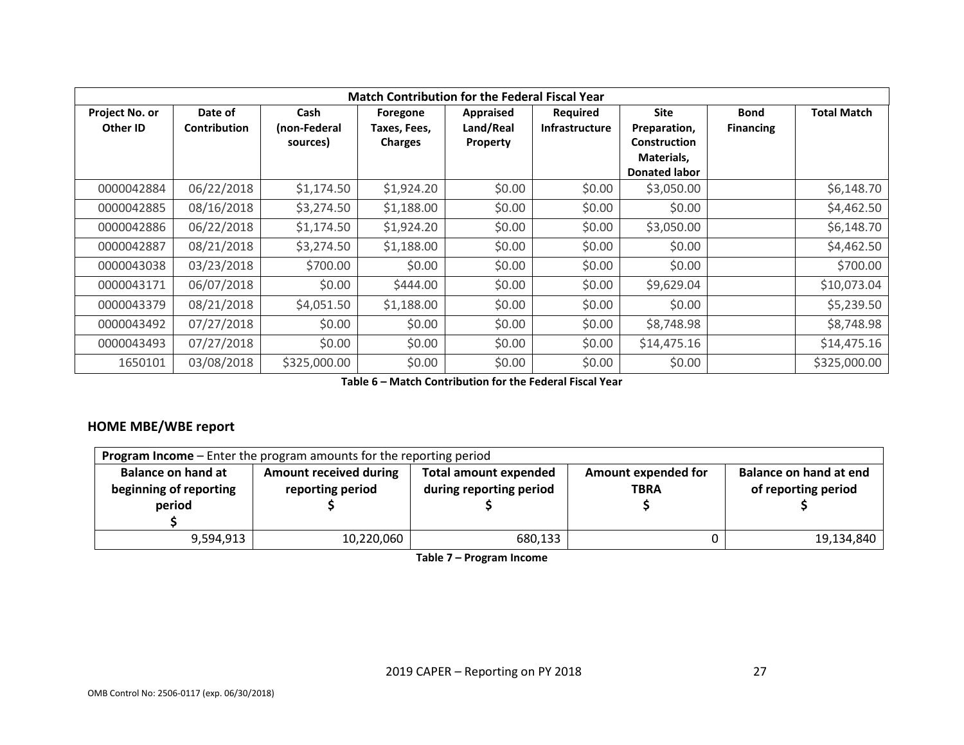| <b>Match Contribution for the Federal Fiscal Year</b> |                                |                                  |                                            |                                           |                                          |                                                                                          |                                 |                    |  |  |
|-------------------------------------------------------|--------------------------------|----------------------------------|--------------------------------------------|-------------------------------------------|------------------------------------------|------------------------------------------------------------------------------------------|---------------------------------|--------------------|--|--|
| Project No. or<br>Other ID                            | Date of<br><b>Contribution</b> | Cash<br>(non-Federal<br>sources) | Foregone<br>Taxes, Fees,<br><b>Charges</b> | <b>Appraised</b><br>Land/Real<br>Property | <b>Required</b><br><b>Infrastructure</b> | <b>Site</b><br>Preparation,<br><b>Construction</b><br>Materials,<br><b>Donated labor</b> | <b>Bond</b><br><b>Financing</b> | <b>Total Match</b> |  |  |
| 0000042884                                            | 06/22/2018                     | \$1,174.50                       | \$1,924.20                                 | \$0.00                                    | \$0.00                                   | \$3,050.00                                                                               |                                 | \$6,148.70         |  |  |
| 0000042885                                            | 08/16/2018                     | \$3,274.50                       | \$1,188.00                                 | \$0.00                                    | \$0.00                                   | \$0.00                                                                                   |                                 | \$4,462.50         |  |  |
| 0000042886                                            | 06/22/2018                     | \$1,174.50                       | \$1,924.20                                 | \$0.00                                    | \$0.00                                   | \$3,050.00                                                                               |                                 | \$6,148.70         |  |  |
| 0000042887                                            | 08/21/2018                     | \$3,274.50                       | \$1,188.00                                 | \$0.00                                    | \$0.00                                   | \$0.00                                                                                   |                                 | \$4,462.50         |  |  |
| 0000043038                                            | 03/23/2018                     | \$700.00                         | \$0.00                                     | \$0.00                                    | \$0.00                                   | \$0.00                                                                                   |                                 | \$700.00           |  |  |
| 0000043171                                            | 06/07/2018                     | \$0.00                           | \$444.00                                   | \$0.00                                    | \$0.00                                   | \$9,629.04                                                                               |                                 | \$10,073.04        |  |  |
| 0000043379                                            | 08/21/2018                     | \$4,051.50                       | \$1,188.00                                 | \$0.00                                    | \$0.00                                   | \$0.00                                                                                   |                                 | \$5,239.50         |  |  |
| 0000043492                                            | 07/27/2018                     | \$0.00                           | \$0.00                                     | \$0.00                                    | \$0.00                                   | \$8,748.98                                                                               |                                 | \$8,748.98         |  |  |
| 0000043493                                            | 07/27/2018                     | \$0.00                           | \$0.00                                     | \$0.00                                    | \$0.00                                   | \$14,475.16                                                                              |                                 | \$14,475.16        |  |  |
| 1650101                                               | 03/08/2018                     | \$325,000.00                     | \$0.00                                     | \$0.00                                    | \$0.00                                   | \$0.00                                                                                   |                                 | \$325,000.00       |  |  |

**Table 6 – Match Contribution for the Federal Fiscal Year**

## **HOME MBE/WBE report**

| <b>Program Income</b> – Enter the program amounts for the reporting period |                                                   |                                                         |                                           |                                               |  |  |  |  |
|----------------------------------------------------------------------------|---------------------------------------------------|---------------------------------------------------------|-------------------------------------------|-----------------------------------------------|--|--|--|--|
| <b>Balance on hand at</b><br>beginning of reporting<br>period              | <b>Amount received during</b><br>reporting period | <b>Total amount expended</b><br>during reporting period | <b>Amount expended for</b><br><b>TBRA</b> | Balance on hand at end<br>of reporting period |  |  |  |  |
| 9,594,913                                                                  | 10,220,060                                        | 680,133                                                 |                                           | 19,134,840                                    |  |  |  |  |

**Table 7 – Program Income**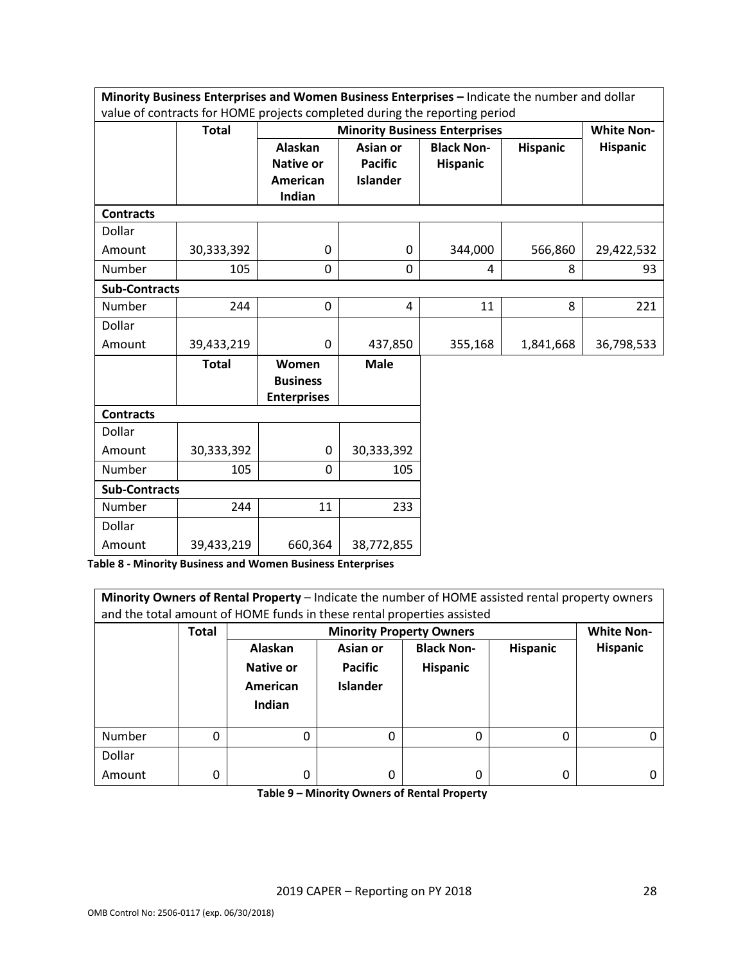|                                                                            | Minority Business Enterprises and Women Business Enterprises - Indicate the number and dollar |                    |                 |                                      |                 |                   |  |  |  |
|----------------------------------------------------------------------------|-----------------------------------------------------------------------------------------------|--------------------|-----------------|--------------------------------------|-----------------|-------------------|--|--|--|
| value of contracts for HOME projects completed during the reporting period |                                                                                               |                    |                 |                                      |                 |                   |  |  |  |
|                                                                            | <b>Total</b>                                                                                  |                    |                 | <b>Minority Business Enterprises</b> |                 | <b>White Non-</b> |  |  |  |
|                                                                            |                                                                                               | <b>Alaskan</b>     | Asian or        | <b>Black Non-</b>                    | <b>Hispanic</b> | <b>Hispanic</b>   |  |  |  |
|                                                                            |                                                                                               | <b>Native or</b>   | <b>Pacific</b>  | <b>Hispanic</b>                      |                 |                   |  |  |  |
|                                                                            |                                                                                               | American           | <b>Islander</b> |                                      |                 |                   |  |  |  |
|                                                                            |                                                                                               | Indian             |                 |                                      |                 |                   |  |  |  |
| <b>Contracts</b>                                                           |                                                                                               |                    |                 |                                      |                 |                   |  |  |  |
| Dollar                                                                     |                                                                                               |                    |                 |                                      |                 |                   |  |  |  |
| Amount                                                                     | 30,333,392                                                                                    | $\mathbf 0$        | 0               | 344,000                              | 566,860         | 29,422,532        |  |  |  |
| Number                                                                     | 105                                                                                           | 0                  | $\Omega$        | 4                                    | 8               | 93                |  |  |  |
| <b>Sub-Contracts</b>                                                       |                                                                                               |                    |                 |                                      |                 |                   |  |  |  |
| Number                                                                     | 244                                                                                           | $\mathbf 0$        | 4               | 11                                   | 8               | 221               |  |  |  |
| Dollar                                                                     |                                                                                               |                    |                 |                                      |                 |                   |  |  |  |
| Amount                                                                     | 39,433,219                                                                                    | $\pmb{0}$          | 437,850         | 355,168                              | 1,841,668       | 36,798,533        |  |  |  |
|                                                                            | <b>Total</b>                                                                                  | Women              | <b>Male</b>     |                                      |                 |                   |  |  |  |
|                                                                            |                                                                                               | <b>Business</b>    |                 |                                      |                 |                   |  |  |  |
|                                                                            |                                                                                               | <b>Enterprises</b> |                 |                                      |                 |                   |  |  |  |
| <b>Contracts</b>                                                           |                                                                                               |                    |                 |                                      |                 |                   |  |  |  |
| Dollar                                                                     |                                                                                               |                    |                 |                                      |                 |                   |  |  |  |
| Amount                                                                     | 30,333,392                                                                                    | 0                  | 30,333,392      |                                      |                 |                   |  |  |  |
| Number                                                                     | 105                                                                                           | 0                  | 105             |                                      |                 |                   |  |  |  |
| <b>Sub-Contracts</b>                                                       |                                                                                               |                    |                 |                                      |                 |                   |  |  |  |
| Number                                                                     | 244                                                                                           | 11                 | 233             |                                      |                 |                   |  |  |  |
| Dollar                                                                     |                                                                                               |                    |                 |                                      |                 |                   |  |  |  |
| Amount                                                                     | 39,433,219                                                                                    | 660,364            | 38,772,855      |                                      |                 |                   |  |  |  |

**Table 8 - Minority Business and Women Business Enterprises**

| Minority Owners of Rental Property - Indicate the number of HOME assisted rental property owners<br>and the total amount of HOME funds in these rental properties assisted |              |                                            |                                               |                                      |                 |                   |  |  |  |
|----------------------------------------------------------------------------------------------------------------------------------------------------------------------------|--------------|--------------------------------------------|-----------------------------------------------|--------------------------------------|-----------------|-------------------|--|--|--|
|                                                                                                                                                                            | <b>Total</b> |                                            | <b>Minority Property Owners</b>               |                                      |                 | <b>White Non-</b> |  |  |  |
|                                                                                                                                                                            |              | Alaskan<br>Native or<br>American<br>Indian | Asian or<br><b>Pacific</b><br><b>Islander</b> | <b>Black Non-</b><br><b>Hispanic</b> | <b>Hispanic</b> | <b>Hispanic</b>   |  |  |  |
| Number                                                                                                                                                                     | 0            | 0                                          | 0                                             | 0                                    | 0               |                   |  |  |  |
| Dollar                                                                                                                                                                     |              |                                            |                                               |                                      |                 |                   |  |  |  |
| Amount                                                                                                                                                                     | 0            | 0                                          | 0                                             | 0                                    | 0               |                   |  |  |  |

**Table 9 – Minority Owners of Rental Property**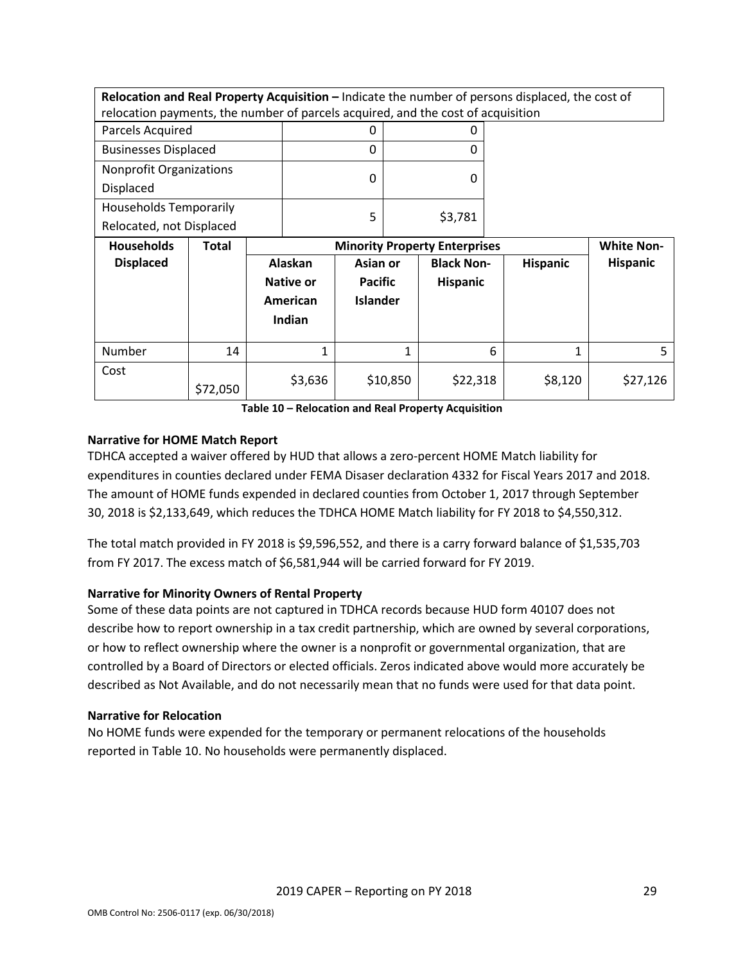**Relocation and Real Property Acquisition –** Indicate the number of persons displaced, the cost of relocation payments, the number of parcels acquired, and the cost of acquisition

| Parcels Acquired               |         |
|--------------------------------|---------|
| <b>Businesses Displaced</b>    |         |
| <b>Nonprofit Organizations</b> |         |
| Displaced                      |         |
| <b>Households Temporarily</b>  |         |
| Relocated, not Displaced       | \$3,781 |

| <b>Households</b> | <b>Total</b> | <b>Minority Property Enterprises</b>              | <b>White Non-</b>                             |                                      |                 |          |
|-------------------|--------------|---------------------------------------------------|-----------------------------------------------|--------------------------------------|-----------------|----------|
| <b>Displaced</b>  |              | Alaskan<br><b>Native or</b><br>American<br>Indian | Asian or<br><b>Pacific</b><br><b>Islander</b> | <b>Black Non-</b><br><b>Hispanic</b> | <b>Hispanic</b> | Hispanic |
| Number            | 14           |                                                   |                                               | 6                                    |                 |          |
| Cost              | \$72,050     | \$3,636                                           | \$10,850                                      | \$22,318                             | \$8,120         | \$27,126 |

**Table 10 – Relocation and Real Property Acquisition**

#### **Narrative for HOME Match Report**

TDHCA accepted a waiver offered by HUD that allows a zero-percent HOME Match liability for expenditures in counties declared under FEMA Disaser declaration 4332 for Fiscal Years 2017 and 2018. The amount of HOME funds expended in declared counties from October 1, 2017 through September 30, 2018 is \$2,133,649, which reduces the TDHCA HOME Match liability for FY 2018 to \$4,550,312.

The total match provided in FY 2018 is \$9,596,552, and there is a carry forward balance of \$1,535,703 from FY 2017. The excess match of \$6,581,944 will be carried forward for FY 2019.

#### **Narrative for Minority Owners of Rental Property**

Some of these data points are not captured in TDHCA records because HUD form 40107 does not describe how to report ownership in a tax credit partnership, which are owned by several corporations, or how to reflect ownership where the owner is a nonprofit or governmental organization, that are controlled by a Board of Directors or elected officials. Zeros indicated above would more accurately be described as Not Available, and do not necessarily mean that no funds were used for that data point.

#### **Narrative for Relocation**

No HOME funds were expended for the temporary or permanent relocations of the households reported in Table 10. No households were permanently displaced.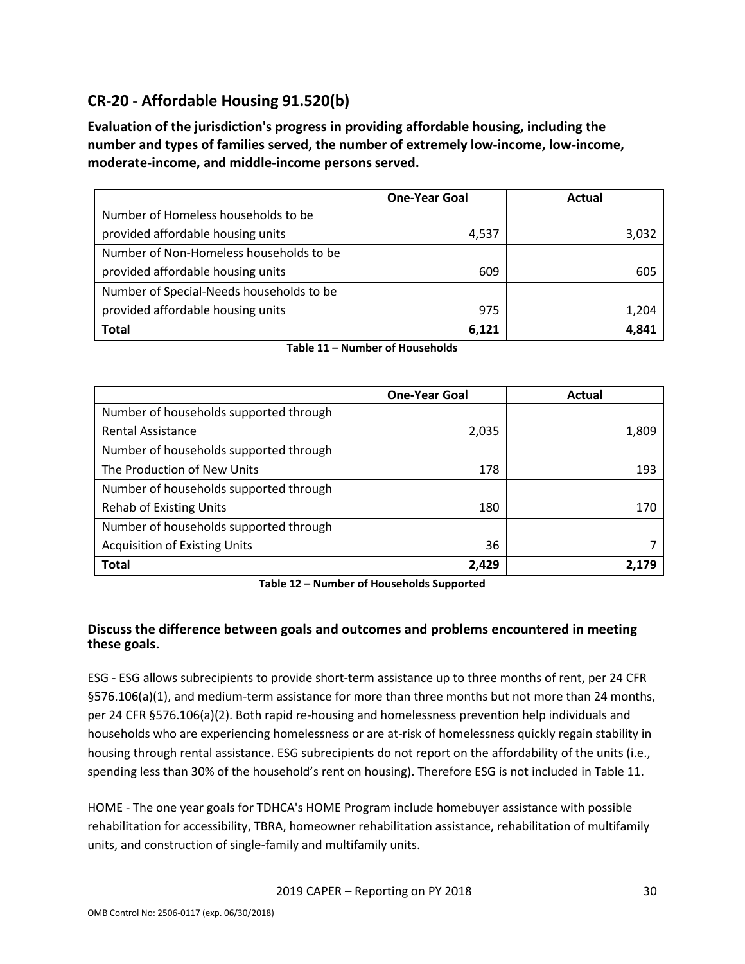# <span id="page-29-0"></span>**CR-20 - Affordable Housing 91.520(b)**

**Evaluation of the jurisdiction's progress in providing affordable housing, including the number and types of families served, the number of extremely low-income, low-income, moderate-income, and middle-income persons served.**

|                                          | <b>One-Year Goal</b> | Actual |
|------------------------------------------|----------------------|--------|
| Number of Homeless households to be      |                      |        |
| provided affordable housing units        | 4,537                | 3,032  |
| Number of Non-Homeless households to be  |                      |        |
| provided affordable housing units        | 609                  | 605    |
| Number of Special-Needs households to be |                      |        |
| provided affordable housing units        | 975                  | 1,204  |
| Total                                    | 6,121                | 4,841  |

**Table 11 – Number of Households**

|                                        | <b>One-Year Goal</b> | Actual |
|----------------------------------------|----------------------|--------|
| Number of households supported through |                      |        |
| <b>Rental Assistance</b>               | 2,035                | 1,809  |
| Number of households supported through |                      |        |
| The Production of New Units            | 178                  | 193    |
| Number of households supported through |                      |        |
| <b>Rehab of Existing Units</b>         | 180                  | 170    |
| Number of households supported through |                      |        |
| <b>Acquisition of Existing Units</b>   | 36                   |        |
| <b>Total</b>                           | 2,429                |        |

**Table 12 – Number of Households Supported**

## **Discuss the difference between goals and outcomes and problems encountered in meeting these goals.**

ESG - ESG allows subrecipients to provide short-term assistance up to three months of rent, per 24 CFR §576.106(a)(1), and medium-term assistance for more than three months but not more than 24 months, per 24 CFR §576.106(a)(2). Both rapid re-housing and homelessness prevention help individuals and households who are experiencing homelessness or are at-risk of homelessness quickly regain stability in housing through rental assistance. ESG subrecipients do not report on the affordability of the units (i.e., spending less than 30% of the household's rent on housing). Therefore ESG is not included in Table 11.

HOME - The one year goals for TDHCA's HOME Program include homebuyer assistance with possible rehabilitation for accessibility, TBRA, homeowner rehabilitation assistance, rehabilitation of multifamily units, and construction of single-family and multifamily units.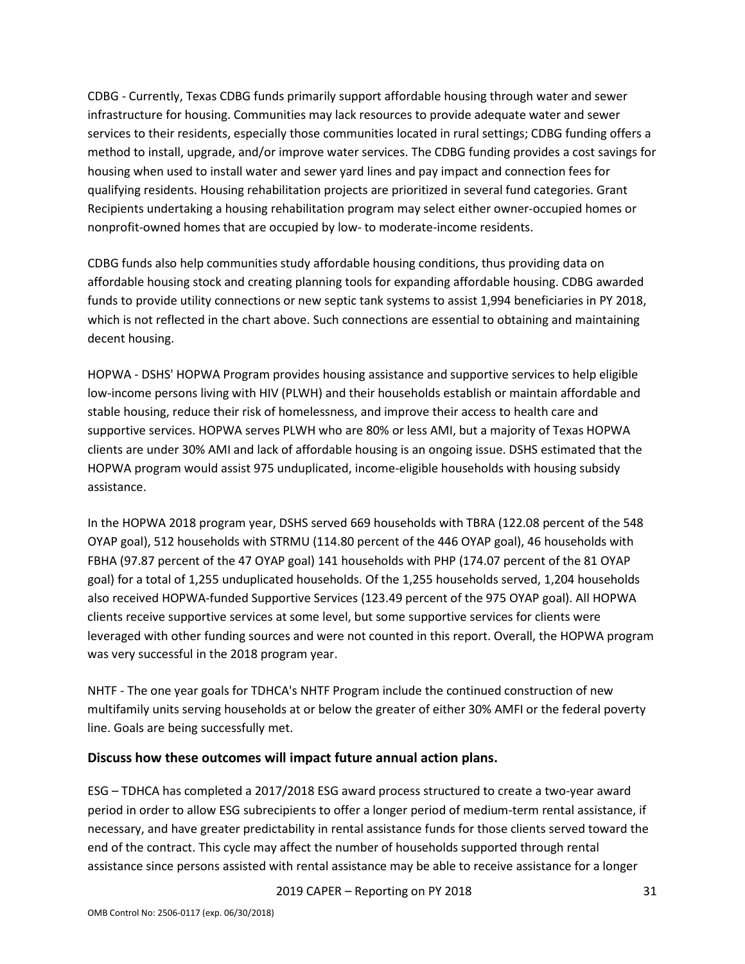CDBG - Currently, Texas CDBG funds primarily support affordable housing through water and sewer infrastructure for housing. Communities may lack resources to provide adequate water and sewer services to their residents, especially those communities located in rural settings; CDBG funding offers a method to install, upgrade, and/or improve water services. The CDBG funding provides a cost savings for housing when used to install water and sewer yard lines and pay impact and connection fees for qualifying residents. Housing rehabilitation projects are prioritized in several fund categories. Grant Recipients undertaking a housing rehabilitation program may select either owner-occupied homes or nonprofit-owned homes that are occupied by low- to moderate-income residents.

CDBG funds also help communities study affordable housing conditions, thus providing data on affordable housing stock and creating planning tools for expanding affordable housing. CDBG awarded funds to provide utility connections or new septic tank systems to assist 1,994 beneficiaries in PY 2018, which is not reflected in the chart above. Such connections are essential to obtaining and maintaining decent housing.

HOPWA - DSHS' HOPWA Program provides housing assistance and supportive services to help eligible low-income persons living with HIV (PLWH) and their households establish or maintain affordable and stable housing, reduce their risk of homelessness, and improve their access to health care and supportive services. HOPWA serves PLWH who are 80% or less AMI, but a majority of Texas HOPWA clients are under 30% AMI and lack of affordable housing is an ongoing issue. DSHS estimated that the HOPWA program would assist 975 unduplicated, income-eligible households with housing subsidy assistance.

In the HOPWA 2018 program year, DSHS served 669 households with TBRA (122.08 percent of the 548 OYAP goal), 512 households with STRMU (114.80 percent of the 446 OYAP goal), 46 households with FBHA (97.87 percent of the 47 OYAP goal) 141 households with PHP (174.07 percent of the 81 OYAP goal) for a total of 1,255 unduplicated households. Of the 1,255 households served, 1,204 households also received HOPWA-funded Supportive Services (123.49 percent of the 975 OYAP goal). All HOPWA clients receive supportive services at some level, but some supportive services for clients were leveraged with other funding sources and were not counted in this report. Overall, the HOPWA program was very successful in the 2018 program year.

NHTF - The one year goals for TDHCA's NHTF Program include the continued construction of new multifamily units serving households at or below the greater of either 30% AMFI or the federal poverty line. Goals are being successfully met.

#### **Discuss how these outcomes will impact future annual action plans.**

ESG – TDHCA has completed a 2017/2018 ESG award process structured to create a two-year award period in order to allow ESG subrecipients to offer a longer period of medium-term rental assistance, if necessary, and have greater predictability in rental assistance funds for those clients served toward the end of the contract. This cycle may affect the number of households supported through rental assistance since persons assisted with rental assistance may be able to receive assistance for a longer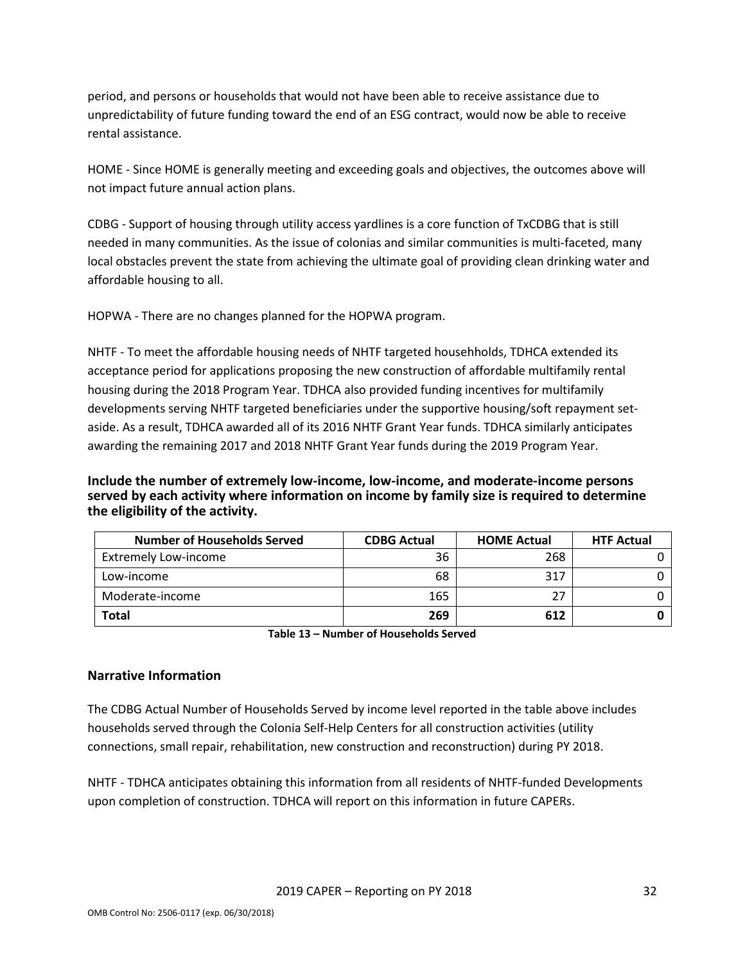period, and persons or households that would not have been able to receive assistance due to unpredictability of future funding toward the end of an ESG contract, would now be able to receive rental assistance.

HOME - Since HOME is generally meeting and exceeding goals and objectives, the outcomes above will not impact future annual action plans.

CDBG - Support of housing through utility access yardlines is a core function of TxCDBG that is still needed in many communities. As the issue of colonias and similar communities is multi-faceted, many local obstacles prevent the state from achieving the ultimate goal of providing clean drinking water and affordable housing to all.

HOPWA - There are no changes planned for the HOPWA program.

NHTF - To meet the affordable housing needs of NHTF targeted househholds, TDHCA extended its acceptance period for applications proposing the new construction of affordable multifamily rental housing during the 2018 Program Year. TDHCA also provided funding incentives for multifamily developments serving NHTF targeted beneficiaries under the supportive housing/soft repayment setaside. As a result, TDHCA awarded all of its 2016 NHTF Grant Year funds. TDHCA similarly anticipates awarding the remaining 2017 and 2018 NHTF Grant Year funds during the 2019 Program Year.

**Include the number of extremely low-income, low-income, and moderate-income persons served by each activity where information on income by family size is required to determine the eligibility of the activity.**

| <b>Number of Households Served</b> | <b>CDBG Actual</b> | <b>HOME Actual</b> | <b>HTF Actual</b> |
|------------------------------------|--------------------|--------------------|-------------------|
| <b>Extremely Low-income</b>        | 36                 | 268                |                   |
| Low-income                         | 68                 | 317                |                   |
| Moderate-income                    | 165                | 27                 |                   |
| Total                              | 269                | 612                |                   |

**Table 13 – Number of Households Served**

#### **Narrative Information**

The CDBG Actual Number of Households Served by income level reported in the table above includes households served through the Colonia Self-Help Centers for all construction activities (utility connections, small repair, rehabilitation, new construction and reconstruction) during PY 2018.

NHTF - TDHCA anticipates obtaining this information from all residents of NHTF-funded Developments upon completion of construction. TDHCA will report on this information in future CAPERs.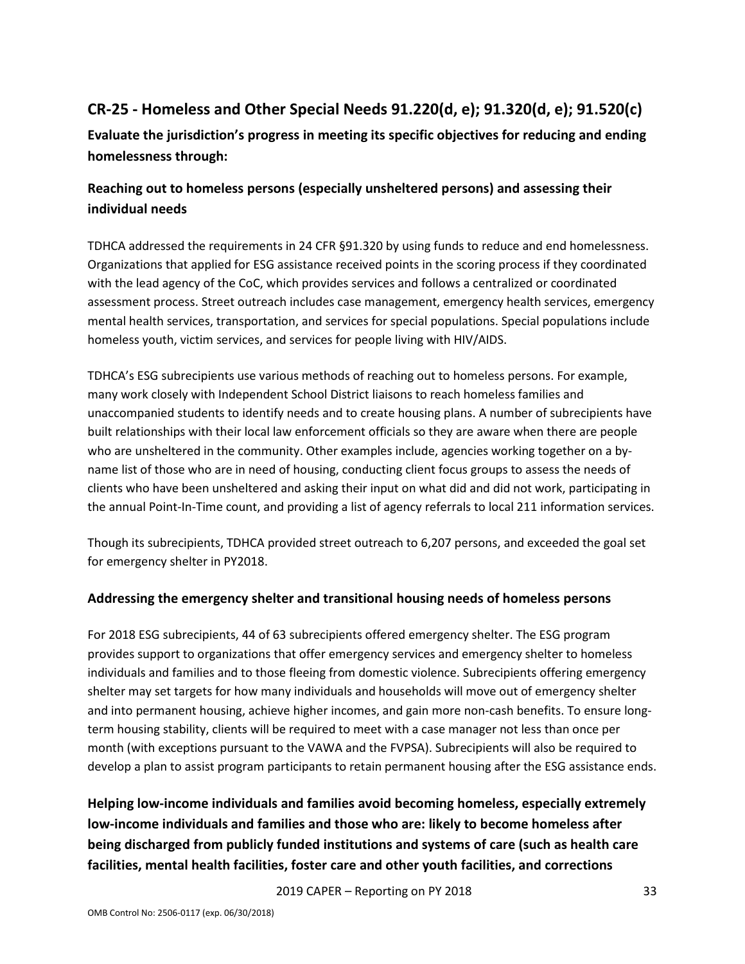# <span id="page-32-0"></span>**CR-25 - Homeless and Other Special Needs 91.220(d, e); 91.320(d, e); 91.520(c)**

**Evaluate the jurisdiction's progress in meeting its specific objectives for reducing and ending homelessness through:**

## **Reaching out to homeless persons (especially unsheltered persons) and assessing their individual needs**

TDHCA addressed the requirements in 24 CFR §91.320 by using funds to reduce and end homelessness. Organizations that applied for ESG assistance received points in the scoring process if they coordinated with the lead agency of the CoC, which provides services and follows a centralized or coordinated assessment process. Street outreach includes case management, emergency health services, emergency mental health services, transportation, and services for special populations. Special populations include homeless youth, victim services, and services for people living with HIV/AIDS.

TDHCA's ESG subrecipients use various methods of reaching out to homeless persons. For example, many work closely with Independent School District liaisons to reach homeless families and unaccompanied students to identify needs and to create housing plans. A number of subrecipients have built relationships with their local law enforcement officials so they are aware when there are people who are unsheltered in the community. Other examples include, agencies working together on a byname list of those who are in need of housing, conducting client focus groups to assess the needs of clients who have been unsheltered and asking their input on what did and did not work, participating in the annual Point-In-Time count, and providing a list of agency referrals to local 211 information services.

Though its subrecipients, TDHCA provided street outreach to 6,207 persons, and exceeded the goal set for emergency shelter in PY2018.

## **Addressing the emergency shelter and transitional housing needs of homeless persons**

For 2018 ESG subrecipients, 44 of 63 subrecipients offered emergency shelter. The ESG program provides support to organizations that offer emergency services and emergency shelter to homeless individuals and families and to those fleeing from domestic violence. Subrecipients offering emergency shelter may set targets for how many individuals and households will move out of emergency shelter and into permanent housing, achieve higher incomes, and gain more non-cash benefits. To ensure longterm housing stability, clients will be required to meet with a case manager not less than once per month (with exceptions pursuant to the VAWA and the FVPSA). Subrecipients will also be required to develop a plan to assist program participants to retain permanent housing after the ESG assistance ends.

**Helping low-income individuals and families avoid becoming homeless, especially extremely low-income individuals and families and those who are: likely to become homeless after being discharged from publicly funded institutions and systems of care (such as health care facilities, mental health facilities, foster care and other youth facilities, and corrections** 

2019 CAPER – Reporting on PY 2018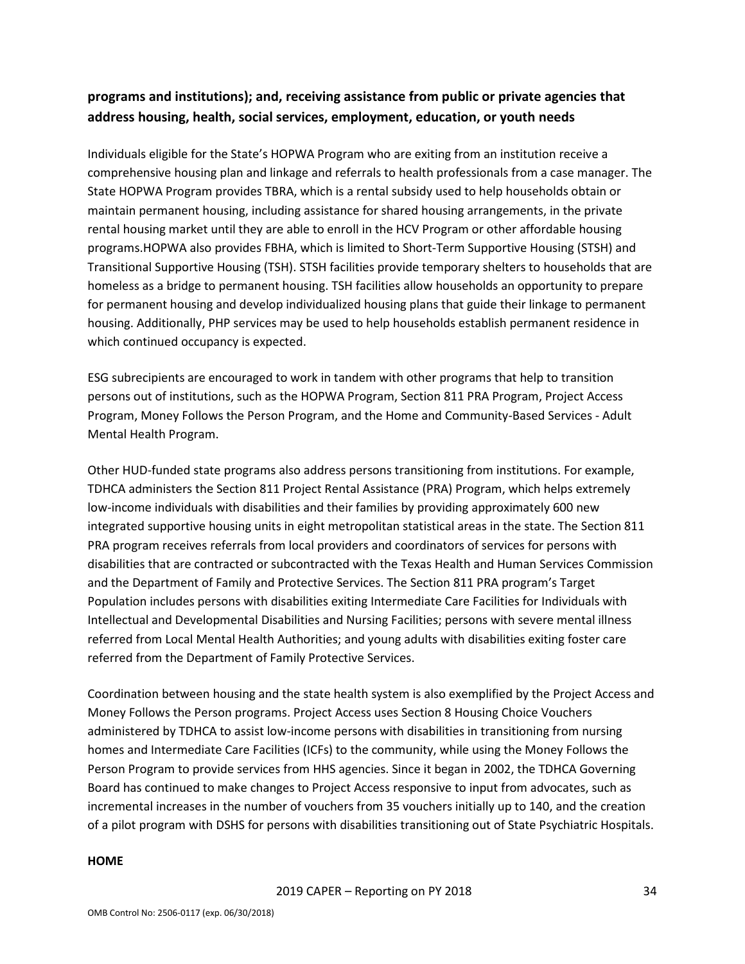## **programs and institutions); and, receiving assistance from public or private agencies that address housing, health, social services, employment, education, or youth needs**

Individuals eligible for the State's HOPWA Program who are exiting from an institution receive a comprehensive housing plan and linkage and referrals to health professionals from a case manager. The State HOPWA Program provides TBRA, which is a rental subsidy used to help households obtain or maintain permanent housing, including assistance for shared housing arrangements, in the private rental housing market until they are able to enroll in the HCV Program or other affordable housing programs.HOPWA also provides FBHA, which is limited to Short-Term Supportive Housing (STSH) and Transitional Supportive Housing (TSH). STSH facilities provide temporary shelters to households that are homeless as a bridge to permanent housing. TSH facilities allow households an opportunity to prepare for permanent housing and develop individualized housing plans that guide their linkage to permanent housing. Additionally, PHP services may be used to help households establish permanent residence in which continued occupancy is expected.

ESG subrecipients are encouraged to work in tandem with other programs that help to transition persons out of institutions, such as the HOPWA Program, Section 811 PRA Program, Project Access Program, Money Follows the Person Program, and the Home and Community-Based Services - Adult Mental Health Program.

Other HUD-funded state programs also address persons transitioning from institutions. For example, TDHCA administers the Section 811 Project Rental Assistance (PRA) Program, which helps extremely low-income individuals with disabilities and their families by providing approximately 600 new integrated supportive housing units in eight metropolitan statistical areas in the state. The Section 811 PRA program receives referrals from local providers and coordinators of services for persons with disabilities that are contracted or subcontracted with the Texas Health and Human Services Commission and the Department of Family and Protective Services. The Section 811 PRA program's Target Population includes persons with disabilities exiting Intermediate Care Facilities for Individuals with Intellectual and Developmental Disabilities and Nursing Facilities; persons with severe mental illness referred from Local Mental Health Authorities; and young adults with disabilities exiting foster care referred from the Department of Family Protective Services.

Coordination between housing and the state health system is also exemplified by the Project Access and Money Follows the Person programs. Project Access uses Section 8 Housing Choice Vouchers administered by TDHCA to assist low-income persons with disabilities in transitioning from nursing homes and Intermediate Care Facilities (ICFs) to the community, while using the Money Follows the Person Program to provide services from HHS agencies. Since it began in 2002, the TDHCA Governing Board has continued to make changes to Project Access responsive to input from advocates, such as incremental increases in the number of vouchers from 35 vouchers initially up to 140, and the creation of a pilot program with DSHS for persons with disabilities transitioning out of State Psychiatric Hospitals.

#### **HOME**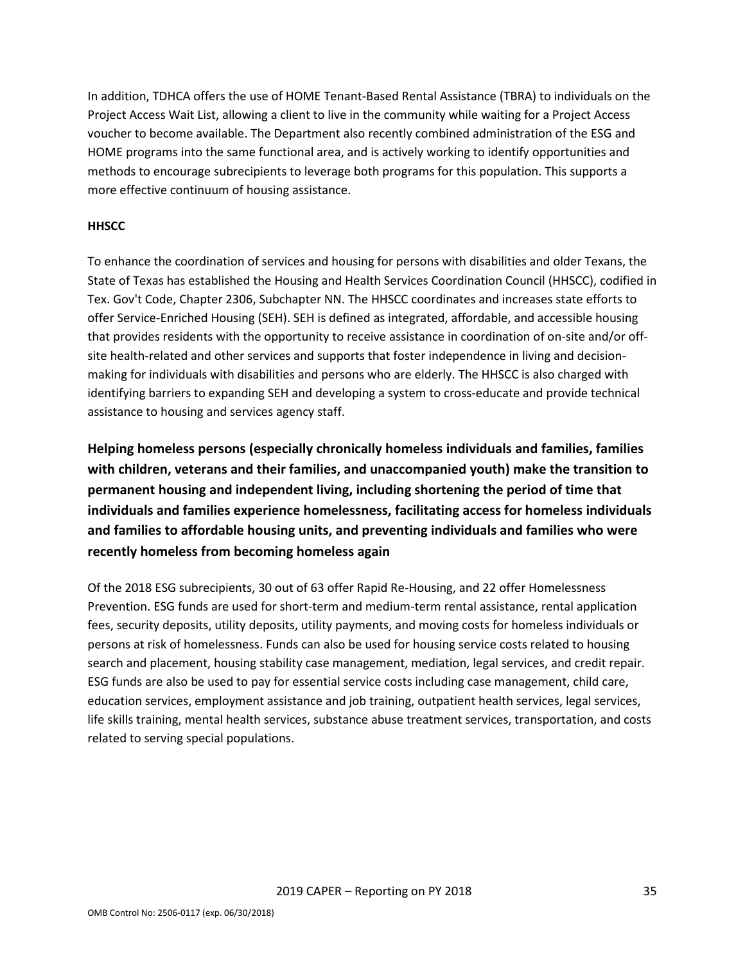In addition, TDHCA offers the use of HOME Tenant-Based Rental Assistance (TBRA) to individuals on the Project Access Wait List, allowing a client to live in the community while waiting for a Project Access voucher to become available. The Department also recently combined administration of the ESG and HOME programs into the same functional area, and is actively working to identify opportunities and methods to encourage subrecipients to leverage both programs for this population. This supports a more effective continuum of housing assistance.

#### **HHSCC**

To enhance the coordination of services and housing for persons with disabilities and older Texans, the State of Texas has established the Housing and Health Services Coordination Council (HHSCC), codified in Tex. Gov't Code, Chapter 2306, Subchapter NN. The HHSCC coordinates and increases state efforts to offer Service-Enriched Housing (SEH). SEH is defined as integrated, affordable, and accessible housing that provides residents with the opportunity to receive assistance in coordination of on-site and/or offsite health-related and other services and supports that foster independence in living and decisionmaking for individuals with disabilities and persons who are elderly. The HHSCC is also charged with identifying barriers to expanding SEH and developing a system to cross-educate and provide technical assistance to housing and services agency staff.

**Helping homeless persons (especially chronically homeless individuals and families, families with children, veterans and their families, and unaccompanied youth) make the transition to permanent housing and independent living, including shortening the period of time that individuals and families experience homelessness, facilitating access for homeless individuals and families to affordable housing units, and preventing individuals and families who were recently homeless from becoming homeless again**

Of the 2018 ESG subrecipients, 30 out of 63 offer Rapid Re-Housing, and 22 offer Homelessness Prevention. ESG funds are used for short-term and medium-term rental assistance, rental application fees, security deposits, utility deposits, utility payments, and moving costs for homeless individuals or persons at risk of homelessness. Funds can also be used for housing service costs related to housing search and placement, housing stability case management, mediation, legal services, and credit repair. ESG funds are also be used to pay for essential service costs including case management, child care, education services, employment assistance and job training, outpatient health services, legal services, life skills training, mental health services, substance abuse treatment services, transportation, and costs related to serving special populations.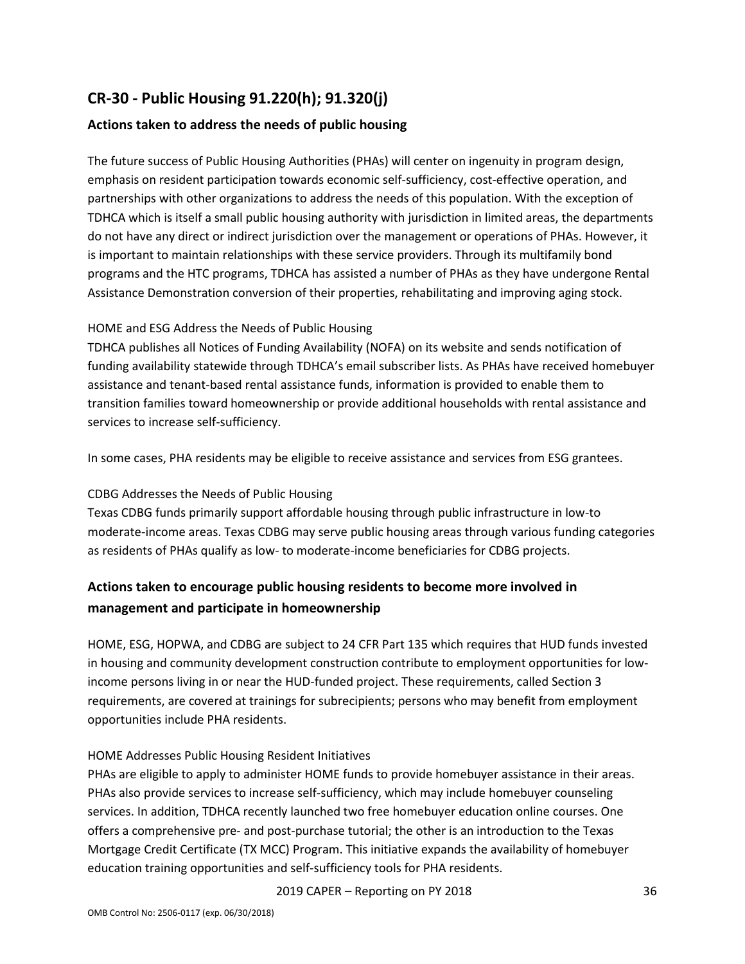# <span id="page-35-0"></span>**CR-30 - Public Housing 91.220(h); 91.320(j)**

## **Actions taken to address the needs of public housing**

The future success of Public Housing Authorities (PHAs) will center on ingenuity in program design, emphasis on resident participation towards economic self-sufficiency, cost-effective operation, and partnerships with other organizations to address the needs of this population. With the exception of TDHCA which is itself a small public housing authority with jurisdiction in limited areas, the departments do not have any direct or indirect jurisdiction over the management or operations of PHAs. However, it is important to maintain relationships with these service providers. Through its multifamily bond programs and the HTC programs, TDHCA has assisted a number of PHAs as they have undergone Rental Assistance Demonstration conversion of their properties, rehabilitating and improving aging stock.

#### HOME and ESG Address the Needs of Public Housing

TDHCA publishes all Notices of Funding Availability (NOFA) on its website and sends notification of funding availability statewide through TDHCA's email subscriber lists. As PHAs have received homebuyer assistance and tenant-based rental assistance funds, information is provided to enable them to transition families toward homeownership or provide additional households with rental assistance and services to increase self-sufficiency.

In some cases, PHA residents may be eligible to receive assistance and services from ESG grantees.

#### CDBG Addresses the Needs of Public Housing

Texas CDBG funds primarily support affordable housing through public infrastructure in low-to moderate-income areas. Texas CDBG may serve public housing areas through various funding categories as residents of PHAs qualify as low- to moderate-income beneficiaries for CDBG projects.

## **Actions taken to encourage public housing residents to become more involved in management and participate in homeownership**

HOME, ESG, HOPWA, and CDBG are subject to 24 CFR Part 135 which requires that HUD funds invested in housing and community development construction contribute to employment opportunities for lowincome persons living in or near the HUD-funded project. These requirements, called Section 3 requirements, are covered at trainings for subrecipients; persons who may benefit from employment opportunities include PHA residents.

#### HOME Addresses Public Housing Resident Initiatives

PHAs are eligible to apply to administer HOME funds to provide homebuyer assistance in their areas. PHAs also provide services to increase self-sufficiency, which may include homebuyer counseling services. In addition, TDHCA recently launched two free homebuyer education online courses. One offers a comprehensive pre- and post-purchase tutorial; the other is an introduction to the Texas Mortgage Credit Certificate (TX MCC) Program. This initiative expands the availability of homebuyer education training opportunities and self-sufficiency tools for PHA residents.

2019 CAPER – Reporting on PY 2018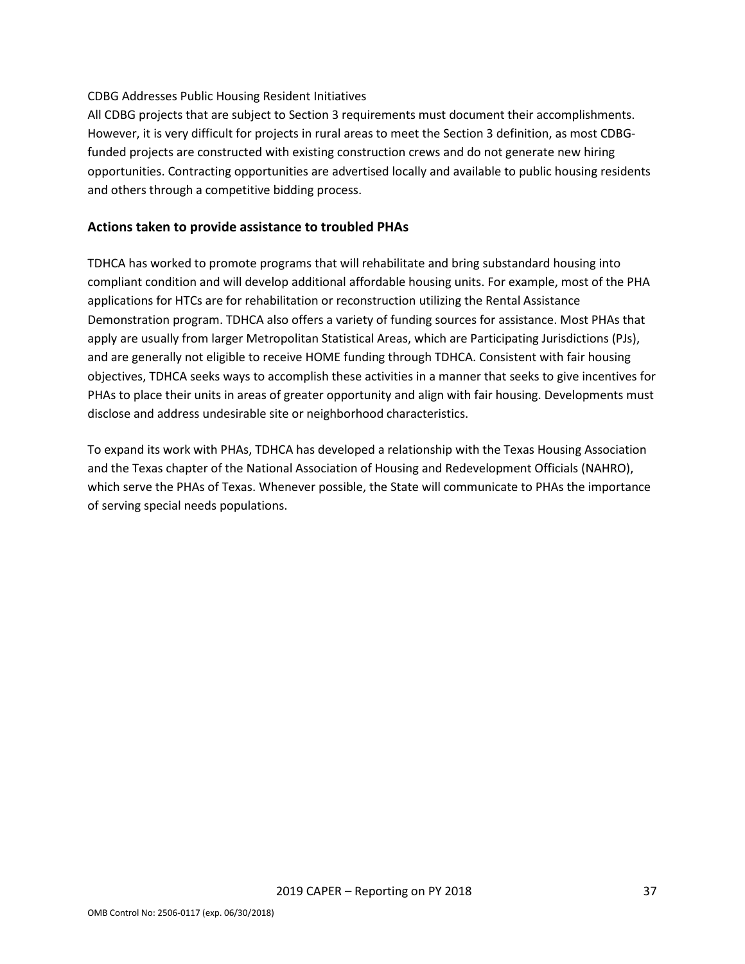#### CDBG Addresses Public Housing Resident Initiatives

All CDBG projects that are subject to Section 3 requirements must document their accomplishments. However, it is very difficult for projects in rural areas to meet the Section 3 definition, as most CDBGfunded projects are constructed with existing construction crews and do not generate new hiring opportunities. Contracting opportunities are advertised locally and available to public housing residents and others through a competitive bidding process.

## **Actions taken to provide assistance to troubled PHAs**

TDHCA has worked to promote programs that will rehabilitate and bring substandard housing into compliant condition and will develop additional affordable housing units. For example, most of the PHA applications for HTCs are for rehabilitation or reconstruction utilizing the Rental Assistance Demonstration program. TDHCA also offers a variety of funding sources for assistance. Most PHAs that apply are usually from larger Metropolitan Statistical Areas, which are Participating Jurisdictions (PJs), and are generally not eligible to receive HOME funding through TDHCA. Consistent with fair housing objectives, TDHCA seeks ways to accomplish these activities in a manner that seeks to give incentives for PHAs to place their units in areas of greater opportunity and align with fair housing. Developments must disclose and address undesirable site or neighborhood characteristics.

To expand its work with PHAs, TDHCA has developed a relationship with the Texas Housing Association and the Texas chapter of the National Association of Housing and Redevelopment Officials (NAHRO), which serve the PHAs of Texas. Whenever possible, the State will communicate to PHAs the importance of serving special needs populations.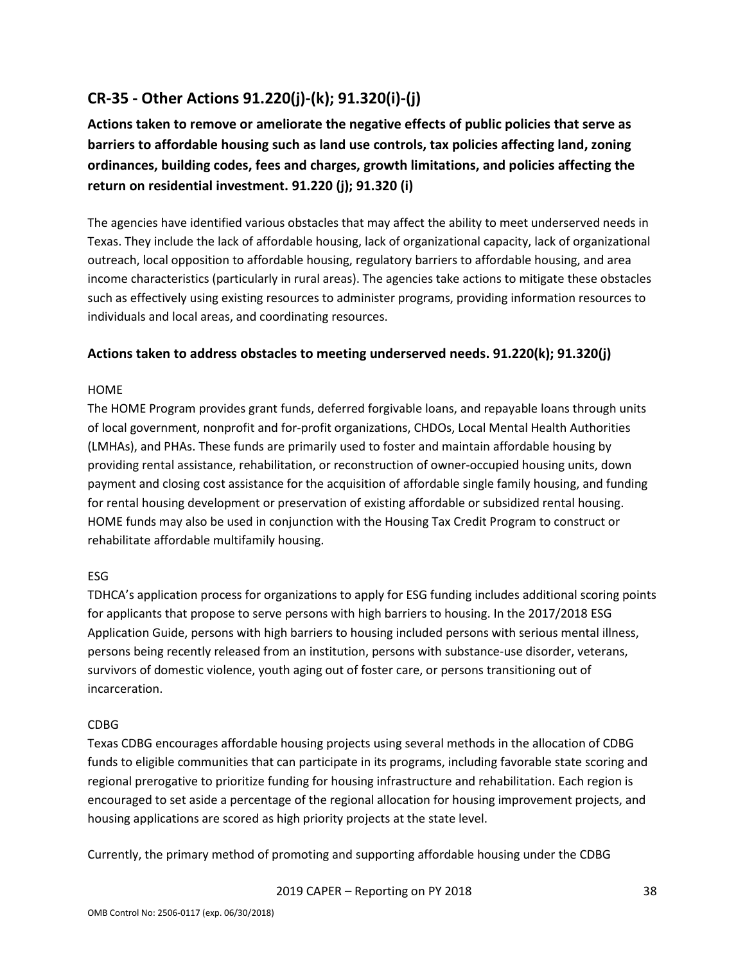# **CR-35 - Other Actions 91.220(j)-(k); 91.320(i)-(j)**

**Actions taken to remove or ameliorate the negative effects of public policies that serve as barriers to affordable housing such as land use controls, tax policies affecting land, zoning ordinances, building codes, fees and charges, growth limitations, and policies affecting the return on residential investment. 91.220 (j); 91.320 (i)**

The agencies have identified various obstacles that may affect the ability to meet underserved needs in Texas. They include the lack of affordable housing, lack of organizational capacity, lack of organizational outreach, local opposition to affordable housing, regulatory barriers to affordable housing, and area income characteristics (particularly in rural areas). The agencies take actions to mitigate these obstacles such as effectively using existing resources to administer programs, providing information resources to individuals and local areas, and coordinating resources.

## **Actions taken to address obstacles to meeting underserved needs. 91.220(k); 91.320(j)**

## HOME

The HOME Program provides grant funds, deferred forgivable loans, and repayable loans through units of local government, nonprofit and for-profit organizations, CHDOs, Local Mental Health Authorities (LMHAs), and PHAs. These funds are primarily used to foster and maintain affordable housing by providing rental assistance, rehabilitation, or reconstruction of owner-occupied housing units, down payment and closing cost assistance for the acquisition of affordable single family housing, and funding for rental housing development or preservation of existing affordable or subsidized rental housing. HOME funds may also be used in conjunction with the Housing Tax Credit Program to construct or rehabilitate affordable multifamily housing.

## ESG

TDHCA's application process for organizations to apply for ESG funding includes additional scoring points for applicants that propose to serve persons with high barriers to housing. In the 2017/2018 ESG Application Guide, persons with high barriers to housing included persons with serious mental illness, persons being recently released from an institution, persons with substance-use disorder, veterans, survivors of domestic violence, youth aging out of foster care, or persons transitioning out of incarceration.

#### CDBG

Texas CDBG encourages affordable housing projects using several methods in the allocation of CDBG funds to eligible communities that can participate in its programs, including favorable state scoring and regional prerogative to prioritize funding for housing infrastructure and rehabilitation. Each region is encouraged to set aside a percentage of the regional allocation for housing improvement projects, and housing applications are scored as high priority projects at the state level.

Currently, the primary method of promoting and supporting affordable housing under the CDBG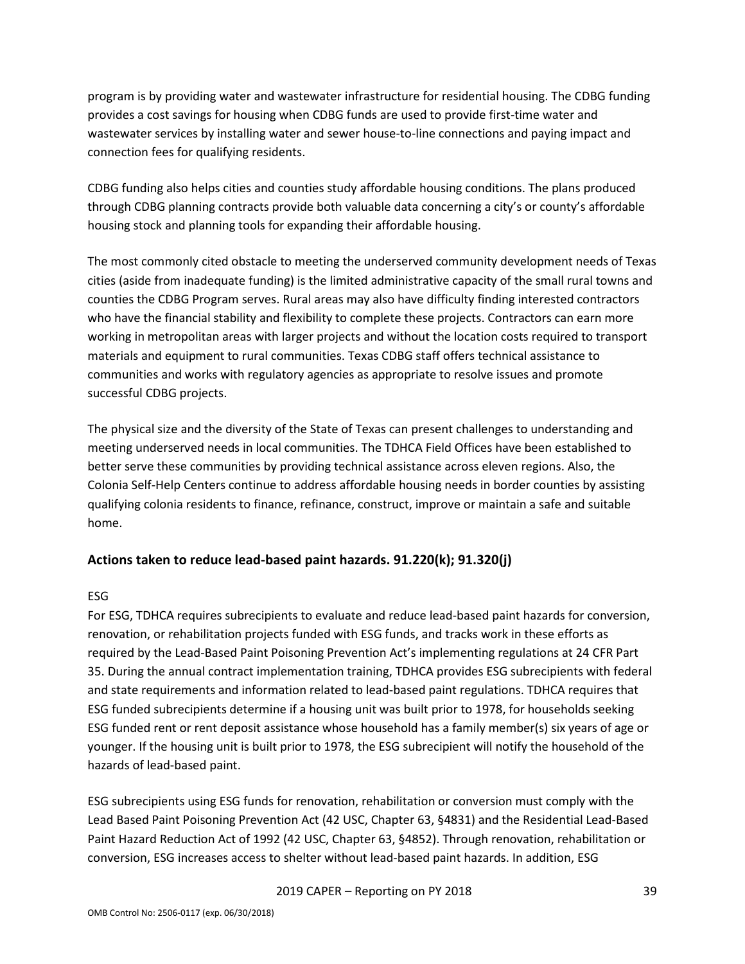program is by providing water and wastewater infrastructure for residential housing. The CDBG funding provides a cost savings for housing when CDBG funds are used to provide first-time water and wastewater services by installing water and sewer house-to-line connections and paying impact and connection fees for qualifying residents.

CDBG funding also helps cities and counties study affordable housing conditions. The plans produced through CDBG planning contracts provide both valuable data concerning a city's or county's affordable housing stock and planning tools for expanding their affordable housing.

The most commonly cited obstacle to meeting the underserved community development needs of Texas cities (aside from inadequate funding) is the limited administrative capacity of the small rural towns and counties the CDBG Program serves. Rural areas may also have difficulty finding interested contractors who have the financial stability and flexibility to complete these projects. Contractors can earn more working in metropolitan areas with larger projects and without the location costs required to transport materials and equipment to rural communities. Texas CDBG staff offers technical assistance to communities and works with regulatory agencies as appropriate to resolve issues and promote successful CDBG projects.

The physical size and the diversity of the State of Texas can present challenges to understanding and meeting underserved needs in local communities. The TDHCA Field Offices have been established to better serve these communities by providing technical assistance across eleven regions. Also, the Colonia Self-Help Centers continue to address affordable housing needs in border counties by assisting qualifying colonia residents to finance, refinance, construct, improve or maintain a safe and suitable home.

## **Actions taken to reduce lead-based paint hazards. 91.220(k); 91.320(j)**

#### ESG

For ESG, TDHCA requires subrecipients to evaluate and reduce lead-based paint hazards for conversion, renovation, or rehabilitation projects funded with ESG funds, and tracks work in these efforts as required by the Lead-Based Paint Poisoning Prevention Act's implementing regulations at 24 CFR Part 35. During the annual contract implementation training, TDHCA provides ESG subrecipients with federal and state requirements and information related to lead-based paint regulations. TDHCA requires that ESG funded subrecipients determine if a housing unit was built prior to 1978, for households seeking ESG funded rent or rent deposit assistance whose household has a family member(s) six years of age or younger. If the housing unit is built prior to 1978, the ESG subrecipient will notify the household of the hazards of lead-based paint.

ESG subrecipients using ESG funds for renovation, rehabilitation or conversion must comply with the Lead Based Paint Poisoning Prevention Act (42 USC, Chapter 63, §4831) and the Residential Lead-Based Paint Hazard Reduction Act of 1992 (42 USC, Chapter 63, §4852). Through renovation, rehabilitation or conversion, ESG increases access to shelter without lead-based paint hazards. In addition, ESG

2019 CAPER – Reporting on PY 2018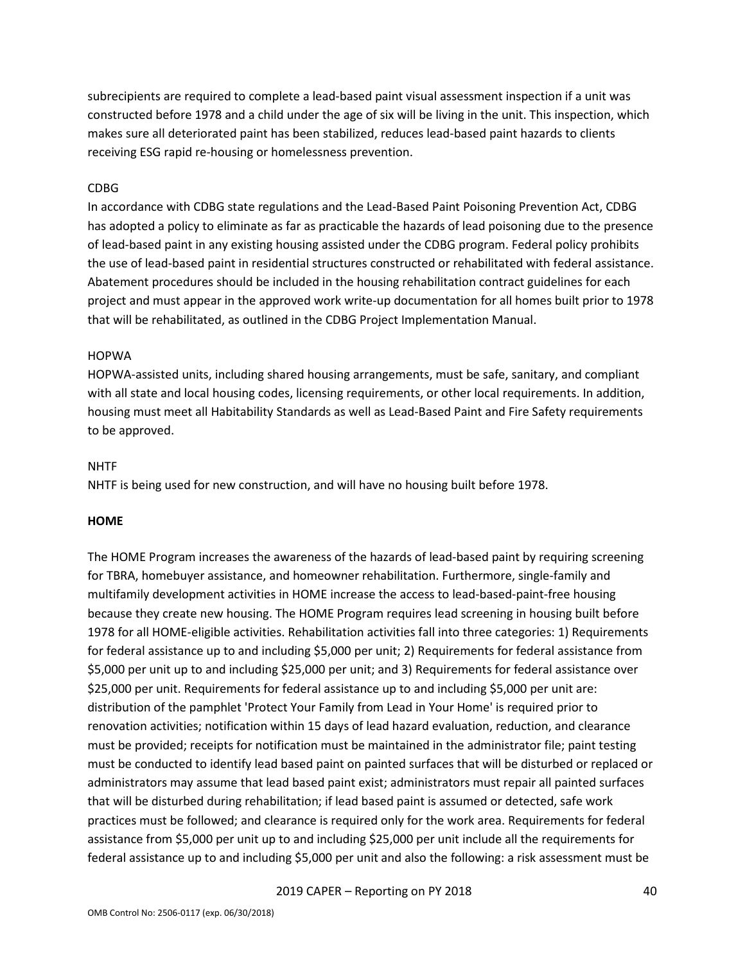subrecipients are required to complete a lead-based paint visual assessment inspection if a unit was constructed before 1978 and a child under the age of six will be living in the unit. This inspection, which makes sure all deteriorated paint has been stabilized, reduces lead-based paint hazards to clients receiving ESG rapid re-housing or homelessness prevention.

#### CDBG

In accordance with CDBG state regulations and the Lead-Based Paint Poisoning Prevention Act, CDBG has adopted a policy to eliminate as far as practicable the hazards of lead poisoning due to the presence of lead-based paint in any existing housing assisted under the CDBG program. Federal policy prohibits the use of lead-based paint in residential structures constructed or rehabilitated with federal assistance. Abatement procedures should be included in the housing rehabilitation contract guidelines for each project and must appear in the approved work write-up documentation for all homes built prior to 1978 that will be rehabilitated, as outlined in the CDBG Project Implementation Manual.

#### HOPWA

HOPWA-assisted units, including shared housing arrangements, must be safe, sanitary, and compliant with all state and local housing codes, licensing requirements, or other local requirements. In addition, housing must meet all Habitability Standards as well as Lead-Based Paint and Fire Safety requirements to be approved.

#### NHTF

NHTF is being used for new construction, and will have no housing built before 1978.

#### **HOME**

The HOME Program increases the awareness of the hazards of lead-based paint by requiring screening for TBRA, homebuyer assistance, and homeowner rehabilitation. Furthermore, single-family and multifamily development activities in HOME increase the access to lead-based-paint-free housing because they create new housing. The HOME Program requires lead screening in housing built before 1978 for all HOME-eligible activities. Rehabilitation activities fall into three categories: 1) Requirements for federal assistance up to and including \$5,000 per unit; 2) Requirements for federal assistance from \$5,000 per unit up to and including \$25,000 per unit; and 3) Requirements for federal assistance over \$25,000 per unit. Requirements for federal assistance up to and including \$5,000 per unit are: distribution of the pamphlet 'Protect Your Family from Lead in Your Home' is required prior to renovation activities; notification within 15 days of lead hazard evaluation, reduction, and clearance must be provided; receipts for notification must be maintained in the administrator file; paint testing must be conducted to identify lead based paint on painted surfaces that will be disturbed or replaced or administrators may assume that lead based paint exist; administrators must repair all painted surfaces that will be disturbed during rehabilitation; if lead based paint is assumed or detected, safe work practices must be followed; and clearance is required only for the work area. Requirements for federal assistance from \$5,000 per unit up to and including \$25,000 per unit include all the requirements for federal assistance up to and including \$5,000 per unit and also the following: a risk assessment must be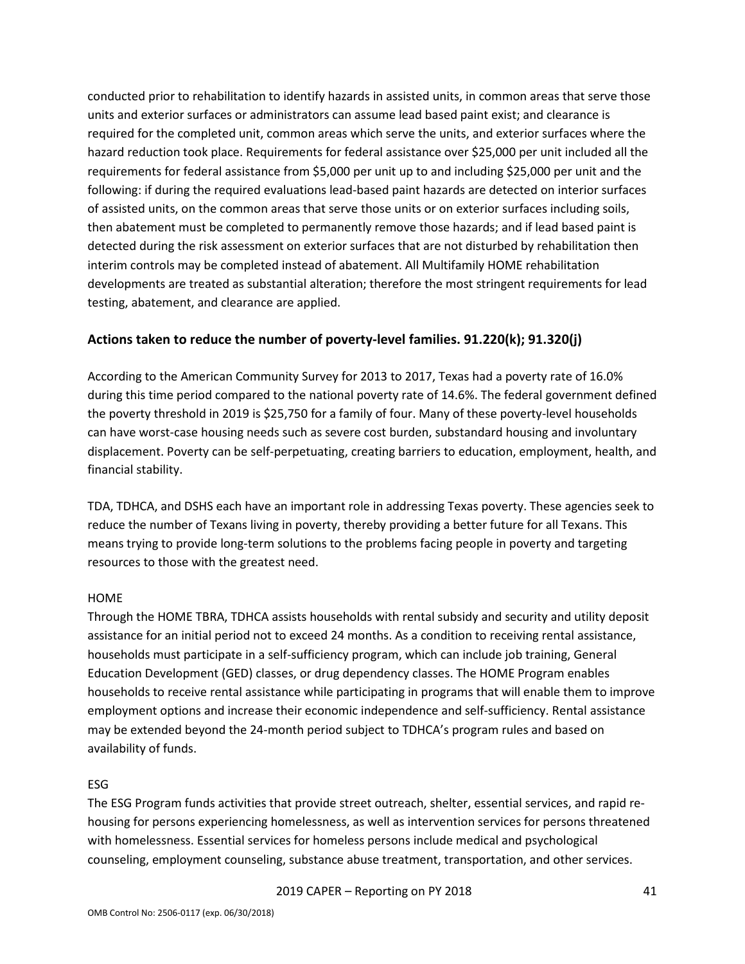conducted prior to rehabilitation to identify hazards in assisted units, in common areas that serve those units and exterior surfaces or administrators can assume lead based paint exist; and clearance is required for the completed unit, common areas which serve the units, and exterior surfaces where the hazard reduction took place. Requirements for federal assistance over \$25,000 per unit included all the requirements for federal assistance from \$5,000 per unit up to and including \$25,000 per unit and the following: if during the required evaluations lead-based paint hazards are detected on interior surfaces of assisted units, on the common areas that serve those units or on exterior surfaces including soils, then abatement must be completed to permanently remove those hazards; and if lead based paint is detected during the risk assessment on exterior surfaces that are not disturbed by rehabilitation then interim controls may be completed instead of abatement. All Multifamily HOME rehabilitation developments are treated as substantial alteration; therefore the most stringent requirements for lead testing, abatement, and clearance are applied.

## **Actions taken to reduce the number of poverty-level families. 91.220(k); 91.320(j)**

According to the American Community Survey for 2013 to 2017, Texas had a poverty rate of 16.0% during this time period compared to the national poverty rate of 14.6%. The federal government defined the poverty threshold in 2019 is \$25,750 for a family of four. Many of these poverty-level households can have worst-case housing needs such as severe cost burden, substandard housing and involuntary displacement. Poverty can be self-perpetuating, creating barriers to education, employment, health, and financial stability.

TDA, TDHCA, and DSHS each have an important role in addressing Texas poverty. These agencies seek to reduce the number of Texans living in poverty, thereby providing a better future for all Texans. This means trying to provide long-term solutions to the problems facing people in poverty and targeting resources to those with the greatest need.

## HOME

Through the HOME TBRA, TDHCA assists households with rental subsidy and security and utility deposit assistance for an initial period not to exceed 24 months. As a condition to receiving rental assistance, households must participate in a self-sufficiency program, which can include job training, General Education Development (GED) classes, or drug dependency classes. The HOME Program enables households to receive rental assistance while participating in programs that will enable them to improve employment options and increase their economic independence and self-sufficiency. Rental assistance may be extended beyond the 24-month period subject to TDHCA's program rules and based on availability of funds.

## ESG

The ESG Program funds activities that provide street outreach, shelter, essential services, and rapid rehousing for persons experiencing homelessness, as well as intervention services for persons threatened with homelessness. Essential services for homeless persons include medical and psychological counseling, employment counseling, substance abuse treatment, transportation, and other services.

2019 CAPER – Reporting on PY 2018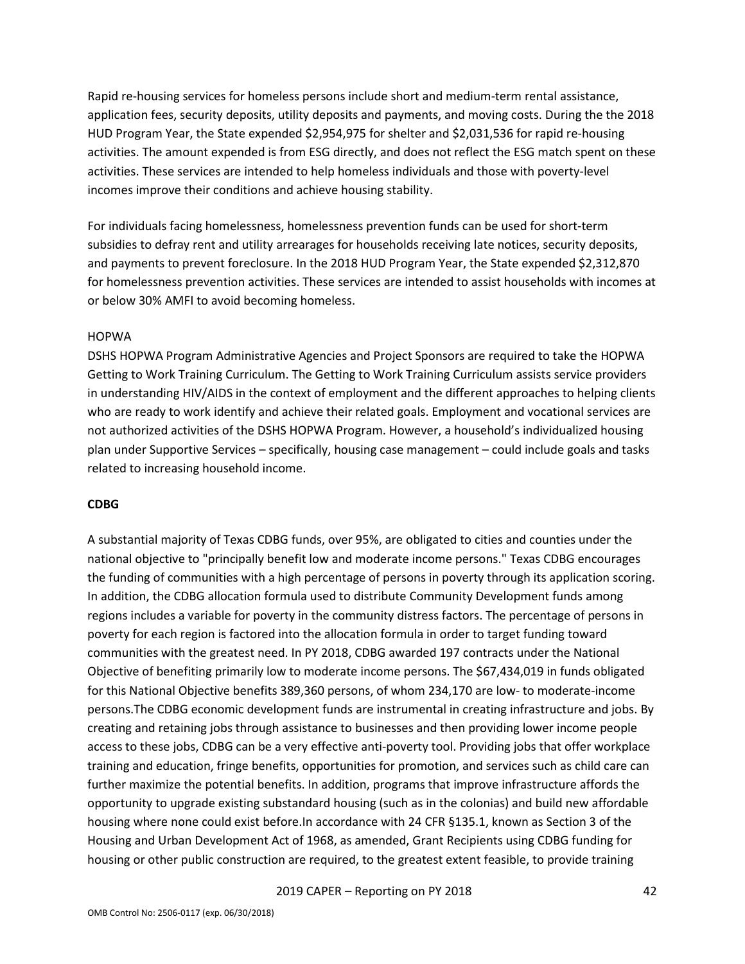Rapid re-housing services for homeless persons include short and medium-term rental assistance, application fees, security deposits, utility deposits and payments, and moving costs. During the the 2018 HUD Program Year, the State expended \$2,954,975 for shelter and \$2,031,536 for rapid re-housing activities. The amount expended is from ESG directly, and does not reflect the ESG match spent on these activities. These services are intended to help homeless individuals and those with poverty-level incomes improve their conditions and achieve housing stability.

For individuals facing homelessness, homelessness prevention funds can be used for short-term subsidies to defray rent and utility arrearages for households receiving late notices, security deposits, and payments to prevent foreclosure. In the 2018 HUD Program Year, the State expended \$2,312,870 for homelessness prevention activities. These services are intended to assist households with incomes at or below 30% AMFI to avoid becoming homeless.

#### HOPWA

DSHS HOPWA Program Administrative Agencies and Project Sponsors are required to take the HOPWA Getting to Work Training Curriculum. The Getting to Work Training Curriculum assists service providers in understanding HIV/AIDS in the context of employment and the different approaches to helping clients who are ready to work identify and achieve their related goals. Employment and vocational services are not authorized activities of the DSHS HOPWA Program. However, a household's individualized housing plan under Supportive Services – specifically, housing case management – could include goals and tasks related to increasing household income.

#### **CDBG**

A substantial majority of Texas CDBG funds, over 95%, are obligated to cities and counties under the national objective to "principally benefit low and moderate income persons." Texas CDBG encourages the funding of communities with a high percentage of persons in poverty through its application scoring. In addition, the CDBG allocation formula used to distribute Community Development funds among regions includes a variable for poverty in the community distress factors. The percentage of persons in poverty for each region is factored into the allocation formula in order to target funding toward communities with the greatest need. In PY 2018, CDBG awarded 197 contracts under the National Objective of benefiting primarily low to moderate income persons. The \$67,434,019 in funds obligated for this National Objective benefits 389,360 persons, of whom 234,170 are low- to moderate-income persons.The CDBG economic development funds are instrumental in creating infrastructure and jobs. By creating and retaining jobs through assistance to businesses and then providing lower income people access to these jobs, CDBG can be a very effective anti-poverty tool. Providing jobs that offer workplace training and education, fringe benefits, opportunities for promotion, and services such as child care can further maximize the potential benefits. In addition, programs that improve infrastructure affords the opportunity to upgrade existing substandard housing (such as in the colonias) and build new affordable housing where none could exist before.In accordance with 24 CFR §135.1, known as Section 3 of the Housing and Urban Development Act of 1968, as amended, Grant Recipients using CDBG funding for housing or other public construction are required, to the greatest extent feasible, to provide training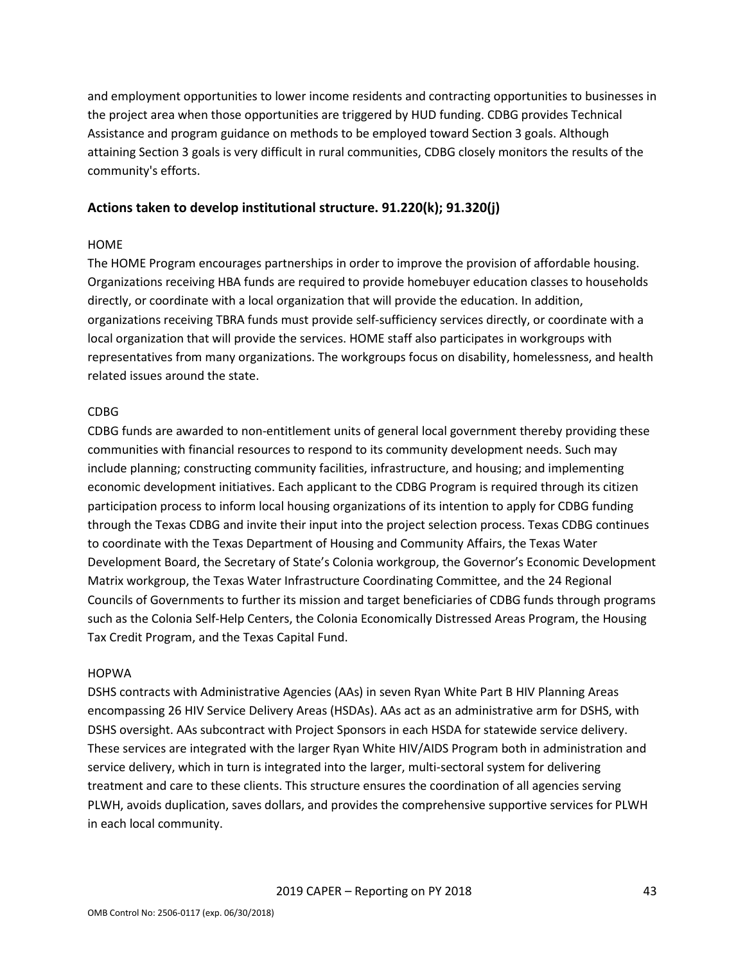and employment opportunities to lower income residents and contracting opportunities to businesses in the project area when those opportunities are triggered by HUD funding. CDBG provides Technical Assistance and program guidance on methods to be employed toward Section 3 goals. Although attaining Section 3 goals is very difficult in rural communities, CDBG closely monitors the results of the community's efforts.

## **Actions taken to develop institutional structure. 91.220(k); 91.320(j)**

#### HOME

The HOME Program encourages partnerships in order to improve the provision of affordable housing. Organizations receiving HBA funds are required to provide homebuyer education classes to households directly, or coordinate with a local organization that will provide the education. In addition, organizations receiving TBRA funds must provide self-sufficiency services directly, or coordinate with a local organization that will provide the services. HOME staff also participates in workgroups with representatives from many organizations. The workgroups focus on disability, homelessness, and health related issues around the state.

#### CDBG

CDBG funds are awarded to non-entitlement units of general local government thereby providing these communities with financial resources to respond to its community development needs. Such may include planning; constructing community facilities, infrastructure, and housing; and implementing economic development initiatives. Each applicant to the CDBG Program is required through its citizen participation process to inform local housing organizations of its intention to apply for CDBG funding through the Texas CDBG and invite their input into the project selection process. Texas CDBG continues to coordinate with the Texas Department of Housing and Community Affairs, the Texas Water Development Board, the Secretary of State's Colonia workgroup, the Governor's Economic Development Matrix workgroup, the Texas Water Infrastructure Coordinating Committee, and the 24 Regional Councils of Governments to further its mission and target beneficiaries of CDBG funds through programs such as the Colonia Self-Help Centers, the Colonia Economically Distressed Areas Program, the Housing Tax Credit Program, and the Texas Capital Fund.

#### HOPWA

DSHS contracts with Administrative Agencies (AAs) in seven Ryan White Part B HIV Planning Areas encompassing 26 HIV Service Delivery Areas (HSDAs). AAs act as an administrative arm for DSHS, with DSHS oversight. AAs subcontract with Project Sponsors in each HSDA for statewide service delivery. These services are integrated with the larger Ryan White HIV/AIDS Program both in administration and service delivery, which in turn is integrated into the larger, multi-sectoral system for delivering treatment and care to these clients. This structure ensures the coordination of all agencies serving PLWH, avoids duplication, saves dollars, and provides the comprehensive supportive services for PLWH in each local community.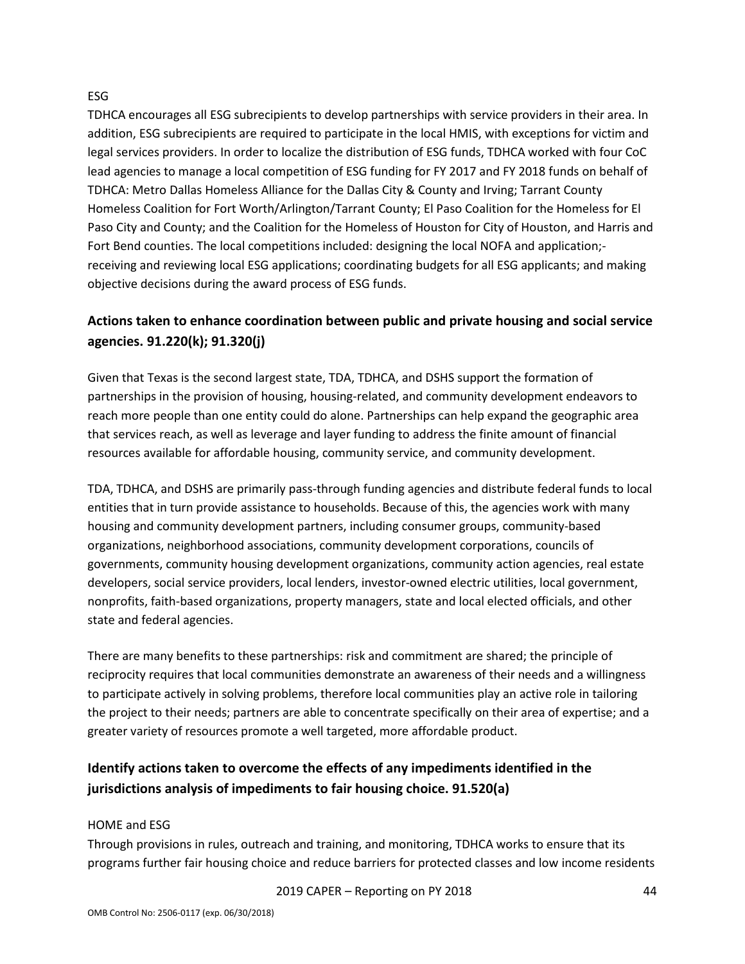#### ESG

TDHCA encourages all ESG subrecipients to develop partnerships with service providers in their area. In addition, ESG subrecipients are required to participate in the local HMIS, with exceptions for victim and legal services providers. In order to localize the distribution of ESG funds, TDHCA worked with four CoC lead agencies to manage a local competition of ESG funding for FY 2017 and FY 2018 funds on behalf of TDHCA: Metro Dallas Homeless Alliance for the Dallas City & County and Irving; Tarrant County Homeless Coalition for Fort Worth/Arlington/Tarrant County; El Paso Coalition for the Homeless for El Paso City and County; and the Coalition for the Homeless of Houston for City of Houston, and Harris and Fort Bend counties. The local competitions included: designing the local NOFA and application; receiving and reviewing local ESG applications; coordinating budgets for all ESG applicants; and making objective decisions during the award process of ESG funds.

## **Actions taken to enhance coordination between public and private housing and social service agencies. 91.220(k); 91.320(j)**

Given that Texas is the second largest state, TDA, TDHCA, and DSHS support the formation of partnerships in the provision of housing, housing-related, and community development endeavors to reach more people than one entity could do alone. Partnerships can help expand the geographic area that services reach, as well as leverage and layer funding to address the finite amount of financial resources available for affordable housing, community service, and community development.

TDA, TDHCA, and DSHS are primarily pass-through funding agencies and distribute federal funds to local entities that in turn provide assistance to households. Because of this, the agencies work with many housing and community development partners, including consumer groups, community-based organizations, neighborhood associations, community development corporations, councils of governments, community housing development organizations, community action agencies, real estate developers, social service providers, local lenders, investor-owned electric utilities, local government, nonprofits, faith-based organizations, property managers, state and local elected officials, and other state and federal agencies.

There are many benefits to these partnerships: risk and commitment are shared; the principle of reciprocity requires that local communities demonstrate an awareness of their needs and a willingness to participate actively in solving problems, therefore local communities play an active role in tailoring the project to their needs; partners are able to concentrate specifically on their area of expertise; and a greater variety of resources promote a well targeted, more affordable product.

## **Identify actions taken to overcome the effects of any impediments identified in the jurisdictions analysis of impediments to fair housing choice. 91.520(a)**

#### HOME and ESG

Through provisions in rules, outreach and training, and monitoring, TDHCA works to ensure that its programs further fair housing choice and reduce barriers for protected classes and low income residents

2019 CAPER – Reporting on PY 2018 44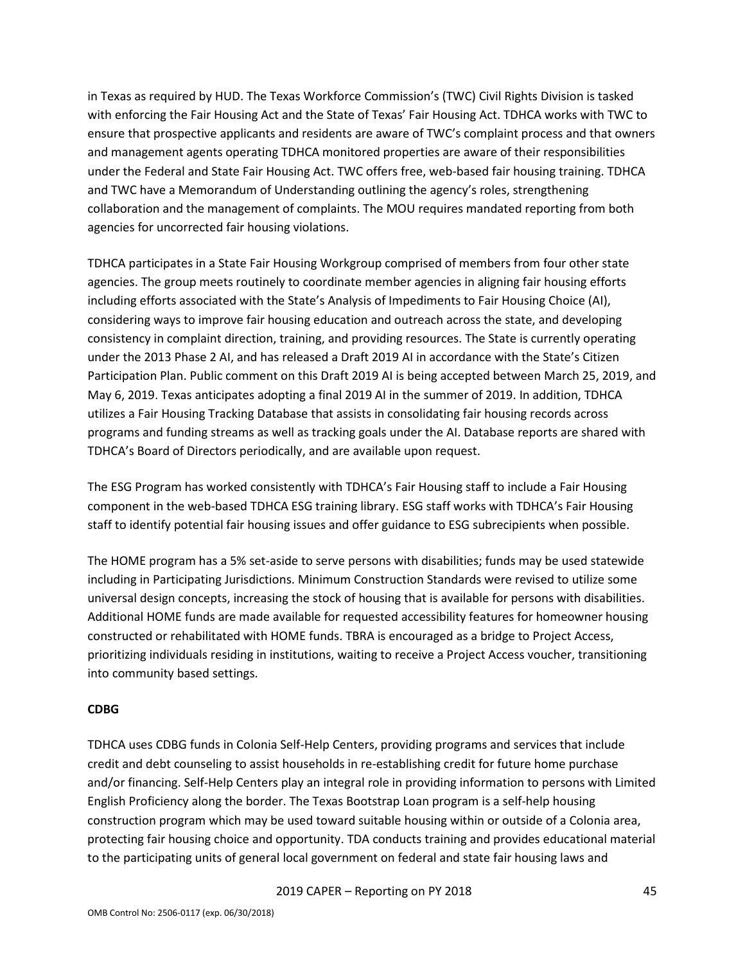in Texas as required by HUD. The Texas Workforce Commission's (TWC) Civil Rights Division is tasked with enforcing the Fair Housing Act and the State of Texas' Fair Housing Act. TDHCA works with TWC to ensure that prospective applicants and residents are aware of TWC's complaint process and that owners and management agents operating TDHCA monitored properties are aware of their responsibilities under the Federal and State Fair Housing Act. TWC offers free, web-based fair housing training. TDHCA and TWC have a Memorandum of Understanding outlining the agency's roles, strengthening collaboration and the management of complaints. The MOU requires mandated reporting from both agencies for uncorrected fair housing violations.

TDHCA participates in a State Fair Housing Workgroup comprised of members from four other state agencies. The group meets routinely to coordinate member agencies in aligning fair housing efforts including efforts associated with the State's Analysis of Impediments to Fair Housing Choice (AI), considering ways to improve fair housing education and outreach across the state, and developing consistency in complaint direction, training, and providing resources. The State is currently operating under the 2013 Phase 2 AI, and has released a Draft 2019 AI in accordance with the State's Citizen Participation Plan. Public comment on this Draft 2019 AI is being accepted between March 25, 2019, and May 6, 2019. Texas anticipates adopting a final 2019 AI in the summer of 2019. In addition, TDHCA utilizes a Fair Housing Tracking Database that assists in consolidating fair housing records across programs and funding streams as well as tracking goals under the AI. Database reports are shared with TDHCA's Board of Directors periodically, and are available upon request.

The ESG Program has worked consistently with TDHCA's Fair Housing staff to include a Fair Housing component in the web-based TDHCA ESG training library. ESG staff works with TDHCA's Fair Housing staff to identify potential fair housing issues and offer guidance to ESG subrecipients when possible.

The HOME program has a 5% set-aside to serve persons with disabilities; funds may be used statewide including in Participating Jurisdictions. Minimum Construction Standards were revised to utilize some universal design concepts, increasing the stock of housing that is available for persons with disabilities. Additional HOME funds are made available for requested accessibility features for homeowner housing constructed or rehabilitated with HOME funds. TBRA is encouraged as a bridge to Project Access, prioritizing individuals residing in institutions, waiting to receive a Project Access voucher, transitioning into community based settings.

## **CDBG**

TDHCA uses CDBG funds in Colonia Self-Help Centers, providing programs and services that include credit and debt counseling to assist households in re-establishing credit for future home purchase and/or financing. Self-Help Centers play an integral role in providing information to persons with Limited English Proficiency along the border. The Texas Bootstrap Loan program is a self-help housing construction program which may be used toward suitable housing within or outside of a Colonia area, protecting fair housing choice and opportunity. TDA conducts training and provides educational material to the participating units of general local government on federal and state fair housing laws and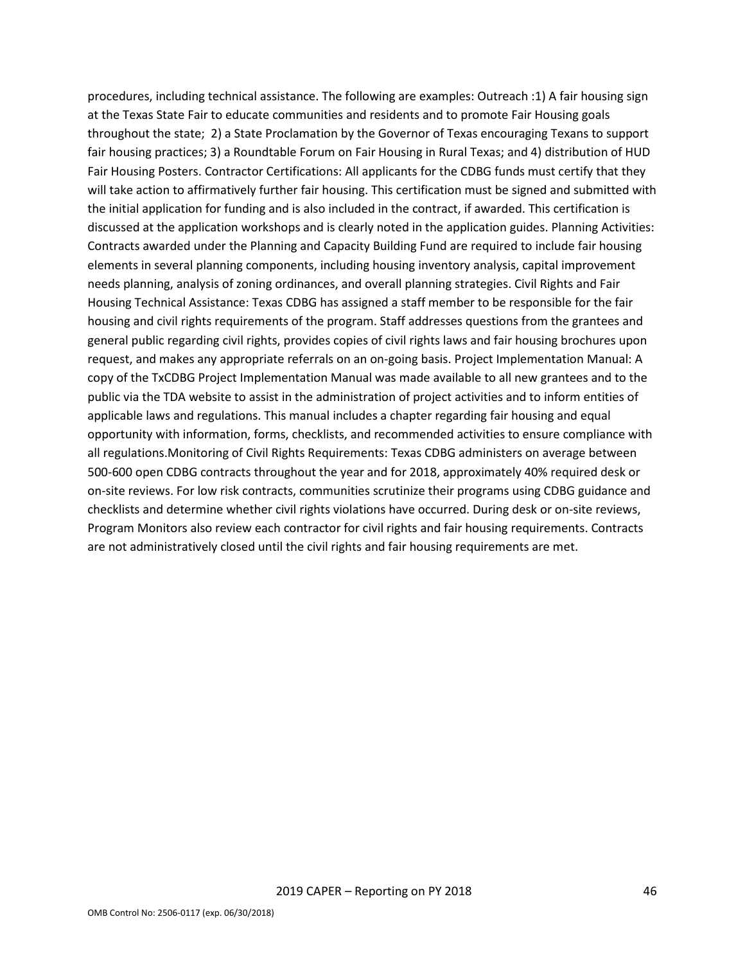procedures, including technical assistance. The following are examples: Outreach :1) A fair housing sign at the Texas State Fair to educate communities and residents and to promote Fair Housing goals throughout the state; 2) a State Proclamation by the Governor of Texas encouraging Texans to support fair housing practices; 3) a Roundtable Forum on Fair Housing in Rural Texas; and 4) distribution of HUD Fair Housing Posters. Contractor Certifications: All applicants for the CDBG funds must certify that they will take action to affirmatively further fair housing. This certification must be signed and submitted with the initial application for funding and is also included in the contract, if awarded. This certification is discussed at the application workshops and is clearly noted in the application guides. Planning Activities: Contracts awarded under the Planning and Capacity Building Fund are required to include fair housing elements in several planning components, including housing inventory analysis, capital improvement needs planning, analysis of zoning ordinances, and overall planning strategies. Civil Rights and Fair Housing Technical Assistance: Texas CDBG has assigned a staff member to be responsible for the fair housing and civil rights requirements of the program. Staff addresses questions from the grantees and general public regarding civil rights, provides copies of civil rights laws and fair housing brochures upon request, and makes any appropriate referrals on an on-going basis. Project Implementation Manual: A copy of the TxCDBG Project Implementation Manual was made available to all new grantees and to the public via the TDA website to assist in the administration of project activities and to inform entities of applicable laws and regulations. This manual includes a chapter regarding fair housing and equal opportunity with information, forms, checklists, and recommended activities to ensure compliance with all regulations.Monitoring of Civil Rights Requirements: Texas CDBG administers on average between 500-600 open CDBG contracts throughout the year and for 2018, approximately 40% required desk or on-site reviews. For low risk contracts, communities scrutinize their programs using CDBG guidance and checklists and determine whether civil rights violations have occurred. During desk or on-site reviews, Program Monitors also review each contractor for civil rights and fair housing requirements. Contracts are not administratively closed until the civil rights and fair housing requirements are met.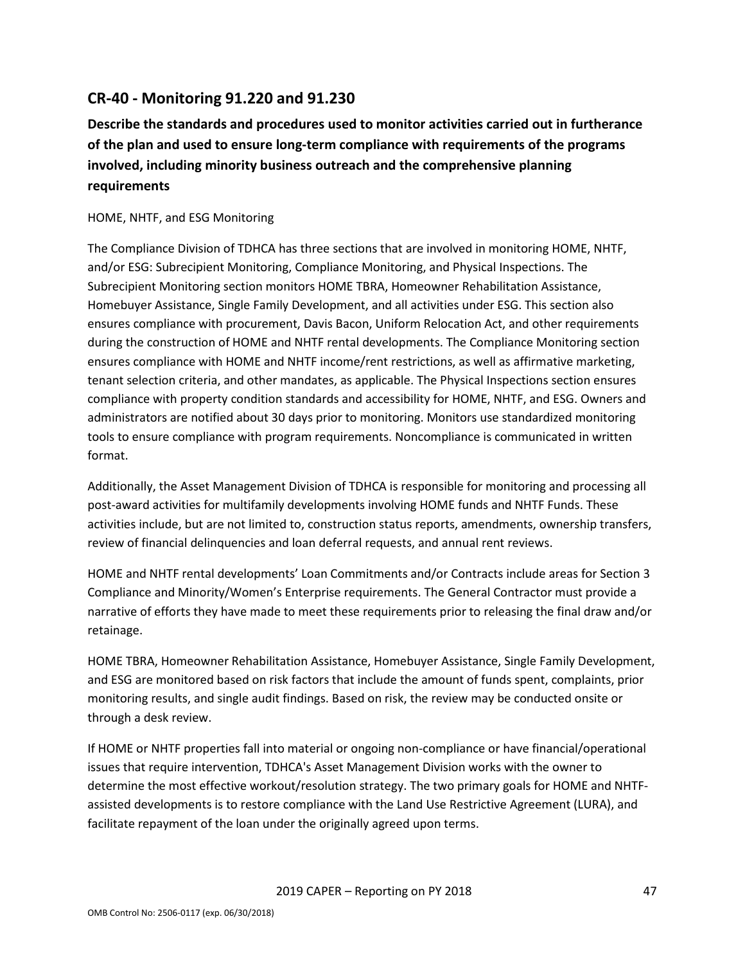## **CR-40 - Monitoring 91.220 and 91.230**

**Describe the standards and procedures used to monitor activities carried out in furtherance of the plan and used to ensure long-term compliance with requirements of the programs involved, including minority business outreach and the comprehensive planning requirements**

### HOME, NHTF, and ESG Monitoring

The Compliance Division of TDHCA has three sections that are involved in monitoring HOME, NHTF, and/or ESG: Subrecipient Monitoring, Compliance Monitoring, and Physical Inspections. The Subrecipient Monitoring section monitors HOME TBRA, Homeowner Rehabilitation Assistance, Homebuyer Assistance, Single Family Development, and all activities under ESG. This section also ensures compliance with procurement, Davis Bacon, Uniform Relocation Act, and other requirements during the construction of HOME and NHTF rental developments. The Compliance Monitoring section ensures compliance with HOME and NHTF income/rent restrictions, as well as affirmative marketing, tenant selection criteria, and other mandates, as applicable. The Physical Inspections section ensures compliance with property condition standards and accessibility for HOME, NHTF, and ESG. Owners and administrators are notified about 30 days prior to monitoring. Monitors use standardized monitoring tools to ensure compliance with program requirements. Noncompliance is communicated in written format.

Additionally, the Asset Management Division of TDHCA is responsible for monitoring and processing all post-award activities for multifamily developments involving HOME funds and NHTF Funds. These activities include, but are not limited to, construction status reports, amendments, ownership transfers, review of financial delinquencies and loan deferral requests, and annual rent reviews.

HOME and NHTF rental developments' Loan Commitments and/or Contracts include areas for Section 3 Compliance and Minority/Women's Enterprise requirements. The General Contractor must provide a narrative of efforts they have made to meet these requirements prior to releasing the final draw and/or retainage.

HOME TBRA, Homeowner Rehabilitation Assistance, Homebuyer Assistance, Single Family Development, and ESG are monitored based on risk factors that include the amount of funds spent, complaints, prior monitoring results, and single audit findings. Based on risk, the review may be conducted onsite or through a desk review.

If HOME or NHTF properties fall into material or ongoing non-compliance or have financial/operational issues that require intervention, TDHCA's Asset Management Division works with the owner to determine the most effective workout/resolution strategy. The two primary goals for HOME and NHTFassisted developments is to restore compliance with the Land Use Restrictive Agreement (LURA), and facilitate repayment of the loan under the originally agreed upon terms.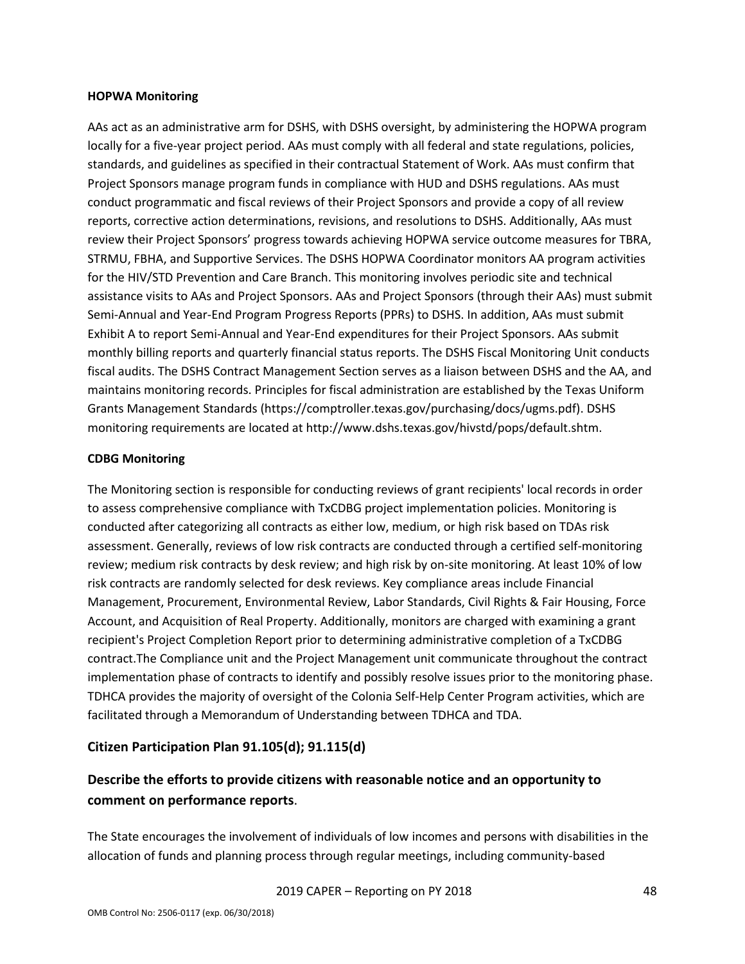#### **HOPWA Monitoring**

AAs act as an administrative arm for DSHS, with DSHS oversight, by administering the HOPWA program locally for a five-year project period. AAs must comply with all federal and state regulations, policies, standards, and guidelines as specified in their contractual Statement of Work. AAs must confirm that Project Sponsors manage program funds in compliance with HUD and DSHS regulations. AAs must conduct programmatic and fiscal reviews of their Project Sponsors and provide a copy of all review reports, corrective action determinations, revisions, and resolutions to DSHS. Additionally, AAs must review their Project Sponsors' progress towards achieving HOPWA service outcome measures for TBRA, STRMU, FBHA, and Supportive Services. The DSHS HOPWA Coordinator monitors AA program activities for the HIV/STD Prevention and Care Branch. This monitoring involves periodic site and technical assistance visits to AAs and Project Sponsors. AAs and Project Sponsors (through their AAs) must submit Semi-Annual and Year-End Program Progress Reports (PPRs) to DSHS. In addition, AAs must submit Exhibit A to report Semi-Annual and Year-End expenditures for their Project Sponsors. AAs submit monthly billing reports and quarterly financial status reports. The DSHS Fiscal Monitoring Unit conducts fiscal audits. The DSHS Contract Management Section serves as a liaison between DSHS and the AA, and maintains monitoring records. Principles for fiscal administration are established by the Texas Uniform Grants Management Standards (https://comptroller.texas.gov/purchasing/docs/ugms.pdf). DSHS monitoring requirements are located at http://www.dshs.texas.gov/hivstd/pops/default.shtm.

#### **CDBG Monitoring**

The Monitoring section is responsible for conducting reviews of grant recipients' local records in order to assess comprehensive compliance with TxCDBG project implementation policies. Monitoring is conducted after categorizing all contracts as either low, medium, or high risk based on TDAs risk assessment. Generally, reviews of low risk contracts are conducted through a certified self-monitoring review; medium risk contracts by desk review; and high risk by on-site monitoring. At least 10% of low risk contracts are randomly selected for desk reviews. Key compliance areas include Financial Management, Procurement, Environmental Review, Labor Standards, Civil Rights & Fair Housing, Force Account, and Acquisition of Real Property. Additionally, monitors are charged with examining a grant recipient's Project Completion Report prior to determining administrative completion of a TxCDBG contract.The Compliance unit and the Project Management unit communicate throughout the contract implementation phase of contracts to identify and possibly resolve issues prior to the monitoring phase. TDHCA provides the majority of oversight of the Colonia Self-Help Center Program activities, which are facilitated through a Memorandum of Understanding between TDHCA and TDA.

## **Citizen Participation Plan 91.105(d); 91.115(d)**

# **Describe the efforts to provide citizens with reasonable notice and an opportunity to comment on performance reports**.

The State encourages the involvement of individuals of low incomes and persons with disabilities in the allocation of funds and planning process through regular meetings, including community-based

2019 CAPER – Reporting on PY 2018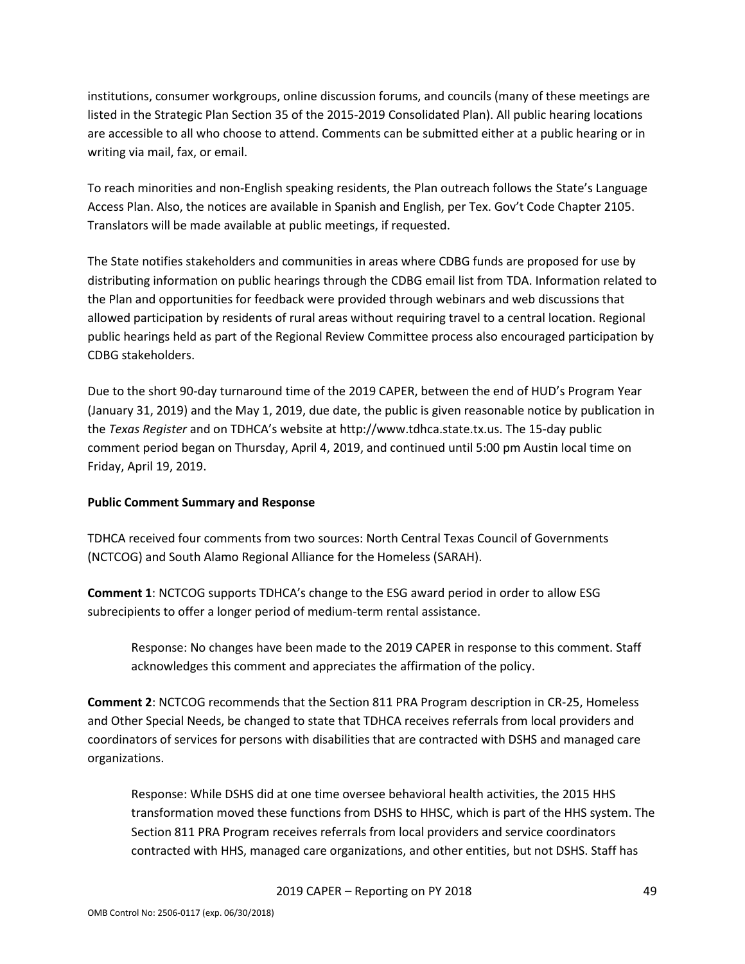institutions, consumer workgroups, online discussion forums, and councils (many of these meetings are listed in the Strategic Plan Section 35 of the 2015-2019 Consolidated Plan). All public hearing locations are accessible to all who choose to attend. Comments can be submitted either at a public hearing or in writing via mail, fax, or email.

To reach minorities and non-English speaking residents, the Plan outreach follows the State's Language Access Plan. Also, the notices are available in Spanish and English, per Tex. Gov't Code Chapter 2105. Translators will be made available at public meetings, if requested.

The State notifies stakeholders and communities in areas where CDBG funds are proposed for use by distributing information on public hearings through the CDBG email list from TDA. Information related to the Plan and opportunities for feedback were provided through webinars and web discussions that allowed participation by residents of rural areas without requiring travel to a central location. Regional public hearings held as part of the Regional Review Committee process also encouraged participation by CDBG stakeholders.

Due to the short 90-day turnaround time of the 2019 CAPER, between the end of HUD's Program Year (January 31, 2019) and the May 1, 2019, due date, the public is given reasonable notice by publication in the *Texas Register* and on TDHCA's website at http://www.tdhca.state.tx.us. The 15-day public comment period began on Thursday, April 4, 2019, and continued until 5:00 pm Austin local time on Friday, April 19, 2019.

## **Public Comment Summary and Response**

TDHCA received four comments from two sources: North Central Texas Council of Governments (NCTCOG) and South Alamo Regional Alliance for the Homeless (SARAH).

**Comment 1**: NCTCOG supports TDHCA's change to the ESG award period in order to allow ESG subrecipients to offer a longer period of medium-term rental assistance.

Response: No changes have been made to the 2019 CAPER in response to this comment. Staff acknowledges this comment and appreciates the affirmation of the policy.

**Comment 2**: NCTCOG recommends that the Section 811 PRA Program description in CR-25, Homeless and Other Special Needs, be changed to state that TDHCA receives referrals from local providers and coordinators of services for persons with disabilities that are contracted with DSHS and managed care organizations.

Response: While DSHS did at one time oversee behavioral health activities, the 2015 HHS transformation moved these functions from DSHS to HHSC, which is part of the HHS system. The Section 811 PRA Program receives referrals from local providers and service coordinators contracted with HHS, managed care organizations, and other entities, but not DSHS. Staff has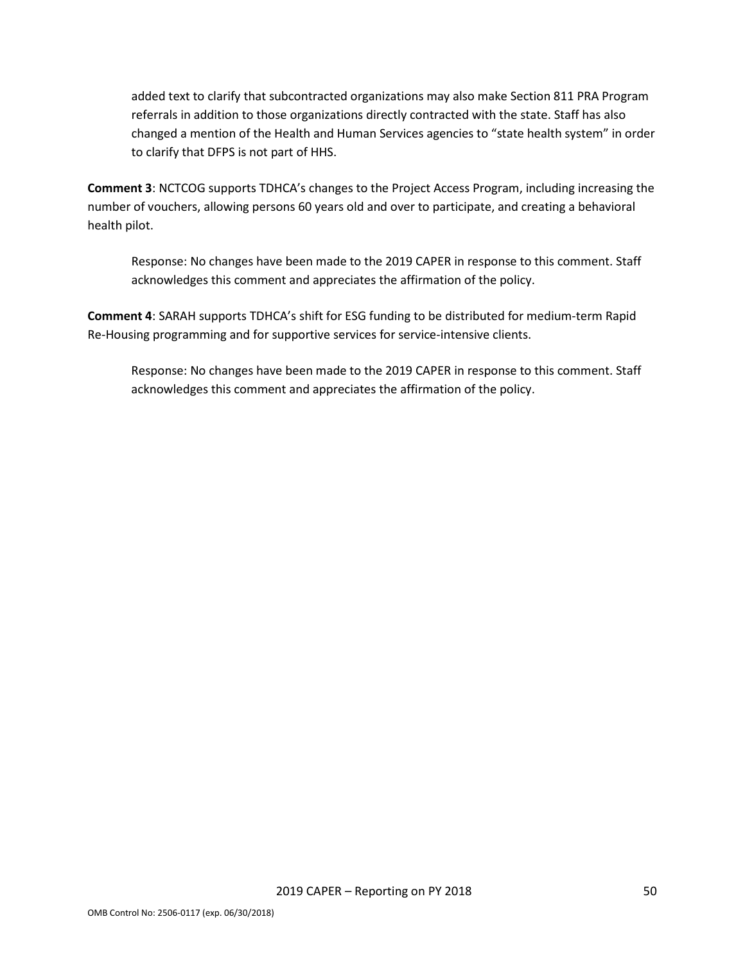added text to clarify that subcontracted organizations may also make Section 811 PRA Program referrals in addition to those organizations directly contracted with the state. Staff has also changed a mention of the Health and Human Services agencies to "state health system" in order to clarify that DFPS is not part of HHS.

**Comment 3**: NCTCOG supports TDHCA's changes to the Project Access Program, including increasing the number of vouchers, allowing persons 60 years old and over to participate, and creating a behavioral health pilot.

Response: No changes have been made to the 2019 CAPER in response to this comment. Staff acknowledges this comment and appreciates the affirmation of the policy.

**Comment 4**: SARAH supports TDHCA's shift for ESG funding to be distributed for medium-term Rapid Re-Housing programming and for supportive services for service-intensive clients.

Response: No changes have been made to the 2019 CAPER in response to this comment. Staff acknowledges this comment and appreciates the affirmation of the policy.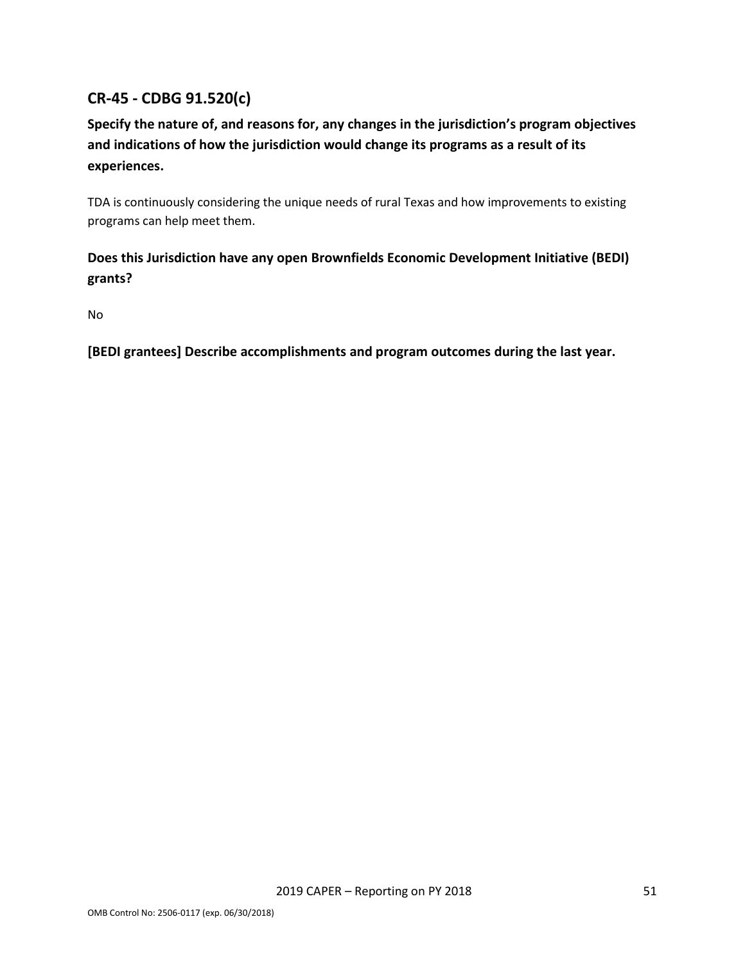# **CR-45 - CDBG 91.520(c)**

# **Specify the nature of, and reasons for, any changes in the jurisdiction's program objectives and indications of how the jurisdiction would change its programs as a result of its experiences.**

TDA is continuously considering the unique needs of rural Texas and how improvements to existing programs can help meet them.

## **Does this Jurisdiction have any open Brownfields Economic Development Initiative (BEDI) grants?**

No

**[BEDI grantees] Describe accomplishments and program outcomes during the last year.**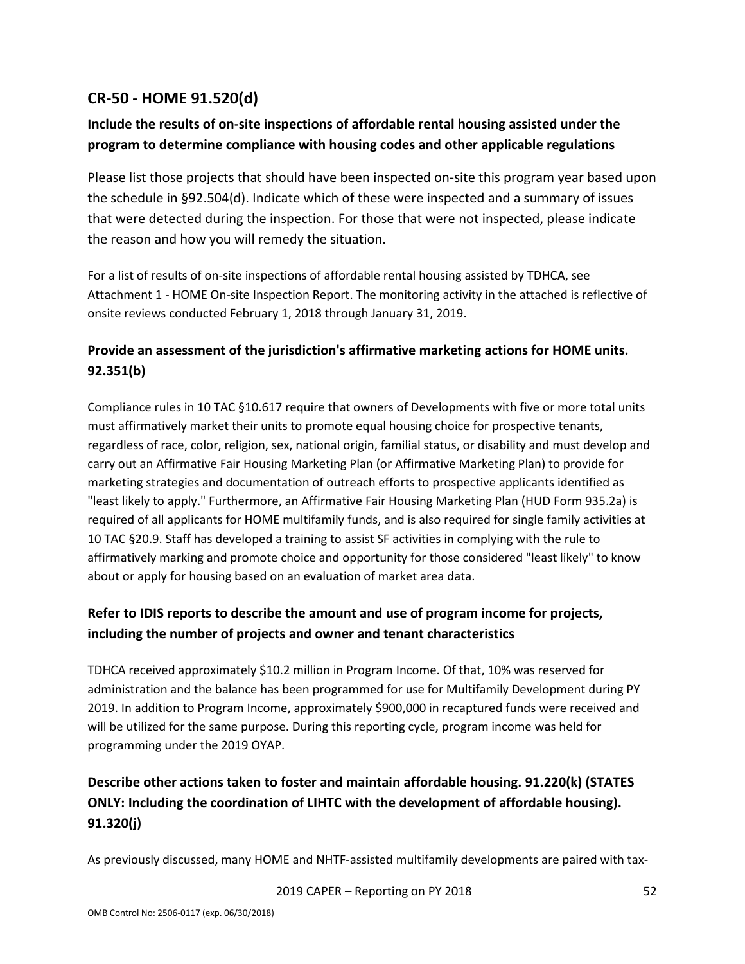# **CR-50 - HOME 91.520(d)**

# **Include the results of on-site inspections of affordable rental housing assisted under the program to determine compliance with housing codes and other applicable regulations**

Please list those projects that should have been inspected on-site this program year based upon the schedule in §92.504(d). Indicate which of these were inspected and a summary of issues that were detected during the inspection. For those that were not inspected, please indicate the reason and how you will remedy the situation.

For a list of results of on-site inspections of affordable rental housing assisted by TDHCA, see Attachment 1 - HOME On-site Inspection Report. The monitoring activity in the attached is reflective of onsite reviews conducted February 1, 2018 through January 31, 2019.

## **Provide an assessment of the jurisdiction's affirmative marketing actions for HOME units. 92.351(b)**

Compliance rules in 10 TAC §10.617 require that owners of Developments with five or more total units must affirmatively market their units to promote equal housing choice for prospective tenants, regardless of race, color, religion, sex, national origin, familial status, or disability and must develop and carry out an Affirmative Fair Housing Marketing Plan (or Affirmative Marketing Plan) to provide for marketing strategies and documentation of outreach efforts to prospective applicants identified as "least likely to apply." Furthermore, an Affirmative Fair Housing Marketing Plan (HUD Form 935.2a) is required of all applicants for HOME multifamily funds, and is also required for single family activities at 10 TAC §20.9. Staff has developed a training to assist SF activities in complying with the rule to affirmatively marking and promote choice and opportunity for those considered "least likely" to know about or apply for housing based on an evaluation of market area data.

## **Refer to IDIS reports to describe the amount and use of program income for projects, including the number of projects and owner and tenant characteristics**

TDHCA received approximately \$10.2 million in Program Income. Of that, 10% was reserved for administration and the balance has been programmed for use for Multifamily Development during PY 2019. In addition to Program Income, approximately \$900,000 in recaptured funds were received and will be utilized for the same purpose. During this reporting cycle, program income was held for programming under the 2019 OYAP.

# **Describe other actions taken to foster and maintain affordable housing. 91.220(k) (STATES ONLY: Including the coordination of LIHTC with the development of affordable housing). 91.320(j)**

As previously discussed, many HOME and NHTF-assisted multifamily developments are paired with tax-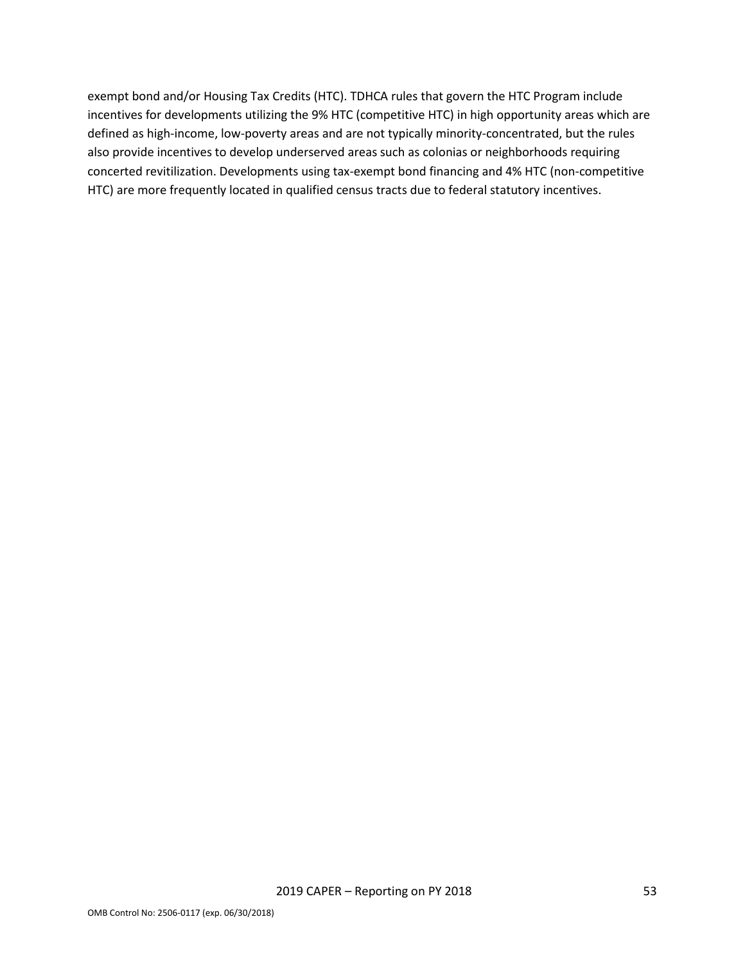exempt bond and/or Housing Tax Credits (HTC). TDHCA rules that govern the HTC Program include incentives for developments utilizing the 9% HTC (competitive HTC) in high opportunity areas which are defined as high-income, low-poverty areas and are not typically minority-concentrated, but the rules also provide incentives to develop underserved areas such as colonias or neighborhoods requiring concerted revitilization. Developments using tax-exempt bond financing and 4% HTC (non-competitive HTC) are more frequently located in qualified census tracts due to federal statutory incentives.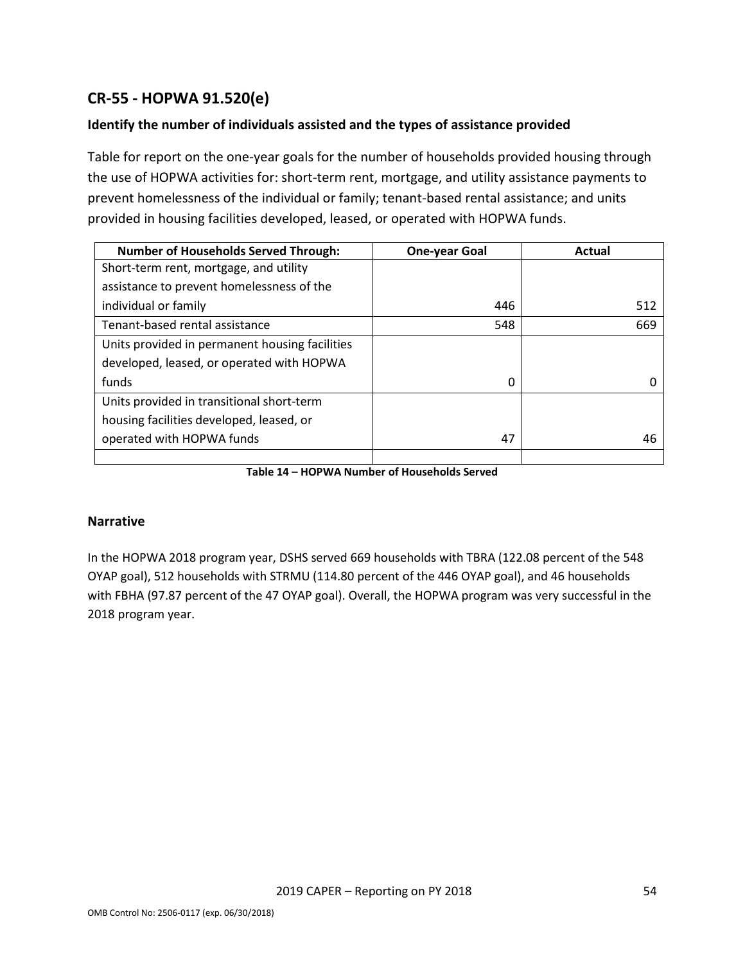# **CR-55 - HOPWA 91.520(e)**

## **Identify the number of individuals assisted and the types of assistance provided**

Table for report on the one-year goals for the number of households provided housing through the use of HOPWA activities for: short-term rent, mortgage, and utility assistance payments to prevent homelessness of the individual or family; tenant-based rental assistance; and units provided in housing facilities developed, leased, or operated with HOPWA funds.

| <b>Number of Households Served Through:</b>    | <b>One-year Goal</b> | Actual |
|------------------------------------------------|----------------------|--------|
| Short-term rent, mortgage, and utility         |                      |        |
| assistance to prevent homelessness of the      |                      |        |
| individual or family                           | 446                  | 512    |
| Tenant-based rental assistance                 | 548                  | 669    |
| Units provided in permanent housing facilities |                      |        |
| developed, leased, or operated with HOPWA      |                      |        |
| funds                                          | 0                    |        |
| Units provided in transitional short-term      |                      |        |
| housing facilities developed, leased, or       |                      |        |
| operated with HOPWA funds                      | 47                   | 46     |
|                                                |                      |        |

**Table 14 – HOPWA Number of Households Served**

## **Narrative**

In the HOPWA 2018 program year, DSHS served 669 households with TBRA (122.08 percent of the 548 OYAP goal), 512 households with STRMU (114.80 percent of the 446 OYAP goal), and 46 households with FBHA (97.87 percent of the 47 OYAP goal). Overall, the HOPWA program was very successful in the 2018 program year.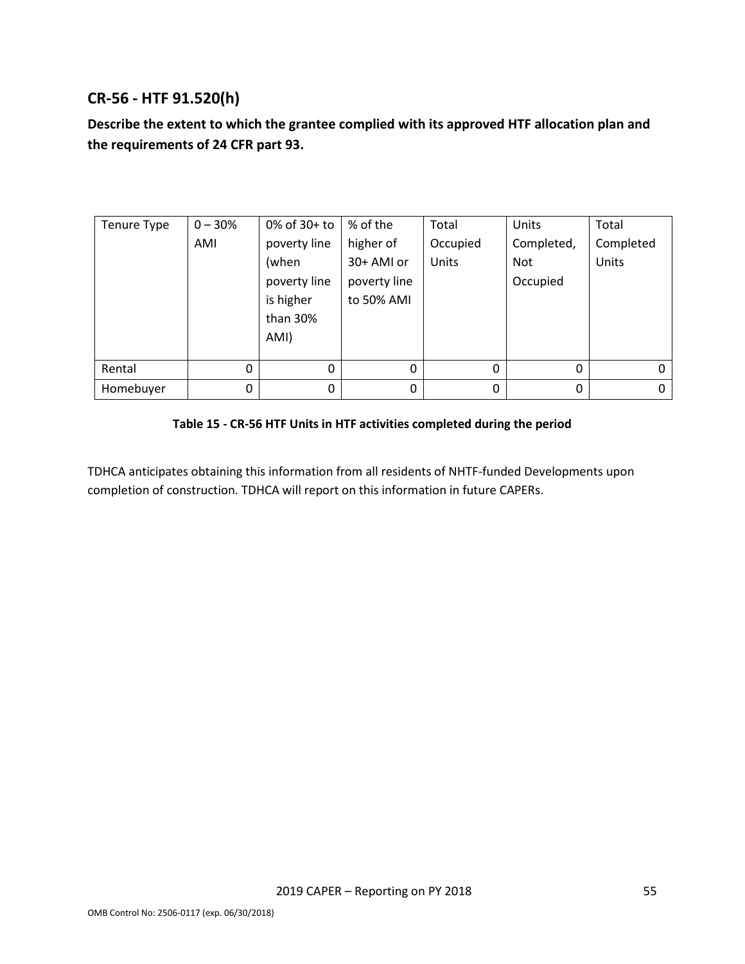# **CR-56 - HTF 91.520(h)**

**Describe the extent to which the grantee complied with its approved HTF allocation plan and the requirements of 24 CFR part 93.** 

| <b>Tenure Type</b> | $0 - 30%$ | $0\%$ of 30+ to | % of the     | Total        | <b>Units</b> | Total     |
|--------------------|-----------|-----------------|--------------|--------------|--------------|-----------|
|                    | AMI       | poverty line    | higher of    | Occupied     | Completed,   | Completed |
|                    |           | (when           | 30+ AMI or   | <b>Units</b> | Not          | Units     |
|                    |           | poverty line    | poverty line |              | Occupied     |           |
|                    |           | is higher       | to 50% AMI   |              |              |           |
|                    |           | than 30%        |              |              |              |           |
|                    |           | AMI)            |              |              |              |           |
|                    |           |                 |              |              |              |           |
| Rental             | 0         | 0               | 0            | $\Omega$     | 0            | 0         |
| Homebuyer          | 0         | 0               | $\mathbf 0$  | 0            | 0            | 0         |

#### **Table 15 - CR-56 HTF Units in HTF activities completed during the period**

TDHCA anticipates obtaining this information from all residents of NHTF-funded Developments upon completion of construction. TDHCA will report on this information in future CAPERs.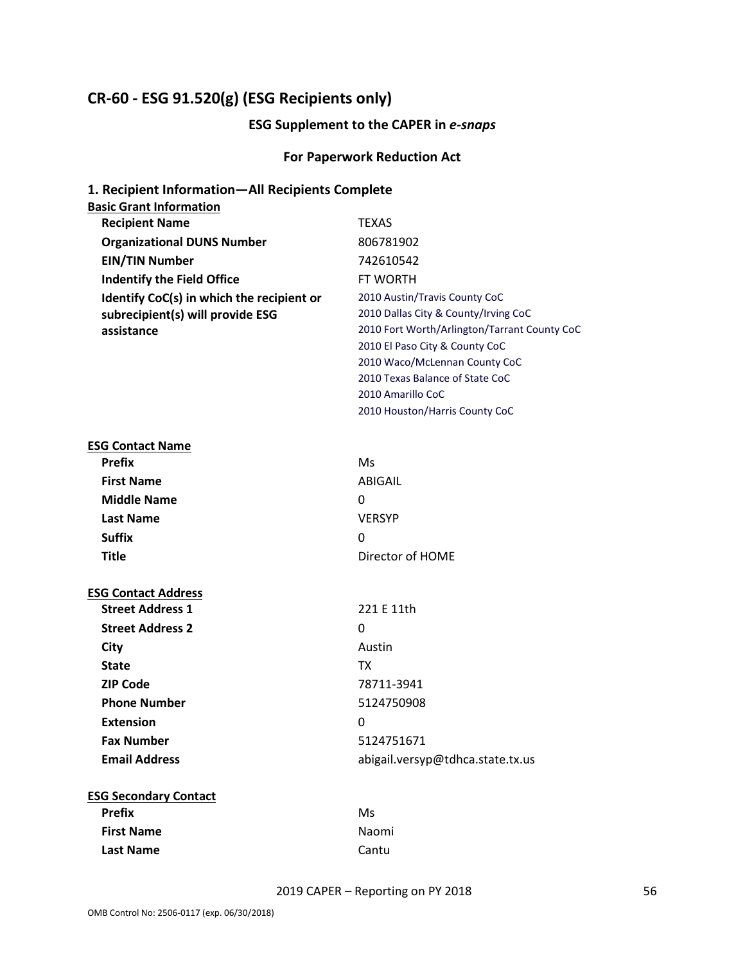# **CR-60 - ESG 91.520(g) (ESG Recipients only)**

## **ESG Supplement to the CAPER in** *e-snaps*

## **For Paperwork Reduction Act**

| 1. Recipient Information—All Recipients Complete                                            |                                                                                                                                                                                                                                                                                    |
|---------------------------------------------------------------------------------------------|------------------------------------------------------------------------------------------------------------------------------------------------------------------------------------------------------------------------------------------------------------------------------------|
| <b>Basic Grant Information</b>                                                              |                                                                                                                                                                                                                                                                                    |
| <b>Recipient Name</b>                                                                       | <b>TEXAS</b>                                                                                                                                                                                                                                                                       |
| <b>Organizational DUNS Number</b>                                                           | 806781902                                                                                                                                                                                                                                                                          |
| <b>EIN/TIN Number</b>                                                                       | 742610542                                                                                                                                                                                                                                                                          |
| <b>Indentify the Field Office</b>                                                           | FT WORTH                                                                                                                                                                                                                                                                           |
| Identify CoC(s) in which the recipient or<br>subrecipient(s) will provide ESG<br>assistance | 2010 Austin/Travis County CoC<br>2010 Dallas City & County/Irving CoC<br>2010 Fort Worth/Arlington/Tarrant County CoC<br>2010 El Paso City & County CoC<br>2010 Waco/McLennan County CoC<br>2010 Texas Balance of State CoC<br>2010 Amarillo CoC<br>2010 Houston/Harris County CoC |
| <b>ESG Contact Name</b>                                                                     |                                                                                                                                                                                                                                                                                    |
| <b>Prefix</b>                                                                               | Ms                                                                                                                                                                                                                                                                                 |
| <b>First Name</b>                                                                           | <b>ABIGAIL</b>                                                                                                                                                                                                                                                                     |
| <b>Middle Name</b>                                                                          | 0                                                                                                                                                                                                                                                                                  |
| <b>Last Name</b>                                                                            | <b>VERSYP</b>                                                                                                                                                                                                                                                                      |
| <b>Suffix</b>                                                                               | 0                                                                                                                                                                                                                                                                                  |
| <b>Title</b>                                                                                | Director of HOME                                                                                                                                                                                                                                                                   |
| <b>ESG Contact Address</b>                                                                  |                                                                                                                                                                                                                                                                                    |
| <b>Street Address 1</b>                                                                     | 221 E 11th                                                                                                                                                                                                                                                                         |
| <b>Street Address 2</b>                                                                     | 0                                                                                                                                                                                                                                                                                  |
| City                                                                                        | Austin                                                                                                                                                                                                                                                                             |
| <b>State</b>                                                                                | ТX                                                                                                                                                                                                                                                                                 |
| <b>ZIP Code</b>                                                                             | 78711-3941                                                                                                                                                                                                                                                                         |
| <b>Phone Number</b>                                                                         | 5124750908                                                                                                                                                                                                                                                                         |
| <b>Extension</b>                                                                            | 0                                                                                                                                                                                                                                                                                  |
| <b>Fax Number</b>                                                                           | 5124751671                                                                                                                                                                                                                                                                         |
| <b>Email Address</b>                                                                        | abigail.versyp@tdhca.state.tx.us                                                                                                                                                                                                                                                   |
| <b>ESG Secondary Contact</b>                                                                |                                                                                                                                                                                                                                                                                    |
| <b>Prefix</b>                                                                               | Ms                                                                                                                                                                                                                                                                                 |
| <b>First Name</b>                                                                           | Naomi                                                                                                                                                                                                                                                                              |
| <b>Last Name</b>                                                                            | Cantu                                                                                                                                                                                                                                                                              |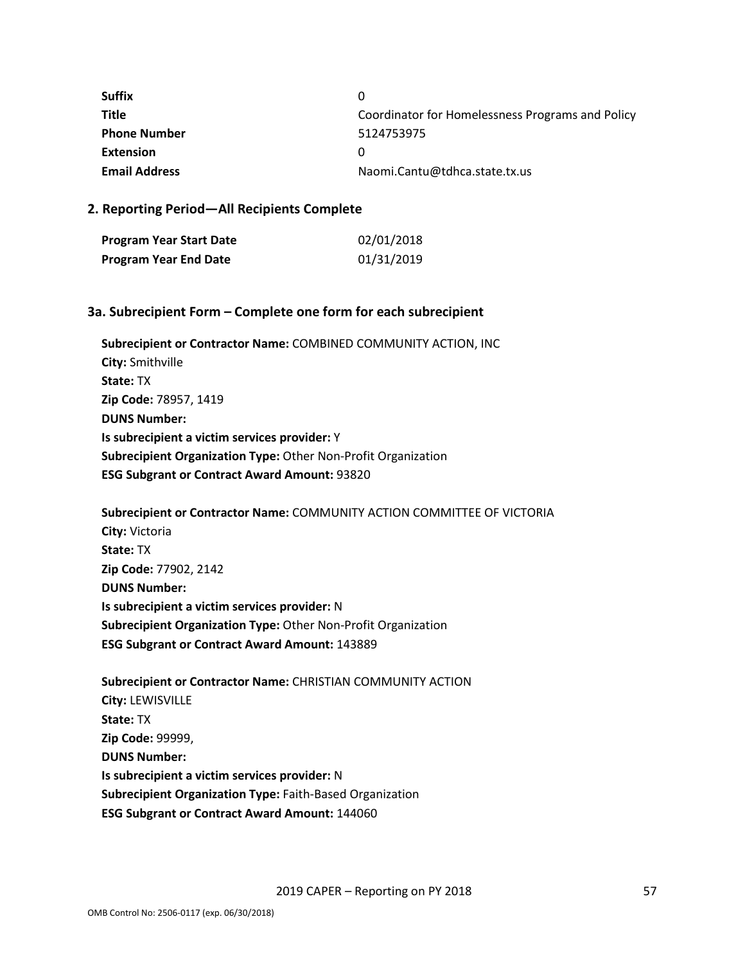| <b>Suffix</b>        | 0                                                |
|----------------------|--------------------------------------------------|
| Title                | Coordinator for Homelessness Programs and Policy |
| <b>Phone Number</b>  | 5124753975                                       |
| Extension            |                                                  |
| <b>Email Address</b> | Naomi.Cantu@tdhca.state.tx.us                    |

#### **2. Reporting Period—All Recipients Complete**

| Program Year Start Date      | 02/01/2018 |
|------------------------------|------------|
| <b>Program Year End Date</b> | 01/31/2019 |

#### **3a. Subrecipient Form – Complete one form for each subrecipient**

**Subrecipient or Contractor Name:** COMBINED COMMUNITY ACTION, INC **City:** Smithville **State:** TX **Zip Code:** 78957, 1419 **DUNS Number: Is subrecipient a victim services provider:** Y **Subrecipient Organization Type:** Other Non-Profit Organization **ESG Subgrant or Contract Award Amount:** 93820

**Subrecipient or Contractor Name:** COMMUNITY ACTION COMMITTEE OF VICTORIA **City:** Victoria **State:** TX **Zip Code:** 77902, 2142 **DUNS Number: Is subrecipient a victim services provider:** N **Subrecipient Organization Type:** Other Non-Profit Organization **ESG Subgrant or Contract Award Amount:** 143889

**Subrecipient or Contractor Name:** CHRISTIAN COMMUNITY ACTION **City:** LEWISVILLE **State:** TX **Zip Code:** 99999, **DUNS Number: Is subrecipient a victim services provider:** N **Subrecipient Organization Type:** Faith-Based Organization **ESG Subgrant or Contract Award Amount:** 144060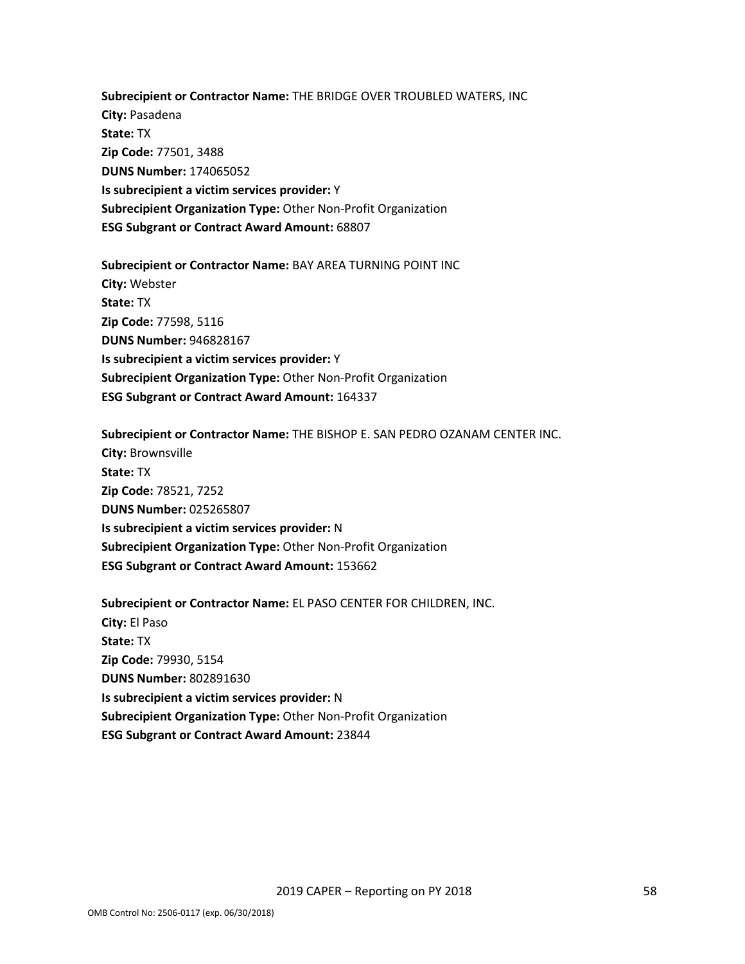**Subrecipient or Contractor Name:** THE BRIDGE OVER TROUBLED WATERS, INC **City:** Pasadena **State:** TX **Zip Code:** 77501, 3488 **DUNS Number:** 174065052 **Is subrecipient a victim services provider:** Y **Subrecipient Organization Type:** Other Non-Profit Organization **ESG Subgrant or Contract Award Amount:** 68807

**Subrecipient or Contractor Name:** BAY AREA TURNING POINT INC **City:** Webster **State:** TX **Zip Code:** 77598, 5116 **DUNS Number:** 946828167 **Is subrecipient a victim services provider:** Y **Subrecipient Organization Type:** Other Non-Profit Organization **ESG Subgrant or Contract Award Amount:** 164337

**Subrecipient or Contractor Name:** THE BISHOP E. SAN PEDRO OZANAM CENTER INC. **City:** Brownsville **State:** TX **Zip Code:** 78521, 7252 **DUNS Number:** 025265807 **Is subrecipient a victim services provider:** N **Subrecipient Organization Type:** Other Non-Profit Organization **ESG Subgrant or Contract Award Amount:** 153662

**Subrecipient or Contractor Name:** EL PASO CENTER FOR CHILDREN, INC. **City:** El Paso **State:** TX **Zip Code:** 79930, 5154 **DUNS Number:** 802891630 **Is subrecipient a victim services provider:** N **Subrecipient Organization Type:** Other Non-Profit Organization **ESG Subgrant or Contract Award Amount:** 23844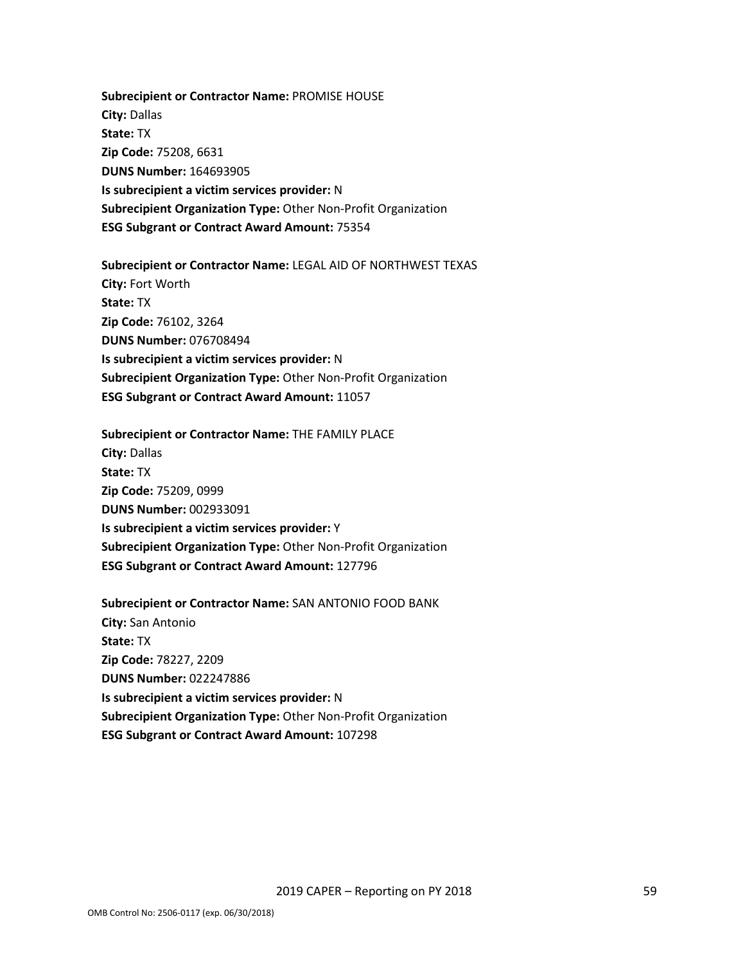**Subrecipient or Contractor Name:** PROMISE HOUSE **City:** Dallas **State:** TX **Zip Code:** 75208, 6631 **DUNS Number:** 164693905 **Is subrecipient a victim services provider:** N **Subrecipient Organization Type:** Other Non-Profit Organization **ESG Subgrant or Contract Award Amount:** 75354

**Subrecipient or Contractor Name:** LEGAL AID OF NORTHWEST TEXAS **City:** Fort Worth **State:** TX **Zip Code:** 76102, 3264 **DUNS Number:** 076708494 **Is subrecipient a victim services provider:** N **Subrecipient Organization Type:** Other Non-Profit Organization **ESG Subgrant or Contract Award Amount:** 11057

**Subrecipient or Contractor Name:** THE FAMILY PLACE **City:** Dallas **State:** TX **Zip Code:** 75209, 0999 **DUNS Number:** 002933091 **Is subrecipient a victim services provider:** Y **Subrecipient Organization Type:** Other Non-Profit Organization **ESG Subgrant or Contract Award Amount:** 127796

**Subrecipient or Contractor Name:** SAN ANTONIO FOOD BANK **City:** San Antonio **State:** TX **Zip Code:** 78227, 2209 **DUNS Number:** 022247886 **Is subrecipient a victim services provider:** N **Subrecipient Organization Type:** Other Non-Profit Organization **ESG Subgrant or Contract Award Amount:** 107298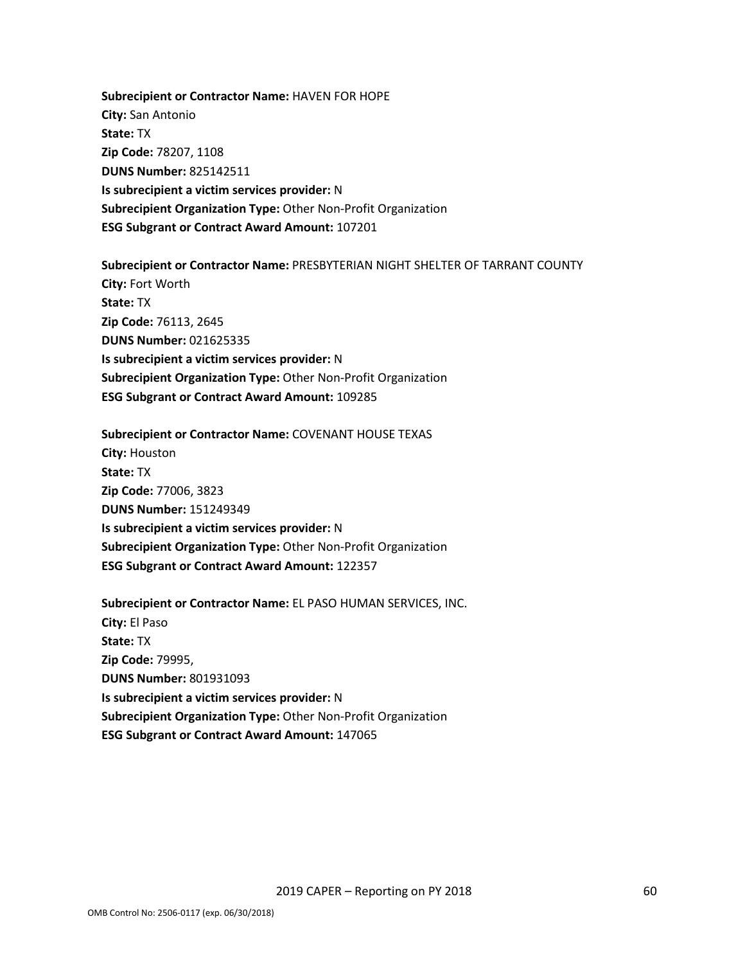**Subrecipient or Contractor Name:** HAVEN FOR HOPE **City:** San Antonio **State:** TX **Zip Code:** 78207, 1108 **DUNS Number:** 825142511 **Is subrecipient a victim services provider:** N **Subrecipient Organization Type:** Other Non-Profit Organization **ESG Subgrant or Contract Award Amount:** 107201

**Subrecipient or Contractor Name:** PRESBYTERIAN NIGHT SHELTER OF TARRANT COUNTY **City:** Fort Worth **State:** TX **Zip Code:** 76113, 2645 **DUNS Number:** 021625335 **Is subrecipient a victim services provider:** N **Subrecipient Organization Type:** Other Non-Profit Organization **ESG Subgrant or Contract Award Amount:** 109285

**Subrecipient or Contractor Name:** COVENANT HOUSE TEXAS **City:** Houston **State:** TX **Zip Code:** 77006, 3823 **DUNS Number:** 151249349 **Is subrecipient a victim services provider:** N **Subrecipient Organization Type:** Other Non-Profit Organization **ESG Subgrant or Contract Award Amount:** 122357

**Subrecipient or Contractor Name:** EL PASO HUMAN SERVICES, INC. **City:** El Paso **State:** TX **Zip Code:** 79995, **DUNS Number:** 801931093 **Is subrecipient a victim services provider:** N **Subrecipient Organization Type:** Other Non-Profit Organization **ESG Subgrant or Contract Award Amount:** 147065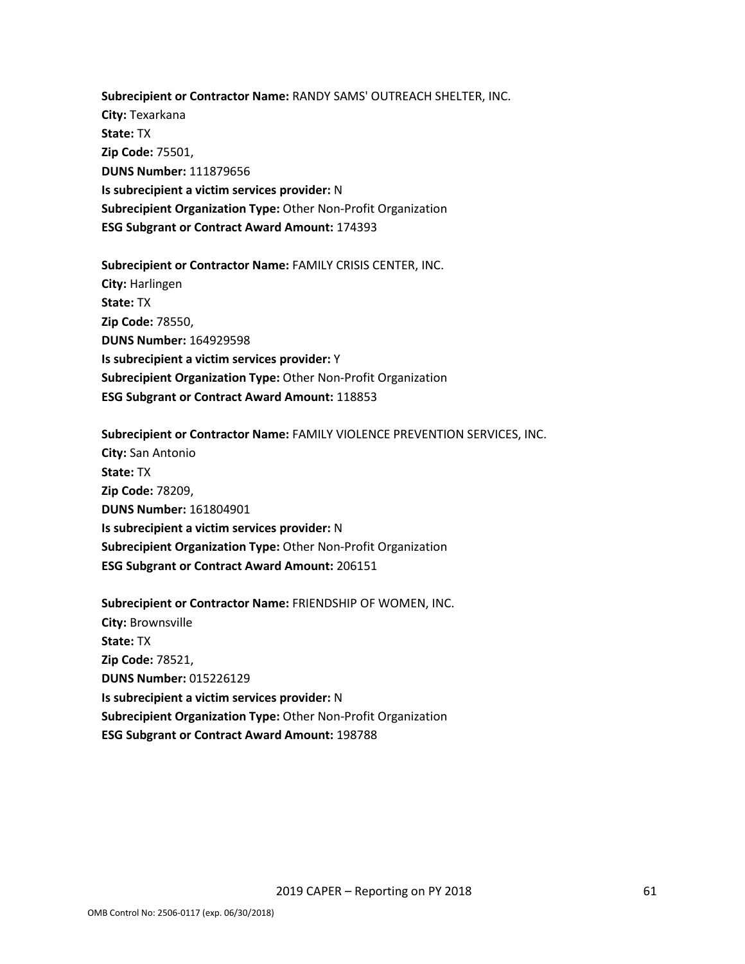**Subrecipient or Contractor Name:** RANDY SAMS' OUTREACH SHELTER, INC. **City:** Texarkana **State:** TX **Zip Code:** 75501, **DUNS Number:** 111879656 **Is subrecipient a victim services provider:** N **Subrecipient Organization Type:** Other Non-Profit Organization **ESG Subgrant or Contract Award Amount:** 174393

**Subrecipient or Contractor Name:** FAMILY CRISIS CENTER, INC. **City:** Harlingen **State:** TX **Zip Code:** 78550, **DUNS Number:** 164929598 **Is subrecipient a victim services provider:** Y **Subrecipient Organization Type:** Other Non-Profit Organization **ESG Subgrant or Contract Award Amount:** 118853

**Subrecipient or Contractor Name:** FAMILY VIOLENCE PREVENTION SERVICES, INC. **City:** San Antonio **State:** TX **Zip Code:** 78209, **DUNS Number:** 161804901 **Is subrecipient a victim services provider:** N **Subrecipient Organization Type:** Other Non-Profit Organization **ESG Subgrant or Contract Award Amount:** 206151

**Subrecipient or Contractor Name:** FRIENDSHIP OF WOMEN, INC. **City:** Brownsville **State:** TX **Zip Code:** 78521, **DUNS Number:** 015226129 **Is subrecipient a victim services provider:** N **Subrecipient Organization Type:** Other Non-Profit Organization **ESG Subgrant or Contract Award Amount:** 198788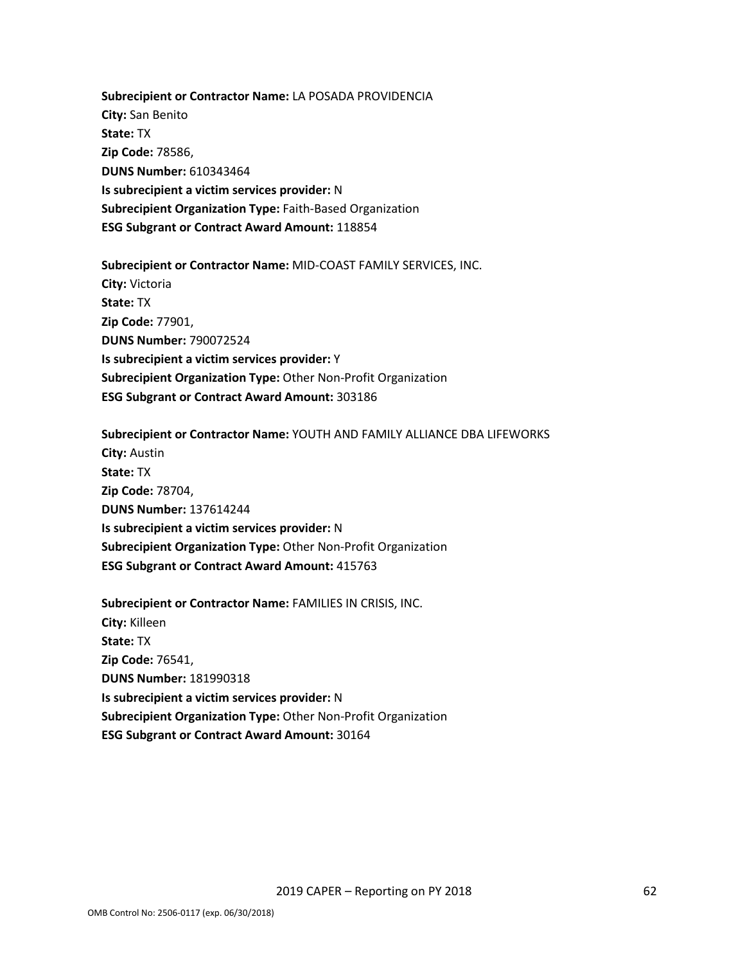**Subrecipient or Contractor Name:** LA POSADA PROVIDENCIA **City:** San Benito **State:** TX **Zip Code:** 78586, **DUNS Number:** 610343464 **Is subrecipient a victim services provider:** N **Subrecipient Organization Type:** Faith-Based Organization **ESG Subgrant or Contract Award Amount:** 118854

**Subrecipient or Contractor Name:** MID-COAST FAMILY SERVICES, INC. **City:** Victoria **State:** TX **Zip Code:** 77901, **DUNS Number:** 790072524 **Is subrecipient a victim services provider:** Y **Subrecipient Organization Type:** Other Non-Profit Organization **ESG Subgrant or Contract Award Amount:** 303186

**Subrecipient or Contractor Name:** YOUTH AND FAMILY ALLIANCE DBA LIFEWORKS **City:** Austin **State:** TX **Zip Code:** 78704, **DUNS Number:** 137614244 **Is subrecipient a victim services provider:** N **Subrecipient Organization Type:** Other Non-Profit Organization **ESG Subgrant or Contract Award Amount:** 415763

**Subrecipient or Contractor Name:** FAMILIES IN CRISIS, INC. **City:** Killeen **State:** TX **Zip Code:** 76541, **DUNS Number:** 181990318 **Is subrecipient a victim services provider:** N **Subrecipient Organization Type:** Other Non-Profit Organization **ESG Subgrant or Contract Award Amount:** 30164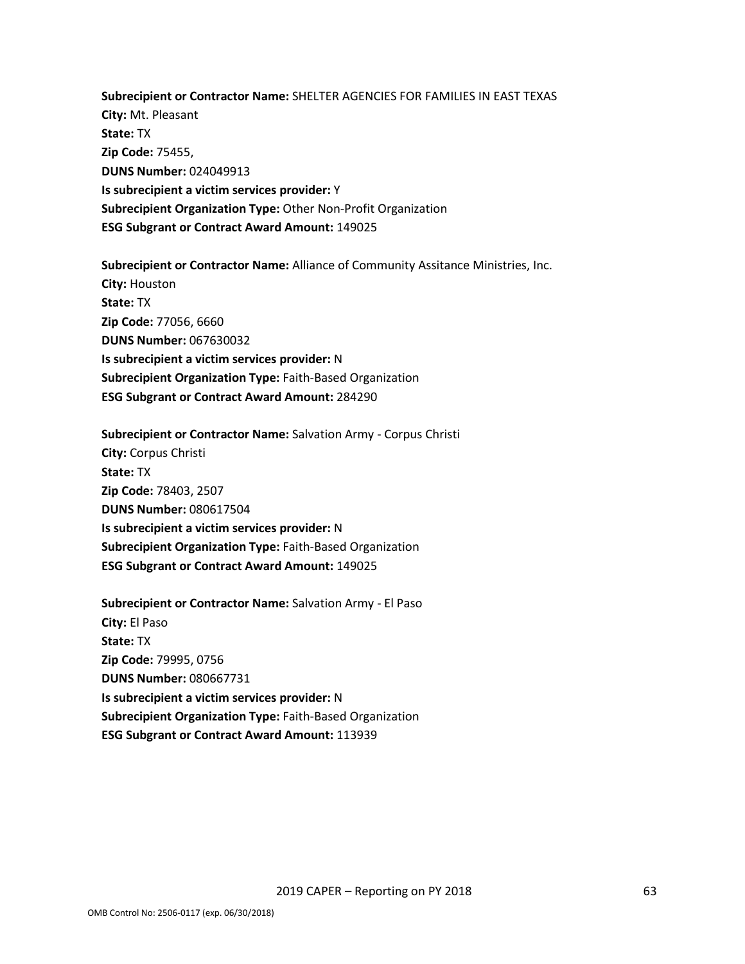**Subrecipient or Contractor Name:** SHELTER AGENCIES FOR FAMILIES IN EAST TEXAS **City:** Mt. Pleasant **State:** TX **Zip Code:** 75455, **DUNS Number:** 024049913 **Is subrecipient a victim services provider:** Y **Subrecipient Organization Type:** Other Non-Profit Organization **ESG Subgrant or Contract Award Amount:** 149025

**Subrecipient or Contractor Name:** Alliance of Community Assitance Ministries, Inc. **City:** Houston **State:** TX **Zip Code:** 77056, 6660 **DUNS Number:** 067630032 **Is subrecipient a victim services provider:** N **Subrecipient Organization Type:** Faith-Based Organization **ESG Subgrant or Contract Award Amount:** 284290

**Subrecipient or Contractor Name:** Salvation Army - Corpus Christi **City:** Corpus Christi **State:** TX **Zip Code:** 78403, 2507 **DUNS Number:** 080617504 **Is subrecipient a victim services provider:** N **Subrecipient Organization Type:** Faith-Based Organization **ESG Subgrant or Contract Award Amount:** 149025

**Subrecipient or Contractor Name:** Salvation Army - El Paso **City:** El Paso **State:** TX **Zip Code:** 79995, 0756 **DUNS Number:** 080667731 **Is subrecipient a victim services provider:** N **Subrecipient Organization Type:** Faith-Based Organization **ESG Subgrant or Contract Award Amount:** 113939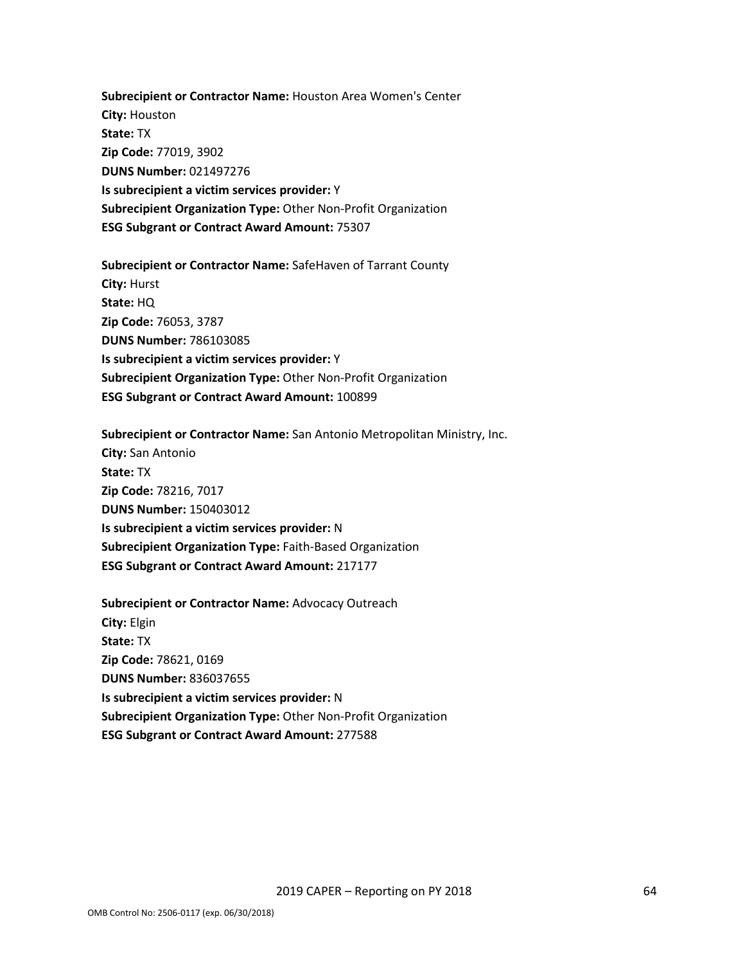**Subrecipient or Contractor Name:** Houston Area Women's Center **City:** Houston **State:** TX **Zip Code:** 77019, 3902 **DUNS Number:** 021497276 **Is subrecipient a victim services provider:** Y **Subrecipient Organization Type:** Other Non-Profit Organization **ESG Subgrant or Contract Award Amount:** 75307

**Subrecipient or Contractor Name:** SafeHaven of Tarrant County **City:** Hurst **State:** HQ **Zip Code:** 76053, 3787 **DUNS Number:** 786103085 **Is subrecipient a victim services provider:** Y **Subrecipient Organization Type:** Other Non-Profit Organization **ESG Subgrant or Contract Award Amount:** 100899

**Subrecipient or Contractor Name:** San Antonio Metropolitan Ministry, Inc. **City:** San Antonio **State:** TX **Zip Code:** 78216, 7017 **DUNS Number:** 150403012 **Is subrecipient a victim services provider:** N **Subrecipient Organization Type:** Faith-Based Organization **ESG Subgrant or Contract Award Amount:** 217177

**Subrecipient or Contractor Name:** Advocacy Outreach **City:** Elgin **State:** TX **Zip Code:** 78621, 0169 **DUNS Number:** 836037655 **Is subrecipient a victim services provider:** N **Subrecipient Organization Type:** Other Non-Profit Organization **ESG Subgrant or Contract Award Amount:** 277588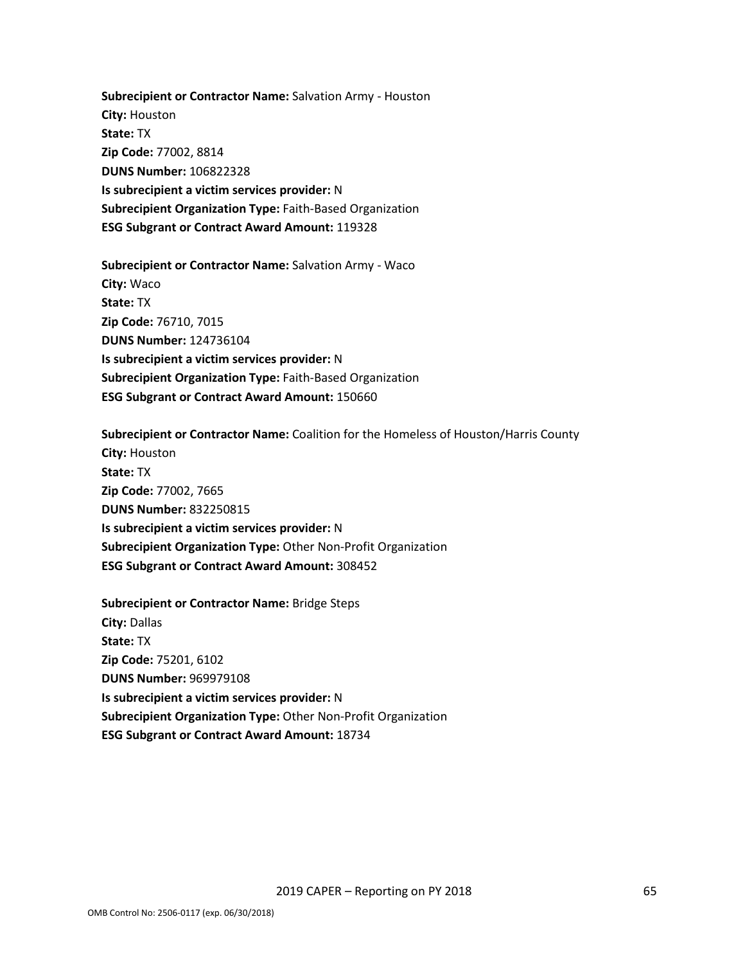**Subrecipient or Contractor Name:** Salvation Army - Houston **City:** Houston **State:** TX **Zip Code:** 77002, 8814 **DUNS Number:** 106822328 **Is subrecipient a victim services provider:** N **Subrecipient Organization Type:** Faith-Based Organization **ESG Subgrant or Contract Award Amount:** 119328

**Subrecipient or Contractor Name:** Salvation Army - Waco **City:** Waco **State:** TX **Zip Code:** 76710, 7015 **DUNS Number:** 124736104 **Is subrecipient a victim services provider:** N **Subrecipient Organization Type:** Faith-Based Organization **ESG Subgrant or Contract Award Amount:** 150660

**Subrecipient or Contractor Name:** Coalition for the Homeless of Houston/Harris County **City:** Houston **State:** TX **Zip Code:** 77002, 7665 **DUNS Number:** 832250815 **Is subrecipient a victim services provider:** N **Subrecipient Organization Type:** Other Non-Profit Organization **ESG Subgrant or Contract Award Amount:** 308452

**Subrecipient or Contractor Name:** Bridge Steps **City:** Dallas **State:** TX **Zip Code:** 75201, 6102 **DUNS Number:** 969979108 **Is subrecipient a victim services provider:** N **Subrecipient Organization Type:** Other Non-Profit Organization **ESG Subgrant or Contract Award Amount:** 18734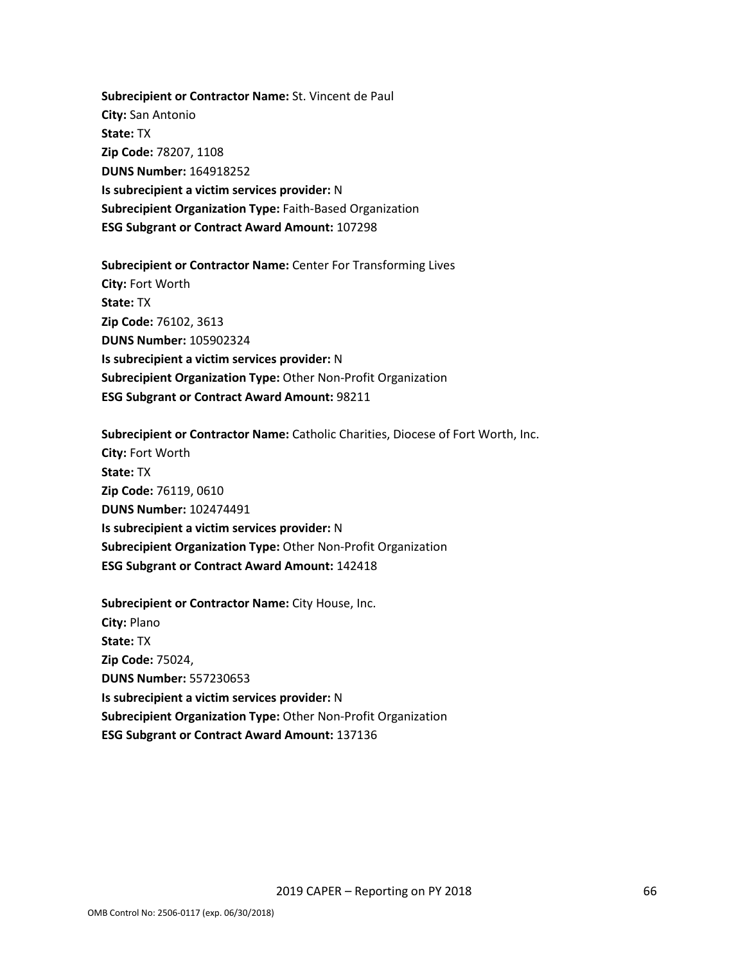**Subrecipient or Contractor Name:** St. Vincent de Paul **City:** San Antonio **State:** TX **Zip Code:** 78207, 1108 **DUNS Number:** 164918252 **Is subrecipient a victim services provider:** N **Subrecipient Organization Type:** Faith-Based Organization **ESG Subgrant or Contract Award Amount:** 107298

**Subrecipient or Contractor Name:** Center For Transforming Lives **City:** Fort Worth **State:** TX **Zip Code:** 76102, 3613 **DUNS Number:** 105902324 **Is subrecipient a victim services provider:** N **Subrecipient Organization Type:** Other Non-Profit Organization **ESG Subgrant or Contract Award Amount:** 98211

**Subrecipient or Contractor Name:** Catholic Charities, Diocese of Fort Worth, Inc. **City:** Fort Worth **State:** TX **Zip Code:** 76119, 0610 **DUNS Number:** 102474491 **Is subrecipient a victim services provider:** N **Subrecipient Organization Type:** Other Non-Profit Organization **ESG Subgrant or Contract Award Amount:** 142418

**Subrecipient or Contractor Name:** City House, Inc. **City:** Plano **State:** TX **Zip Code:** 75024, **DUNS Number:** 557230653 **Is subrecipient a victim services provider:** N **Subrecipient Organization Type:** Other Non-Profit Organization **ESG Subgrant or Contract Award Amount:** 137136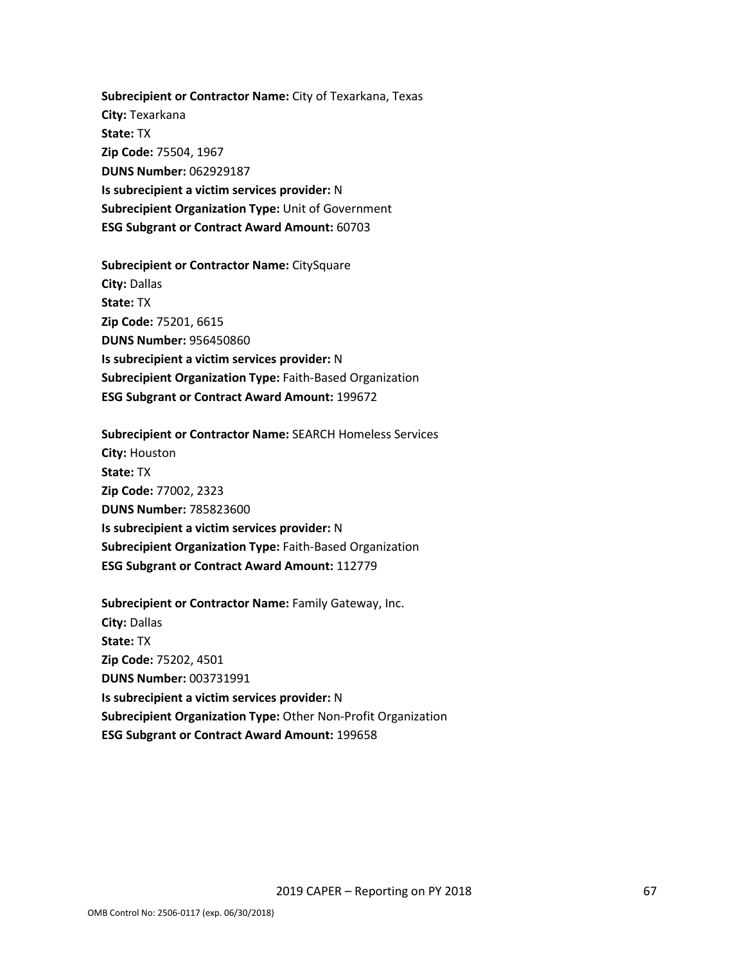**Subrecipient or Contractor Name:** City of Texarkana, Texas **City:** Texarkana **State:** TX **Zip Code:** 75504, 1967 **DUNS Number:** 062929187 **Is subrecipient a victim services provider:** N **Subrecipient Organization Type:** Unit of Government **ESG Subgrant or Contract Award Amount:** 60703

**Subrecipient or Contractor Name:** CitySquare **City:** Dallas **State:** TX **Zip Code:** 75201, 6615 **DUNS Number:** 956450860 **Is subrecipient a victim services provider:** N **Subrecipient Organization Type:** Faith-Based Organization **ESG Subgrant or Contract Award Amount:** 199672

**Subrecipient or Contractor Name:** SEARCH Homeless Services **City:** Houston **State:** TX **Zip Code:** 77002, 2323 **DUNS Number:** 785823600 **Is subrecipient a victim services provider:** N **Subrecipient Organization Type:** Faith-Based Organization **ESG Subgrant or Contract Award Amount:** 112779

**Subrecipient or Contractor Name:** Family Gateway, Inc. **City:** Dallas **State:** TX **Zip Code:** 75202, 4501 **DUNS Number:** 003731991 **Is subrecipient a victim services provider:** N **Subrecipient Organization Type:** Other Non-Profit Organization **ESG Subgrant or Contract Award Amount:** 199658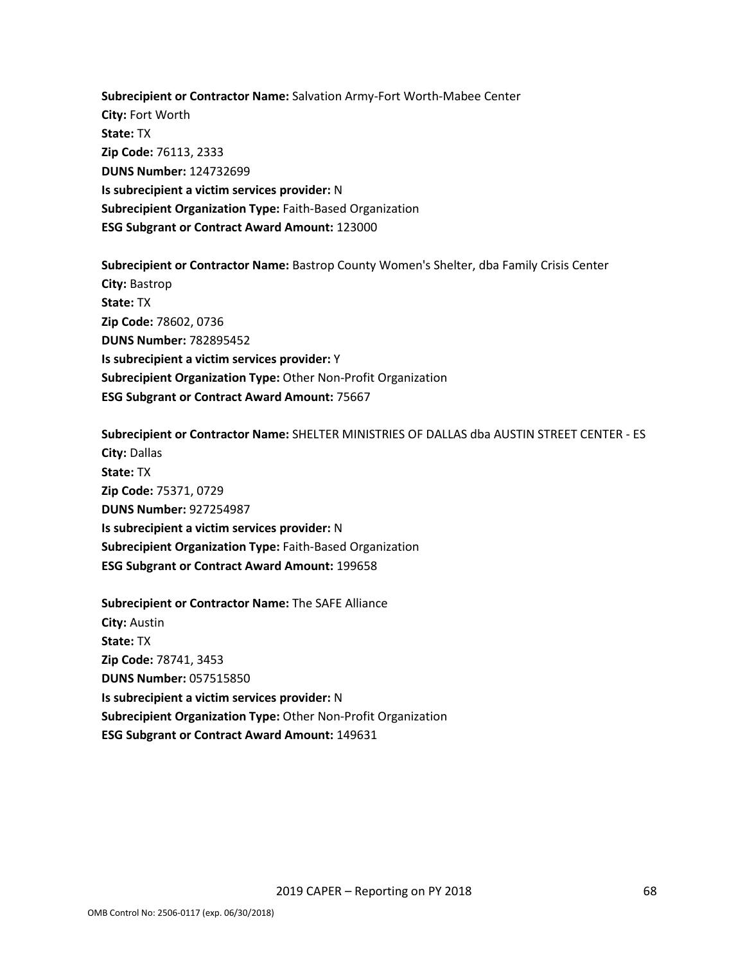**Subrecipient or Contractor Name:** Salvation Army-Fort Worth-Mabee Center **City:** Fort Worth **State:** TX **Zip Code:** 76113, 2333 **DUNS Number:** 124732699 **Is subrecipient a victim services provider:** N **Subrecipient Organization Type:** Faith-Based Organization **ESG Subgrant or Contract Award Amount:** 123000

**Subrecipient or Contractor Name:** Bastrop County Women's Shelter, dba Family Crisis Center **City:** Bastrop **State:** TX **Zip Code:** 78602, 0736 **DUNS Number:** 782895452 **Is subrecipient a victim services provider:** Y **Subrecipient Organization Type:** Other Non-Profit Organization **ESG Subgrant or Contract Award Amount:** 75667

**Subrecipient or Contractor Name:** SHELTER MINISTRIES OF DALLAS dba AUSTIN STREET CENTER - ES **City:** Dallas **State:** TX **Zip Code:** 75371, 0729 **DUNS Number:** 927254987 **Is subrecipient a victim services provider:** N **Subrecipient Organization Type:** Faith-Based Organization **ESG Subgrant or Contract Award Amount:** 199658

**Subrecipient or Contractor Name:** The SAFE Alliance **City:** Austin **State:** TX **Zip Code:** 78741, 3453 **DUNS Number:** 057515850 **Is subrecipient a victim services provider:** N **Subrecipient Organization Type:** Other Non-Profit Organization **ESG Subgrant or Contract Award Amount:** 149631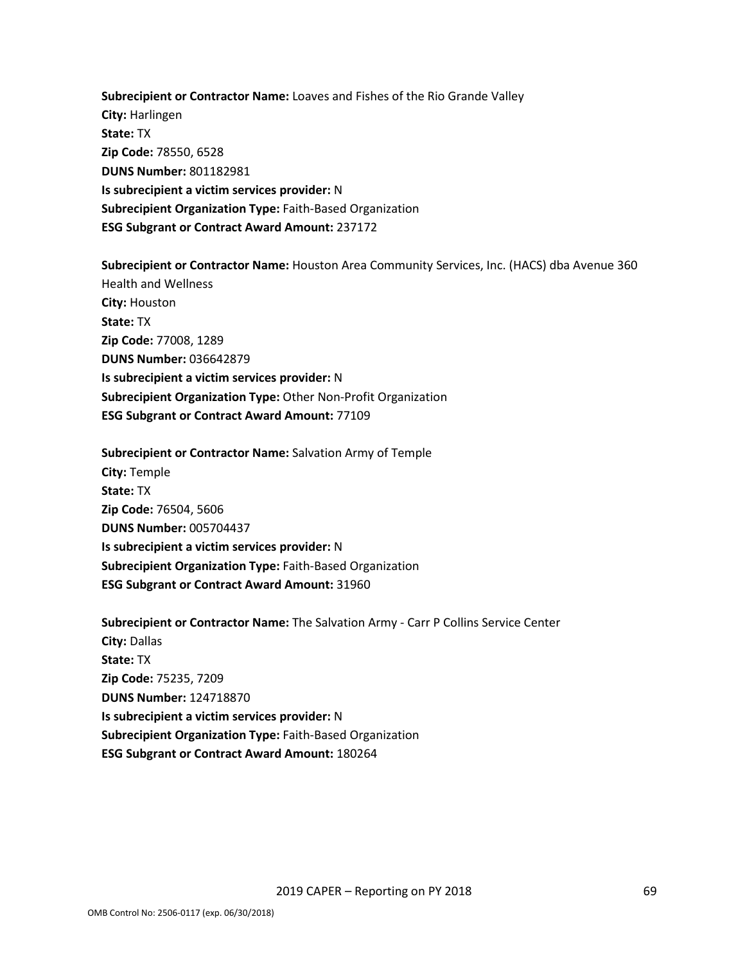**Subrecipient or Contractor Name:** Loaves and Fishes of the Rio Grande Valley **City:** Harlingen **State:** TX **Zip Code:** 78550, 6528 **DUNS Number:** 801182981 **Is subrecipient a victim services provider:** N **Subrecipient Organization Type:** Faith-Based Organization **ESG Subgrant or Contract Award Amount:** 237172

**Subrecipient or Contractor Name:** Houston Area Community Services, Inc. (HACS) dba Avenue 360 Health and Wellness **City:** Houston **State:** TX **Zip Code:** 77008, 1289 **DUNS Number:** 036642879 **Is subrecipient a victim services provider:** N **Subrecipient Organization Type:** Other Non-Profit Organization **ESG Subgrant or Contract Award Amount:** 77109

**Subrecipient or Contractor Name:** Salvation Army of Temple **City:** Temple **State:** TX **Zip Code:** 76504, 5606 **DUNS Number:** 005704437 **Is subrecipient a victim services provider:** N **Subrecipient Organization Type:** Faith-Based Organization **ESG Subgrant or Contract Award Amount:** 31960

**Subrecipient or Contractor Name:** The Salvation Army - Carr P Collins Service Center **City:** Dallas **State:** TX **Zip Code:** 75235, 7209 **DUNS Number:** 124718870 **Is subrecipient a victim services provider:** N **Subrecipient Organization Type:** Faith-Based Organization **ESG Subgrant or Contract Award Amount:** 180264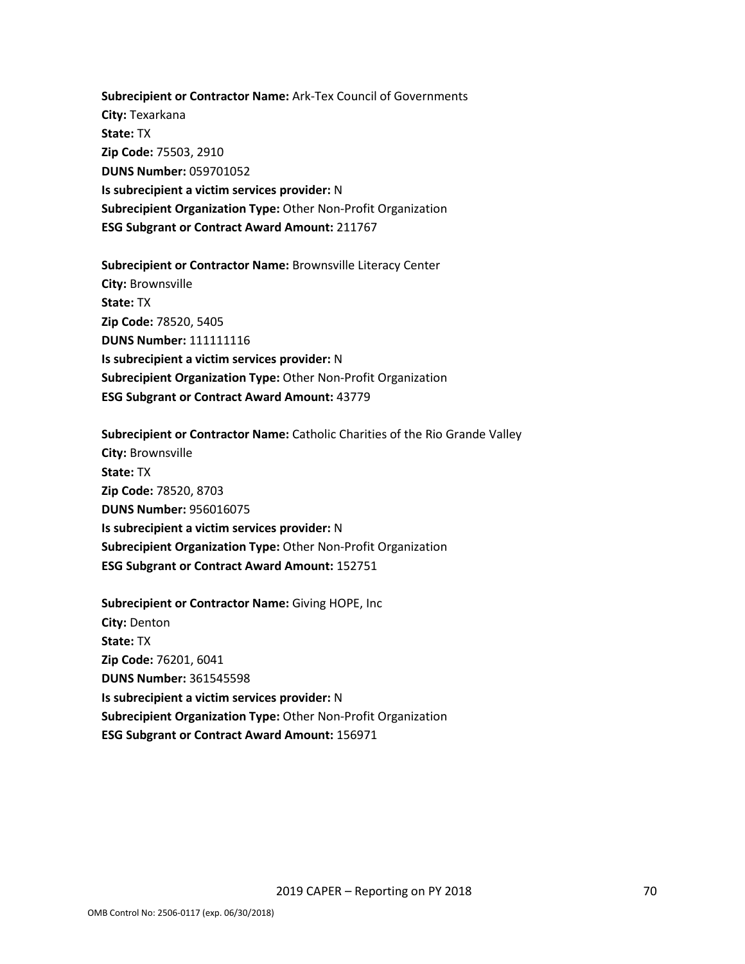**Subrecipient or Contractor Name:** Ark-Tex Council of Governments **City:** Texarkana **State:** TX **Zip Code:** 75503, 2910 **DUNS Number:** 059701052 **Is subrecipient a victim services provider:** N **Subrecipient Organization Type:** Other Non-Profit Organization **ESG Subgrant or Contract Award Amount:** 211767

**Subrecipient or Contractor Name:** Brownsville Literacy Center **City:** Brownsville **State:** TX **Zip Code:** 78520, 5405 **DUNS Number:** 111111116 **Is subrecipient a victim services provider:** N **Subrecipient Organization Type:** Other Non-Profit Organization **ESG Subgrant or Contract Award Amount:** 43779

**Subrecipient or Contractor Name:** Catholic Charities of the Rio Grande Valley **City:** Brownsville **State:** TX **Zip Code:** 78520, 8703 **DUNS Number:** 956016075 **Is subrecipient a victim services provider:** N **Subrecipient Organization Type:** Other Non-Profit Organization **ESG Subgrant or Contract Award Amount:** 152751

**Subrecipient or Contractor Name:** Giving HOPE, Inc **City:** Denton **State:** TX **Zip Code:** 76201, 6041 **DUNS Number:** 361545598 **Is subrecipient a victim services provider:** N **Subrecipient Organization Type:** Other Non-Profit Organization **ESG Subgrant or Contract Award Amount:** 156971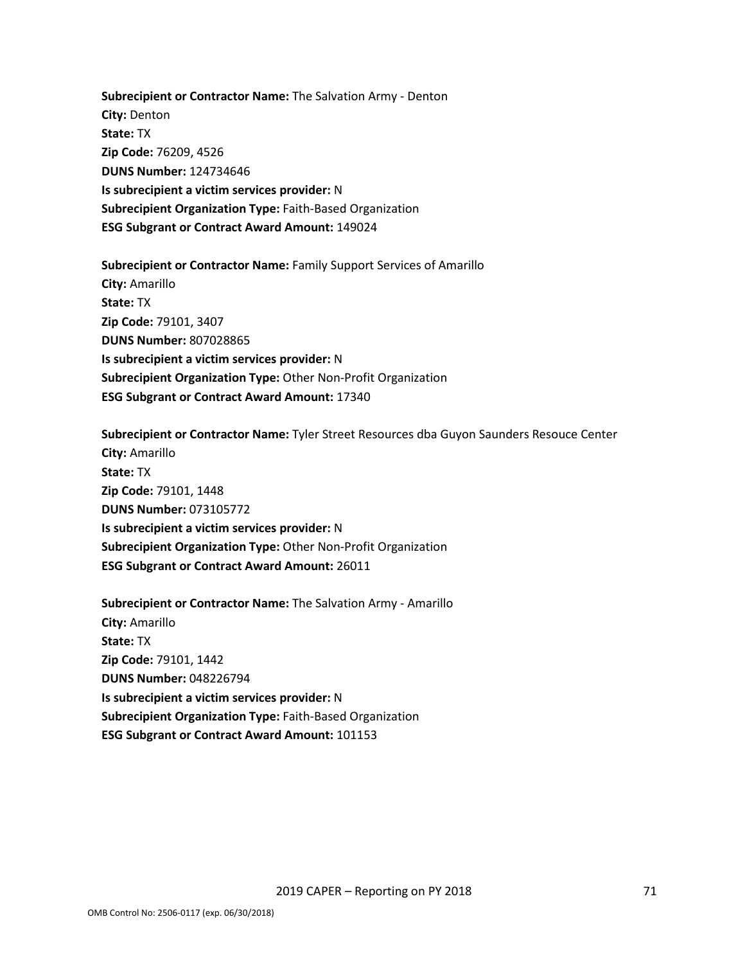**Subrecipient or Contractor Name:** The Salvation Army - Denton **City:** Denton **State:** TX **Zip Code:** 76209, 4526 **DUNS Number:** 124734646 **Is subrecipient a victim services provider:** N **Subrecipient Organization Type:** Faith-Based Organization **ESG Subgrant or Contract Award Amount:** 149024

**Subrecipient or Contractor Name:** Family Support Services of Amarillo **City:** Amarillo **State:** TX **Zip Code:** 79101, 3407 **DUNS Number:** 807028865 **Is subrecipient a victim services provider:** N **Subrecipient Organization Type:** Other Non-Profit Organization **ESG Subgrant or Contract Award Amount:** 17340

**Subrecipient or Contractor Name:** Tyler Street Resources dba Guyon Saunders Resouce Center **City:** Amarillo **State:** TX **Zip Code:** 79101, 1448 **DUNS Number:** 073105772 **Is subrecipient a victim services provider:** N **Subrecipient Organization Type:** Other Non-Profit Organization **ESG Subgrant or Contract Award Amount:** 26011

**Subrecipient or Contractor Name:** The Salvation Army - Amarillo **City:** Amarillo **State:** TX **Zip Code:** 79101, 1442 **DUNS Number:** 048226794 **Is subrecipient a victim services provider:** N **Subrecipient Organization Type:** Faith-Based Organization **ESG Subgrant or Contract Award Amount:** 101153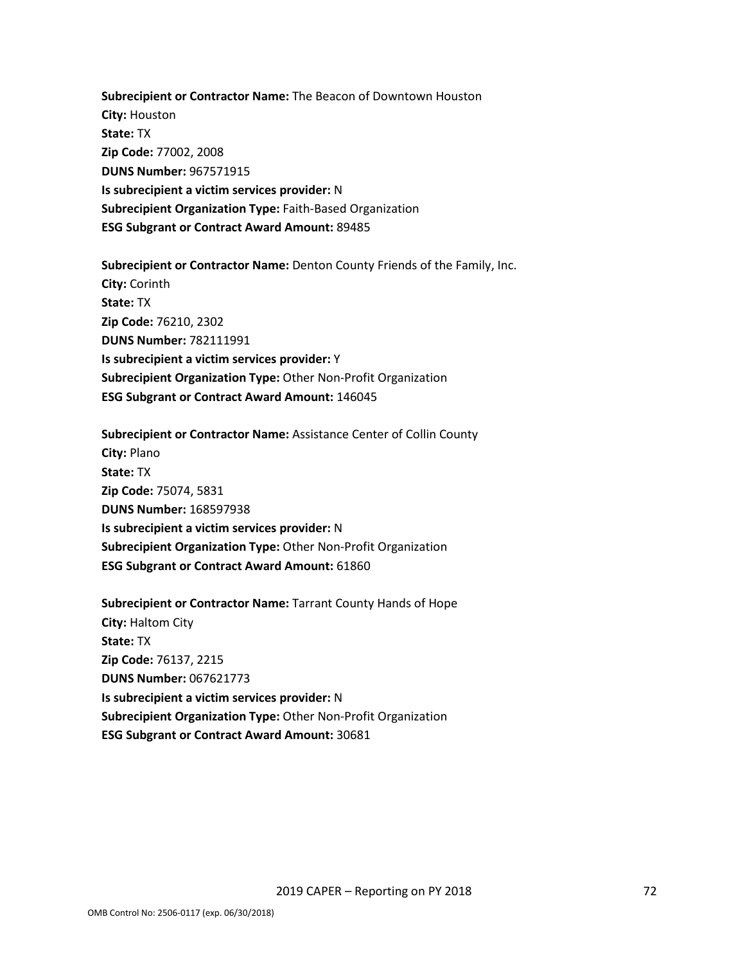**Subrecipient or Contractor Name:** The Beacon of Downtown Houston **City:** Houston **State:** TX **Zip Code:** 77002, 2008 **DUNS Number:** 967571915 **Is subrecipient a victim services provider:** N **Subrecipient Organization Type:** Faith-Based Organization **ESG Subgrant or Contract Award Amount:** 89485

**Subrecipient or Contractor Name:** Denton County Friends of the Family, Inc. **City:** Corinth **State:** TX **Zip Code:** 76210, 2302 **DUNS Number:** 782111991 **Is subrecipient a victim services provider:** Y **Subrecipient Organization Type:** Other Non-Profit Organization **ESG Subgrant or Contract Award Amount:** 146045

**Subrecipient or Contractor Name:** Assistance Center of Collin County **City:** Plano **State:** TX **Zip Code:** 75074, 5831 **DUNS Number:** 168597938 **Is subrecipient a victim services provider:** N **Subrecipient Organization Type:** Other Non-Profit Organization **ESG Subgrant or Contract Award Amount:** 61860

**Subrecipient or Contractor Name:** Tarrant County Hands of Hope **City:** Haltom City **State:** TX **Zip Code:** 76137, 2215 **DUNS Number:** 067621773 **Is subrecipient a victim services provider:** N **Subrecipient Organization Type:** Other Non-Profit Organization **ESG Subgrant or Contract Award Amount:** 30681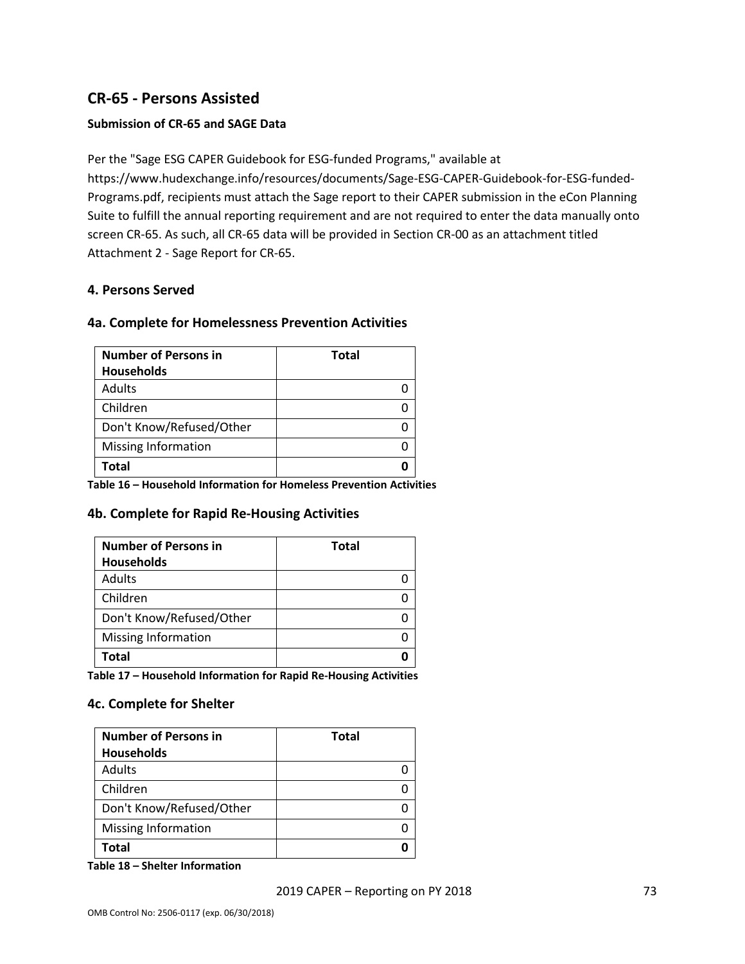## **CR-65 - Persons Assisted**

#### **Submission of CR-65 and SAGE Data**

Per the "Sage ESG CAPER Guidebook for ESG-funded Programs," available at

https://www.hudexchange.info/resources/documents/Sage-ESG-CAPER-Guidebook-for-ESG-funded-Programs.pdf, recipients must attach the Sage report to their CAPER submission in the eCon Planning Suite to fulfill the annual reporting requirement and are not required to enter the data manually onto screen CR-65. As such, all CR-65 data will be provided in Section CR-00 as an attachment titled Attachment 2 - Sage Report for CR-65.

#### **4. Persons Served**

#### **4a. Complete for Homelessness Prevention Activities**

| <b>Number of Persons in</b><br><b>Households</b> | <b>Total</b> |
|--------------------------------------------------|--------------|
| Adults                                           |              |
| Children                                         |              |
| Don't Know/Refused/Other                         |              |
| <b>Missing Information</b>                       |              |
| Total                                            |              |

**Table 16 – Household Information for Homeless Prevention Activities**

#### **4b. Complete for Rapid Re-Housing Activities**

| <b>Number of Persons in</b><br><b>Households</b> | <b>Total</b> |
|--------------------------------------------------|--------------|
| Adults                                           |              |
| Children                                         |              |
| Don't Know/Refused/Other                         |              |
| <b>Missing Information</b>                       |              |
| Total                                            |              |

**Table 17 – Household Information for Rapid Re-Housing Activities**

#### **4c. Complete for Shelter**

| <b>Number of Persons in</b> | <b>Total</b> |
|-----------------------------|--------------|
| Households                  |              |
| Adults                      |              |
| Children                    |              |
| Don't Know/Refused/Other    |              |
| Missing Information         |              |
| Total                       |              |

**Table 18 – Shelter Information**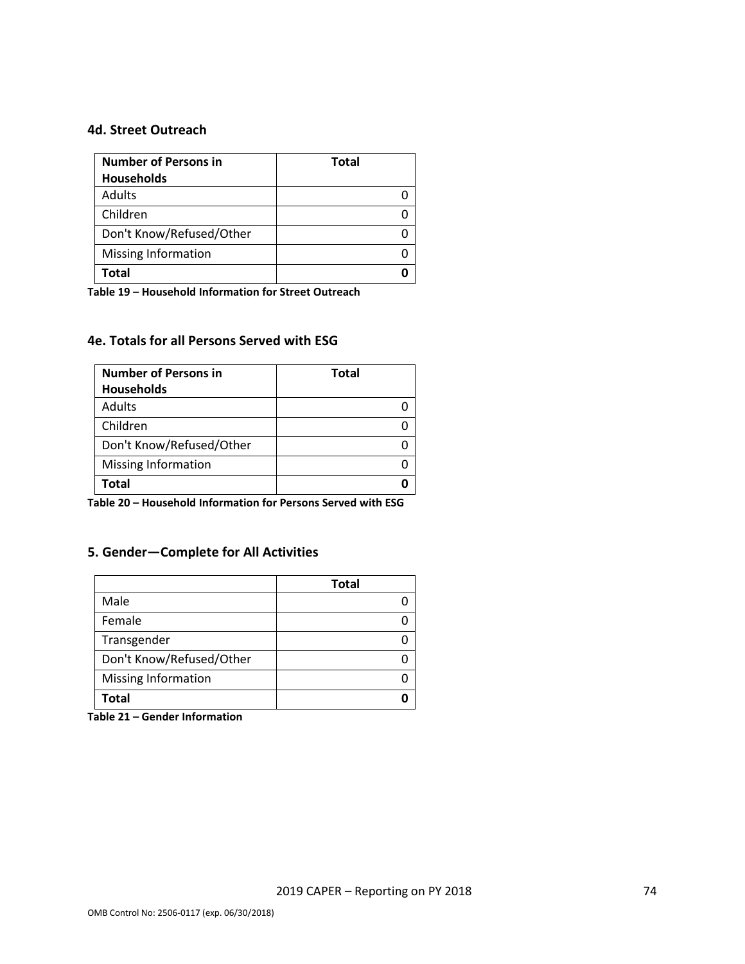#### **4d. Street Outreach**

| <b>Number of Persons in</b> | <b>Total</b> |
|-----------------------------|--------------|
| <b>Households</b>           |              |
| Adults                      |              |
| Children                    |              |
| Don't Know/Refused/Other    |              |
| Missing Information         |              |
| Total                       |              |

**Table 19 – Household Information for Street Outreach** 

## **4e. Totals for all Persons Served with ESG**

| <b>Number of Persons in</b> | <b>Total</b> |
|-----------------------------|--------------|
| <b>Households</b>           |              |
| Adults                      |              |
| Children                    |              |
| Don't Know/Refused/Other    |              |
| <b>Missing Information</b>  |              |
| Total                       |              |

**Table 20 – Household Information for Persons Served with ESG**

## **5. Gender—Complete for All Activities**

|                            | <b>Total</b> |
|----------------------------|--------------|
| Male                       |              |
| Female                     |              |
| Transgender                |              |
| Don't Know/Refused/Other   |              |
| <b>Missing Information</b> |              |
| Total                      |              |

**Table 21 – Gender Information**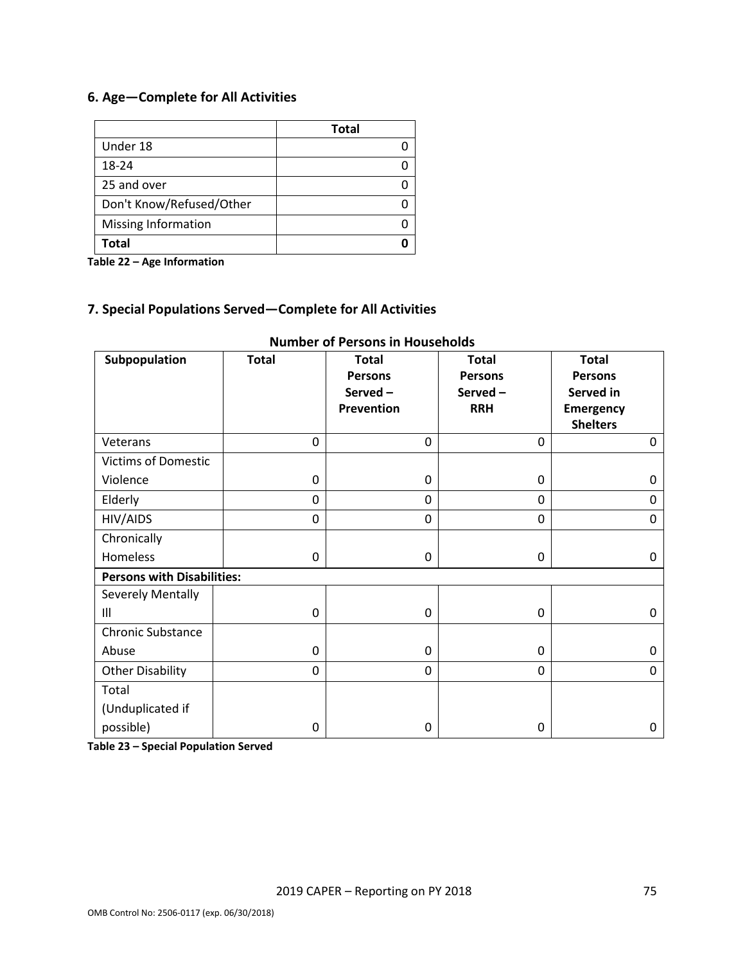## **6. Age—Complete for All Activities**

|                            | <b>Total</b> |
|----------------------------|--------------|
| Under 18                   |              |
| 18-24                      |              |
| 25 and over                |              |
| Don't Know/Refused/Other   |              |
| <b>Missing Information</b> |              |
| Total                      |              |

**Table 22 – Age Information**

### **7. Special Populations Served—Complete for All Activities**

| Subpopulation                     | <b>Total</b> | <b>Total</b>   | <b>Total</b>   | <b>Total</b>     |
|-----------------------------------|--------------|----------------|----------------|------------------|
|                                   |              | <b>Persons</b> | <b>Persons</b> | <b>Persons</b>   |
|                                   |              | Served-        | Served-        | Served in        |
|                                   |              | Prevention     | <b>RRH</b>     | <b>Emergency</b> |
|                                   |              |                |                | <b>Shelters</b>  |
| Veterans                          | 0            | 0              | $\Omega$       | 0                |
| <b>Victims of Domestic</b>        |              |                |                |                  |
| Violence                          | 0            | 0              | 0              | 0                |
| Elderly                           | 0            | 0              | $\mathbf 0$    | 0                |
| HIV/AIDS                          | 0            | 0              | $\Omega$       | 0                |
| Chronically                       |              |                |                |                  |
| Homeless                          | 0            | $\Omega$       | $\mathbf{0}$   | $\Omega$         |
| <b>Persons with Disabilities:</b> |              |                |                |                  |
| Severely Mentally                 |              |                |                |                  |
| $\mathbf{III}$                    | $\mathbf 0$  | 0              | 0              | $\Omega$         |
| <b>Chronic Substance</b>          |              |                |                |                  |
| Abuse                             | $\mathbf 0$  | $\Omega$       | $\mathbf{0}$   | 0                |
| <b>Other Disability</b>           | 0            | 0              | $\mathbf 0$    | $\Omega$         |
| Total                             |              |                |                |                  |
| (Unduplicated if                  |              |                |                |                  |
| possible)                         | 0            | 0              | 0              | 0                |

## **Number of Persons in Households**

**Table 23 – Special Population Served**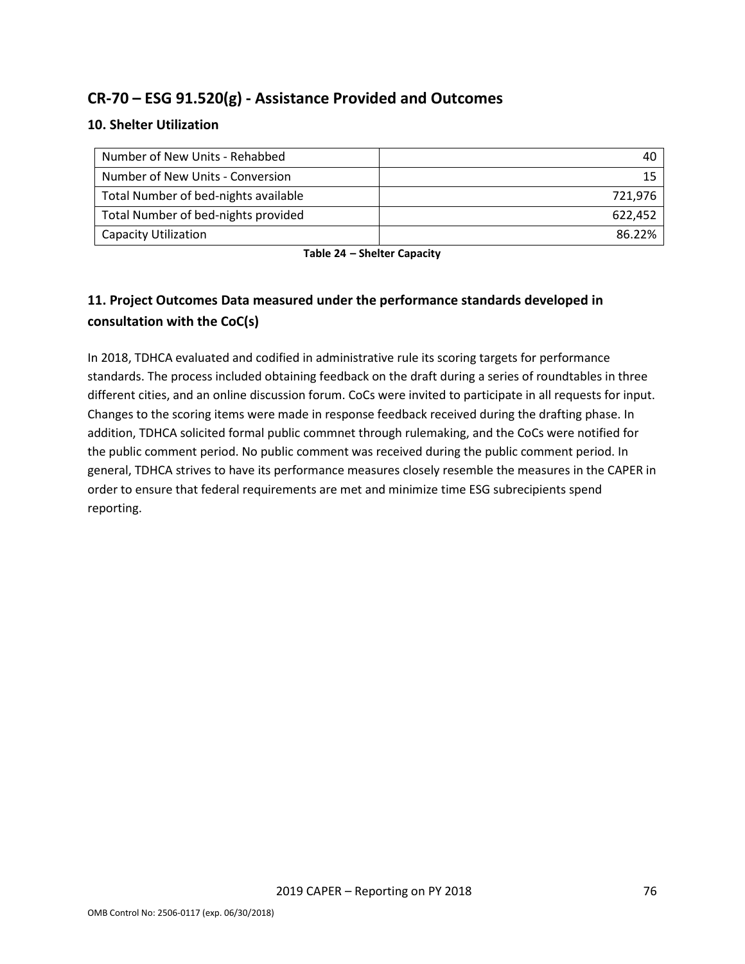# **CR-70 – ESG 91.520(g) - Assistance Provided and Outcomes**

## **10. Shelter Utilization**

| Number of New Units - Rehabbed       | 40      |
|--------------------------------------|---------|
| Number of New Units - Conversion     |         |
| Total Number of bed-nights available | 721.976 |
| Total Number of bed-nights provided  | 622,452 |
| <b>Capacity Utilization</b>          | 86.22%  |

**Table 24 – Shelter Capacity**

## **11. Project Outcomes Data measured under the performance standards developed in consultation with the CoC(s)**

In 2018, TDHCA evaluated and codified in administrative rule its scoring targets for performance standards. The process included obtaining feedback on the draft during a series of roundtables in three different cities, and an online discussion forum. CoCs were invited to participate in all requests for input. Changes to the scoring items were made in response feedback received during the drafting phase. In addition, TDHCA solicited formal public commnet through rulemaking, and the CoCs were notified for the public comment period. No public comment was received during the public comment period. In general, TDHCA strives to have its performance measures closely resemble the measures in the CAPER in order to ensure that federal requirements are met and minimize time ESG subrecipients spend reporting.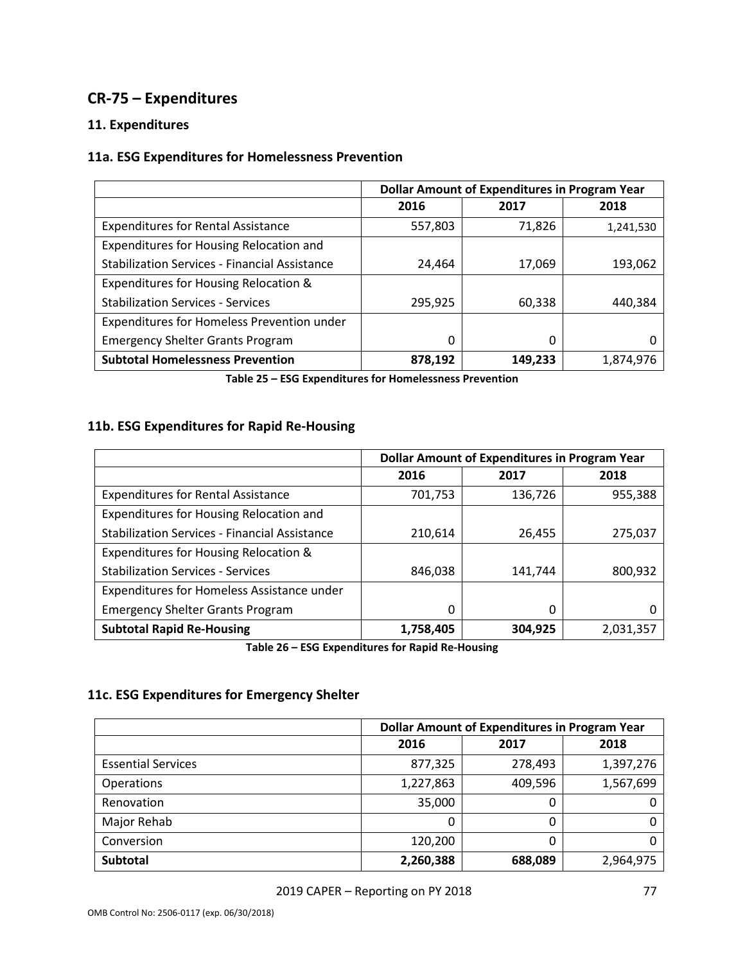# **CR-75 – Expenditures**

### **11. Expenditures**

## **11a. ESG Expenditures for Homelessness Prevention**

|                                                      | <b>Dollar Amount of Expenditures in Program Year</b> |         |           |
|------------------------------------------------------|------------------------------------------------------|---------|-----------|
|                                                      | 2016                                                 | 2017    | 2018      |
| <b>Expenditures for Rental Assistance</b>            | 557,803                                              | 71,826  | 1,241,530 |
| Expenditures for Housing Relocation and              |                                                      |         |           |
| <b>Stabilization Services - Financial Assistance</b> | 24,464                                               | 17,069  | 193,062   |
| Expenditures for Housing Relocation &                |                                                      |         |           |
| <b>Stabilization Services - Services</b>             | 295,925                                              | 60,338  | 440,384   |
| Expenditures for Homeless Prevention under           |                                                      |         |           |
| <b>Emergency Shelter Grants Program</b>              | 0                                                    | 0       | 0         |
| <b>Subtotal Homelessness Prevention</b>              | 878,192                                              | 149,233 | 1,874,976 |

**Table 25 – ESG Expenditures for Homelessness Prevention**

## **11b. ESG Expenditures for Rapid Re-Housing**

|                                                      | <b>Dollar Amount of Expenditures in Program Year</b> |         |           |
|------------------------------------------------------|------------------------------------------------------|---------|-----------|
|                                                      | 2016                                                 | 2017    | 2018      |
| <b>Expenditures for Rental Assistance</b>            | 701,753                                              | 136,726 | 955,388   |
| Expenditures for Housing Relocation and              |                                                      |         |           |
| <b>Stabilization Services - Financial Assistance</b> | 210,614                                              | 26,455  | 275,037   |
| Expenditures for Housing Relocation &                |                                                      |         |           |
| <b>Stabilization Services - Services</b>             | 846,038                                              | 141,744 | 800,932   |
| Expenditures for Homeless Assistance under           |                                                      |         |           |
| <b>Emergency Shelter Grants Program</b>              | 0                                                    | 0       |           |
| <b>Subtotal Rapid Re-Housing</b>                     | 1,758,405                                            | 304,925 | 2,031,357 |

**Table 26 – ESG Expenditures for Rapid Re-Housing**

### **11c. ESG Expenditures for Emergency Shelter**

|                           | <b>Dollar Amount of Expenditures in Program Year</b> |         |           |
|---------------------------|------------------------------------------------------|---------|-----------|
|                           | 2016                                                 | 2017    | 2018      |
| <b>Essential Services</b> | 877,325                                              | 278,493 | 1,397,276 |
| <b>Operations</b>         | 1,227,863                                            | 409,596 | 1,567,699 |
| Renovation                | 35,000                                               | 0       |           |
| Major Rehab               | 0                                                    | 0       |           |
| Conversion                | 120,200                                              | 0       |           |
| <b>Subtotal</b>           | 2,260,388                                            | 688,089 | 2,964,975 |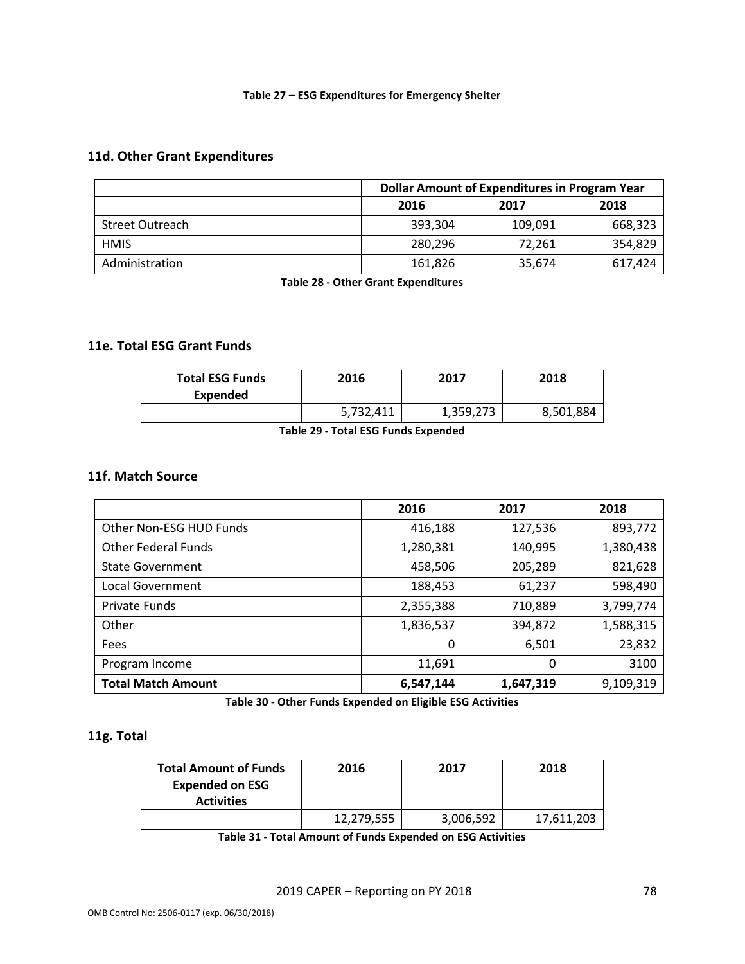### **11d. Other Grant Expenditures**

|                 | <b>Dollar Amount of Expenditures in Program Year</b> |         |         |
|-----------------|------------------------------------------------------|---------|---------|
|                 | 2016                                                 | 2017    | 2018    |
| Street Outreach | 393,304                                              | 109,091 | 668,323 |
| <b>HMIS</b>     | 280,296                                              | 72,261  | 354,829 |
| Administration  | 161,826                                              | 35,674  | 617.424 |

**Table 28 - Other Grant Expenditures**

#### **11e. Total ESG Grant Funds**

| <b>Total ESG Funds</b><br>Expended | 2016      | 2017      | 2018      |
|------------------------------------|-----------|-----------|-----------|
|                                    | 5,732,411 | 1,359,273 | 8,501,884 |

**Table 29 - Total ESG Funds Expended**

#### **11f. Match Source**

|                            | 2016      | 2017      | 2018      |
|----------------------------|-----------|-----------|-----------|
| Other Non-ESG HUD Funds    | 416,188   | 127,536   | 893,772   |
| <b>Other Federal Funds</b> | 1,280,381 | 140,995   | 1,380,438 |
| <b>State Government</b>    | 458,506   | 205,289   | 821,628   |
| <b>Local Government</b>    | 188,453   | 61,237    | 598,490   |
| Private Funds              | 2,355,388 | 710,889   | 3,799,774 |
| Other                      | 1,836,537 | 394,872   | 1,588,315 |
| Fees                       | 0         | 6,501     | 23,832    |
| Program Income             | 11,691    | 0         | 3100      |
| <b>Total Match Amount</b>  | 6,547,144 | 1,647,319 | 9,109,319 |

**Table 30 - Other Funds Expended on Eligible ESG Activities**

## **11g. Total**

| <b>Total Amount of Funds</b><br><b>Expended on ESG</b> | 2016       | 2017      | 2018       |
|--------------------------------------------------------|------------|-----------|------------|
| <b>Activities</b>                                      |            |           |            |
|                                                        | 12,279,555 | 3,006,592 | 17,611,203 |

**Table 31 - Total Amount of Funds Expended on ESG Activities**